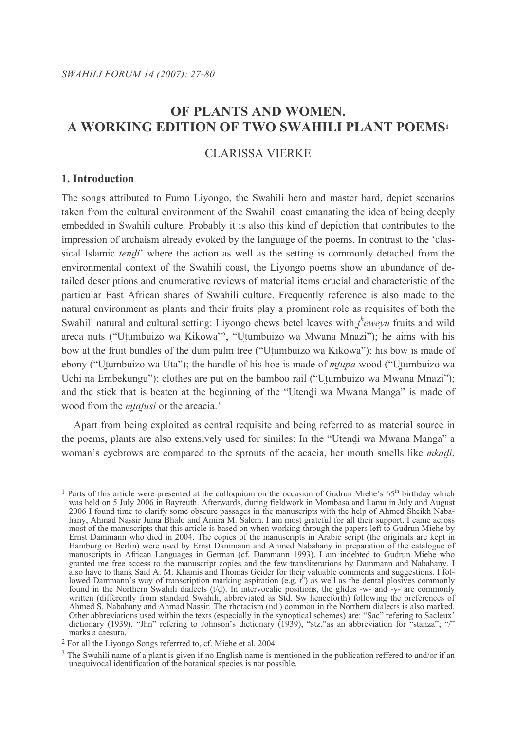# OF PLANTS AND WOMEN. A WORKING EDITION OF TWO SWAHILI PLANT POEMS<sup>1</sup>

# **CLARISSA VIERKE**

# 1. Introduction

The songs attributed to Fumo Liyongo, the Swahili hero and master bard, depict scenarios taken from the cultural environment of the Swahili coast emanating the idea of being deeply embedded in Swahili culture. Probably it is also this kind of depiction that contributes to the impression of archaism already evoked by the language of the poems. In contrast to the 'classical Islamic *tendi*' where the action as well as the setting is commonly detached from the environmental context of the Swahili coast, the Livongo poems show an abundance of detailed descriptions and enumerative reviews of material items crucial and characteristic of the particular East African shares of Swahili culture. Frequently reference is also made to the natural environment as plants and their fruits play a prominent role as requisites of both the Swahili natural and cultural setting: Livongo chews betel leaves with  $t^h$ eweyu fruits and wild areca nuts ("Utumbuizo wa Kikowa"?, "Utumbuizo wa Mwana Mnazi"); he aims with his bow at the fruit bundles of the dum palm tree ("Utumbuizo wa Kikowa"): his bow is made of ebony ("Utumbuizo wa Uta"); the handle of his hoe is made of *mtupa* wood ("Utumbuizo wa Uchi na Embekungu"); clothes are put on the bamboo rail ("Utumbuizo wa Mwana Mnazi"); and the stick that is beaten at the beginning of the "Utendi wa Mwana Manga" is made of wood from the *mtatusi* or the arcacia.<sup>3</sup>

Apart from being exploited as central requisite and being referred to as material source in the poems, plants are also extensively used for similes: In the "Utendi wa Mwana Manga" a woman's evebrows are compared to the sprouts of the acacia, her mouth smells like *mkadi*,

<sup>&</sup>lt;sup>1</sup> Parts of this article were presented at the colloquium on the occasion of Gudrun Miehe's 65<sup>th</sup> birthday which The state of this affect were presented at the conoquium on the oceasion of Oddition Michel's 5.05 of thing which<br>was held on 5 July 2006 in Bayreuth. Afterwards, during fieldwork in Mombasa and Lamu in July and August<br>200 most of the manuscripts that this article is based on when working through the papers left to Gudrun Miehe by Ernst Dammann who died in 2004. The copies of the manuscripts in Arabic script (the originals are kept in Hamburg or Berlin) were used by Ernst Dammann and Ahmed Nabahany in preparation of the catalogue of manuscripts in African Languages in German (cf. Dammann 1993). I am indebted to Gudrun Miehe who granted me free access to the manuscript copies and the few transliterations by Dammann and Nabahany. I also have to thank Said A. M. Khamis and Thomas Geider for their valuable comments and suggestions. I folalso have to thank said A. M. Khalins and Thomas Gender for their variable comments and suggestions. I followed Dammann's way of transcription marking aspiration (e.g.  $t^h$ ) as well as the dental plosives commonly found Other abbreviations used within the texts (especially in the synoptical schemes) are: "Sac" refering to Sacleux" dictionary (1939), "Jhn" refering to Johnson's dictionary (1939), "stz." as an abbreviation for "stanza"; "/" marks a caesura.

<sup>&</sup>lt;sup>2</sup> For all the Livongo Songs referrred to, cf. Miehe et al. 2004.

<sup>&</sup>lt;sup>3</sup> The Swahili name of a plant is given if no English name is mentioned in the publication reffered to and/or if an unequivocal identification of the botanical species is not possible.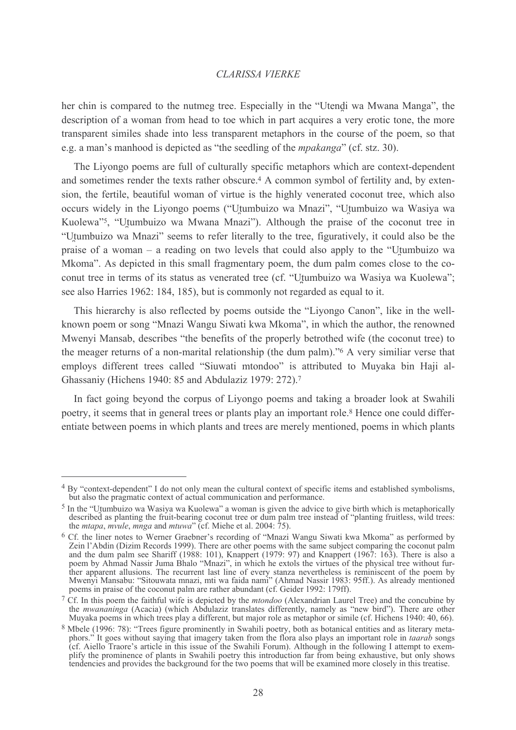her chin is compared to the nutmeg tree. Especially in the "Utendi wa Mwana Manga", the description of a woman from head to toe which in part acquires a very erotic tone, the more transparent similes shade into less transparent metaphors in the course of the poem, so that e.g. a man's manhood is depicted as "the seedling of the *mpakanga*" (cf. stz. 30).

The Livongo poems are full of culturally specific metaphors which are context-dependent and sometimes render the texts rather obscure.<sup>4</sup> A common symbol of fertility and, by extension, the fertile, beautiful woman of virtue is the highly venerated coconut tree, which also occurs widely in the Livongo poems ("Utumbuizo wa Mnazi", "Utumbuizo wa Wasiya wa Kuolewa"<sup>5</sup>, "Utumbuizo wa Mwana Mnazi"). Although the praise of the coconut tree in "Utumbuizo wa Mnazi" seems to refer literally to the tree, figuratively, it could also be the praise of a woman – a reading on two levels that could also apply to the "Utumbuizo wa Mkoma". As depicted in this small fragmentary poem, the dum palm comes close to the coconut tree in terms of its status as venerated tree (cf. "Utumbuizo wa Wasiya wa Kuolewa"; see also Harries 1962: 184, 185), but is commonly not regarded as equal to it.

This hierarchy is also reflected by poems outside the "Livongo Canon", like in the wellknown poem or song "Mnazi Wangu Siwati kwa Mkoma", in which the author, the renowned Mwenyi Mansab, describes "the benefits of the properly betrothed wife (the coconut tree) to the meager returns of a non-marital relationship (the dum palm)."<sup>6</sup> A very similiar verse that employs different trees called "Siuwati mtondoo" is attributed to Muyaka bin Haji al-Ghassaniy (Hichens 1940: 85 and Abdulaziz 1979: 272).<sup>7</sup>

In fact going beyond the corpus of Livongo poems and taking a broader look at Swahili poetry, it seems that in general trees or plants play an important role.<sup>8</sup> Hence one could differentiate between poems in which plants and trees are merely mentioned, poems in which plants

<sup>&</sup>lt;sup>4</sup> By "context-dependent" I do not only mean the cultural context of specific items and established symbolisms, but also the pragmatic context of actual communication and performance.

 $5$  In the "Utumbuizo wa Wasiya wa Kuolewa" a woman is given the advice to give birth which is metaphorically described as planting the fruit-bearing coconut tree or dum palm tree instead of "planting fruitless, wild trees: the *mtapa*, *mvule*, *mnga* and *mtuwa*" (cf. Miehe et al. 2004: 75).

<sup>&</sup>lt;sup>6</sup> Cf. the liner notes to Werner Graebner's recording of "Mnazi Wangu Siwati kwa Mkoma" as performed by Zein l'Abdin (Dizim Records 1999). There are other poems with the same subject comparing the coconut palm and the dum palm see Shariff (1988: 101), Knappert (1979: 97) and Knappert (1967: 163). There is also a poem by Ahmad Nassir Juma Bhalo "Mnazi", in which he extols the virtues of the physical tree without further apparent allusions. The recurrent last line of every stanza nevertheless is reminiscent of the poem by Mwenyi Mansabu: "Sitouwata mnazi, mti wa faida nami" (Ahmad Nassir 1983: 95ff.). As already mentioned poems in praise of the coconut palm are rather abundant (cf. Geider 1992: 179ff).

<sup>&</sup>lt;sup>7</sup> Cf. In this poem the faithful wife is depicted by the *mtondoo* (Alexandrian Laurel Tree) and the concubine by the mwananinga (Acacia) (which Abdulaziz translates differently, namely as "new bird"). There are other Muyaka poems in which trees play a different, but major role as metaphor or simile (cf. Hichens 1940: 40, 66).

<sup>&</sup>lt;sup>8</sup> Mbele (1996: 78): "Trees figure prominently in Swahili poetry, both as botanical entities and as literary metaphors." It goes without saying that imagery taken from the flora also plays an important role in *taarab* songs (cf. Aiello Traore's article in this issue of the Swahili Forum). Although in the following I attempt to exemplify the prominence of plants in Swahili poetry this introduction far from being exhaustive, but only shows tendencies and provides the background for the two poems that will be examined more closely in this treatise.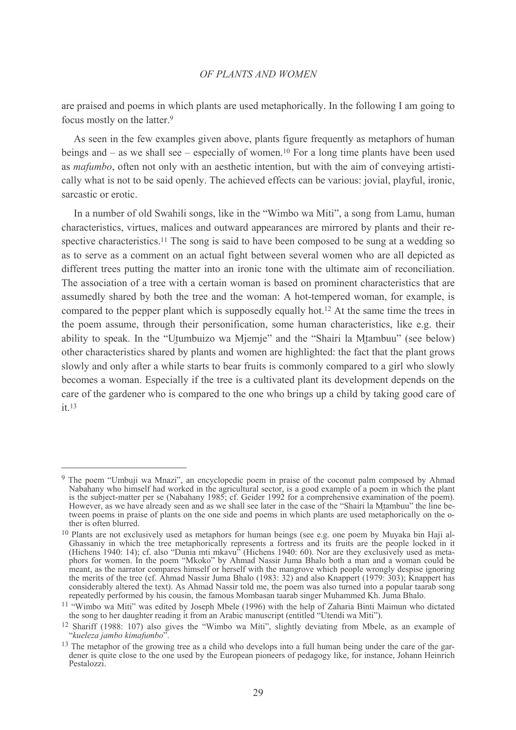are praised and poems in which plants are used metaphorically. In the following I am going to focus mostly on the latter.<sup>9</sup>

As seen in the few examples given above, plants figure frequently as metaphors of human beings and  $-$  as we shall see  $-$  especially of women.<sup>10</sup> For a long time plants have been used as *mafumbo*, often not only with an aesthetic intention, but with the aim of conveying artistically what is not to be said openly. The achieved effects can be various: jovial, playful, ironic, sarcastic or erotic

In a number of old Swahili songs, like in the "Wimbo wa Miti", a song from Lamu, human characteristics, virtues, malices and outward appearances are mirrored by plants and their respective characteristics.<sup>11</sup> The song is said to have been composed to be sung at a wedding so as to serve as a comment on an actual fight between several women who are all depicted as different trees putting the matter into an ironic tone with the ultimate aim of reconciliation. The association of a tree with a certain woman is based on prominent characteristics that are assumedly shared by both the tree and the woman: A hot-tempered woman, for example, is compared to the pepper plant which is supposedly equally hot.<sup>12</sup> At the same time the trees in the poem assume, through their personification, some human characteristics, like e.g. their ability to speak. In the "Utumbuizo wa Miemie" and the "Shairi la Mtambuu" (see below) other characteristics shared by plants and women are highlighted: the fact that the plant grows slowly and only after a while starts to bear fruits is commonly compared to a girl who slowly becomes a woman. Especially if the tree is a cultivated plant its development depends on the care of the gardener who is compared to the one who brings up a child by taking good care of  $it 13$ 

<sup>&</sup>lt;sup>9</sup> The poem "Umbuji wa Mnazi", an encyclopedic poem in praise of the coconut palm composed by Ahmad Nabahany who himself had worked in the agricultural sector, is a good example of a poem in which the plant is the subject-matter per se (Nabahany 1985; cf. Geider 1992 for a comprehensive examination of the poem). However, as we have already seen and as we shall see later in the case of the "Shairi la Mtambuu" the line between poems in praise of plants on the one side and poems in which plants are used metaphorically on the other is often blurred.

<sup>&</sup>lt;sup>10</sup> Plants are not exclusively used as metaphors for human beings (see e.g. one poem by Muyaka bin Haji al-Ghassaniy in which the tree metaphorically represents a fortress and its fruits are the people locked in it (Hichens 1940: 14); cf. also "Dunia mti mkavu" (Hichens 1940: 60). Nor are they exclusively used as metaphors for women. In the poem "Mkoko" by Ahmad Nassir Juma Bhalo both a man and a woman could be<br>meant, as the narrator compares himself or herself with the mangrove which people wrongly despise ignoring the merits of the tree (cf. Ahmad Nassir Juma Bhalo (1983: 32) and also Knappert (1979: 303); Knappert has considerably altered the text). As Ahmad Nassir told me, the poem was also turned into a popular taarab song repeatedly performed by his cousin, the famous Mombasan taarab singer Muhammed Kh. Juma Bhalo.

<sup>&</sup>lt;sup>11</sup> "Wimbo wa Miti" was edited by Joseph Mbele (1996) with the help of Zaharia Binti Maimun who dictated the song to her daughter reading it from an Arabic manuscript (entitled "Utendi wa Miti").

<sup>&</sup>lt;sup>12</sup> Shariff (1988: 107) also gives the "Wimbo wa Miti", slightly deviating from Mbele, as an example of "kueleza jambo kimafumbo".

<sup>&</sup>lt;sup>13</sup> The metaphor of the growing tree as a child who develops into a full human being under the care of the gardener is quite close to the one used by the European pioneers of pedagogy like, for instance, Johann Heinrich Pestalozzi.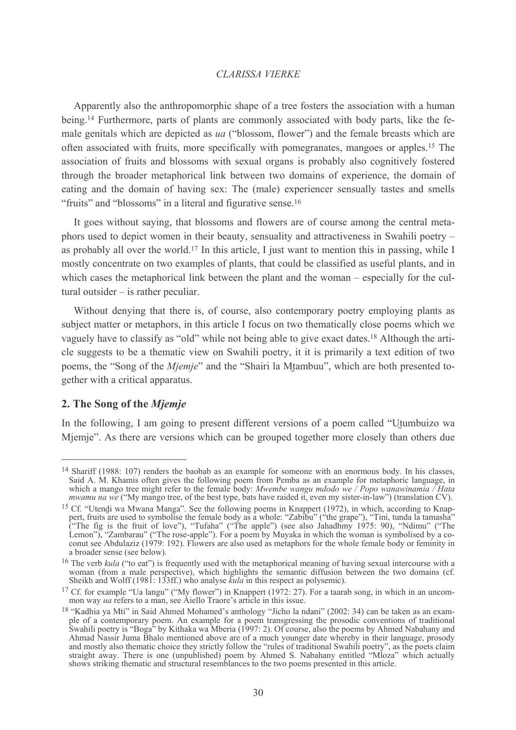Apparently also the anthropomorphic shape of a tree fosters the association with a human being.<sup>14</sup> Furthermore, parts of plants are commonly associated with body parts, like the female genitals which are depicted as ua ("blossom, flower") and the female breasts which are often associated with fruits, more specifically with pomegranates, mangoes or apples.<sup>15</sup> The association of fruits and blossoms with sexual organs is probably also cognitively fostered through the broader metaphorical link between two domains of experience, the domain of eating and the domain of having sex: The (male) experiencer sensually tastes and smells "fruits" and "blossoms" in a literal and figurative sense.<sup>16</sup>

It goes without saying, that blossoms and flowers are of course among the central metaphors used to depict women in their beauty, sensuality and attractiveness in Swahili poetry – as probably all over the world.<sup>17</sup> In this article, I just want to mention this in passing, while I mostly concentrate on two examples of plants, that could be classified as useful plants, and in which cases the metaphorical link between the plant and the woman – especially for the cultural outsider  $-$  is rather peculiar.

Without denying that there is, of course, also contemporary poetry employing plants as subject matter or metaphors, in this article I focus on two thematically close poems which we vaguely have to classify as "old" while not being able to give exact dates.<sup>18</sup> Although the article suggests to be a thematic view on Swahili poetry, it it is primarily a text edition of two poems, the "Song of the *Mjemje*" and the "Shairi la Mtambuu", which are both presented together with a critical apparatus.

# 2. The Song of the Miemie

In the following. I am going to present different versions of a poem called "Utumbuizo wa Mjemje". As there are versions which can be grouped together more closely than others due

<sup>&</sup>lt;sup>14</sup> Shariff (1988: 107) renders the baobab as an example for someone with an enormous body. In his classes, Said A. M. Khamis often gives the following poem from Pemba as an example for metaphoric language, in which a mango tree might refer to the female body: Mwembe wangu mdodo we / Popo wanawinamia / Hata mwamu na we ("My mango tree, of the best type, bats have raided it, even my sister-in-law") (translation CV).

<sup>&</sup>lt;sup>15</sup> Cf. "Utendi wa Mwana Manga". See the following poems in Knappert (1972), in which, according to Knappert, fruits are used to symbolise the female body as a whole: "Zabibu" ("the grape"), "Tini, tunda la tamasha" ("The fig is the fruit of love"), "Tufaha" ("The apple") (see also Jahadhmy 1975: 90), "Ndimu" ("The Lemon"), "Zambarau" ("The rose-apple"). For a poem by Muyaka in which the woman is symbolised by a coconut see Abdulaziz a broader sense (see below).

<sup>&</sup>lt;sup>16</sup> The verb *kula* ("to eat") is frequently used with the metaphorical meaning of having sexual intercourse with a woman (from a male perspective), which highlights the semantic diffusion between the two domains (cf. Sheikh and Wolff (1981: 133ff.) who analyse *kula* in this respect as polysemic).

<sup>&</sup>lt;sup>17</sup> Cf. for example "Ua langu" ("My flower") in Knappert (1972: 27). For a taarab song, in which in an uncommon way ua refers to a man, see Aiello Traore's article in this issue.

<sup>&</sup>lt;sup>18</sup> "Kadhia ya Mti" in Said Ahmed Mohamed's anthology "Jicho la ndani" (2002: 34) can be taken as an example of a contemporary poem. An example for a poem transgressing the prosodic conventions of traditional<br>Swahili poetry is "Boga" by Kithaka wa Mberia (1997: 2). Of course, also the poems by Ahmed Nabahany and Ahmad Nassir Juma Bhalo mentioned above are of a much younger date whereby in their language, prosody<br>and mostly also thematic choice they strictly follow the "rules of traditional Swahili poetry", as the poets claim<br>strai shows striking the matic and structural resemblances to the two poems presented in this article.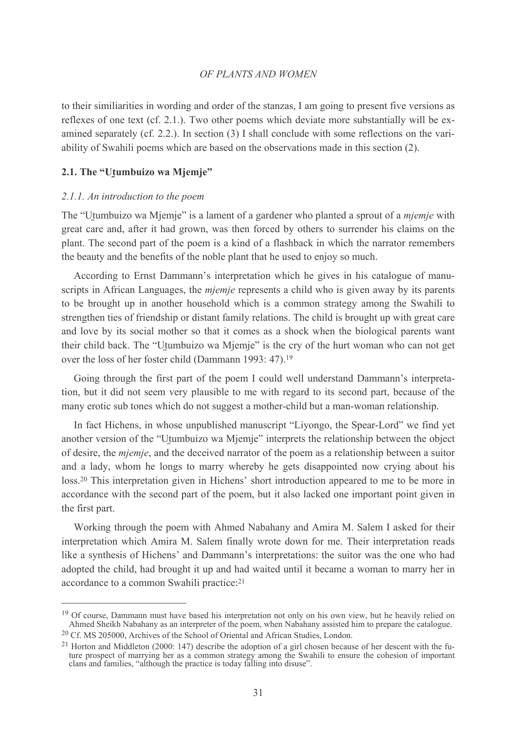to their similiarities in wording and order of the stanzas. I am going to present five versions as reflexes of one text (cf. 2.1.). Two other poems which deviate more substantially will be examined separately (cf. 2.2.). In section (3) I shall conclude with some reflections on the variability of Swahili poems which are based on the observations made in this section (2).

## 2.1. The "Utumbuizo wa Mjemje"

#### 2.1.1. An introduction to the poem

The "Utumbuizo wa Mjemje" is a lament of a gardener who planted a sprout of a *mjemje* with great care and, after it had grown, was then forced by others to surrender his claims on the plant. The second part of the poem is a kind of a flashback in which the narrator remembers the beauty and the benefits of the noble plant that he used to enjoy so much.

According to Ernst Dammann's interpretation which he gives in his catalogue of manuscripts in African Languages, the *miemie* represents a child who is given away by its parents to be brought up in another household which is a common strategy among the Swahili to strengthen ties of friendship or distant family relations. The child is brought up with great care and love by its social mother so that it comes as a shock when the biological parents want their child back. The "Utumbuizo wa Mjemje" is the cry of the hurt woman who can not get over the loss of her foster child (Dammann 1993: 47).<sup>19</sup>

Going through the first part of the poem I could well understand Dammann's interpretation, but it did not seem very plausible to me with regard to its second part, because of the many erotic sub tones which do not suggest a mother-child but a man-woman relationship.

In fact Hichens, in whose unpublished manuscript "Livongo, the Spear-Lord" we find yet another version of the "Utumbuizo wa Mjemje" interprets the relationship between the object of desire, the *miemie*, and the deceived narrator of the poem as a relationship between a suitor and a lady, whom he longs to marry whereby he gets disappointed now crying about his loss.<sup>20</sup> This interpretation given in Hichens' short introduction appeared to me to be more in accordance with the second part of the poem, but it also lacked one important point given in the first part.

Working through the poem with Ahmed Nabahany and Amira M. Salem I asked for their interpretation which Amira M. Salem finally wrote down for me. Their interpretation reads like a synthesis of Hichens' and Dammann's interpretations: the suitor was the one who had adopted the child, had brought it up and had waited until it became a woman to marry her in accordance to a common Swahili practice:21

<sup>&</sup>lt;sup>19</sup> Of course, Dammann must have based his interpretation not only on his own view, but he heavily relied on Ahmed Sheikh Nabahany as an interpreter of the poem, when Nabahany assisted him to prepare the catalogue.

<sup>&</sup>lt;sup>20</sup> Cf. MS 205000, Archives of the School of Oriental and African Studies, London.

 $^{21}$  Horton and Middleton (2000; 147) describe the adoption of a girl chosen because of her descent with the future prospect of marrying her as a common strategy among the Swahili to ensure the cohesion of important clans and families, "although the practice is today falling into disuse".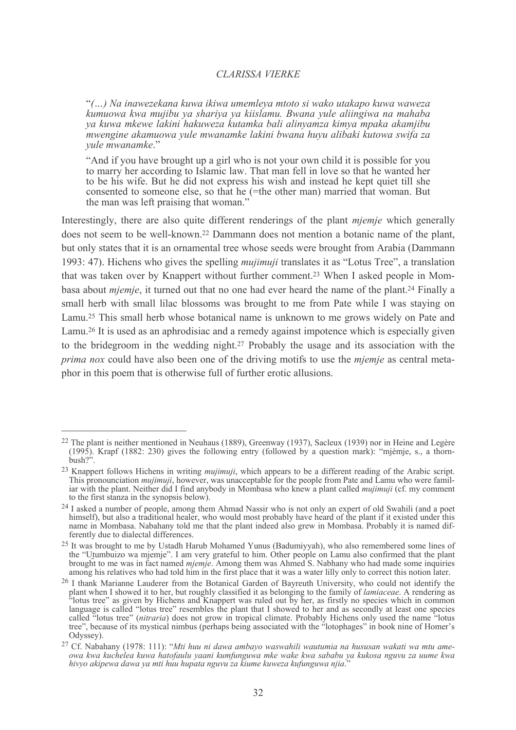"(...) Na inawezekana kuwa ikiwa umemleya mtoto si wako utakapo kuwa waweza kumuowa kwa mujibu ya shariya ya kiislamu. Bwana yule aliingiwa na mahaba ya kuwa mkewe lakini hakuweza kutamka bali alinyamza kimya mpaka akamjibu mwengine akamuowa yule mwanamke lakini bwana huyu alibaki kutowa swifa za vule mwanamke."

"And if you have brought up a girl who is not your own child it is possible for you to marry her according to Islamic law. That man fell in love so that he wanted her to be his wife. But he did not express his wish and instead he kept quiet till she consented to someone else, so that he (=the other man) married that woman. But the man was left praising that woman."

Interestingly, there are also quite different renderings of the plant *mjemje* which generally does not seem to be well-known.<sup>22</sup> Dammann does not mention a botanic name of the plant, but only states that it is an ornamental tree whose seeds were brought from Arabia (Dammann 1993: 47). Hichens who gives the spelling *mujimuji* translates it as "Lotus Tree", a translation that was taken over by Knappert without further comment.<sup>23</sup> When I asked people in Mombasa about *miemie*, it turned out that no one had ever heard the name of the plant.<sup>24</sup> Finally a small herb with small lilac blossoms was brought to me from Pate while I was staying on Lamu.<sup>25</sup> This small herb whose botanical name is unknown to me grows widely on Pate and Lamu.<sup>26</sup> It is used as an aphrodisiac and a remedy against impotence which is especially given to the bridegroom in the wedding night.<sup>27</sup> Probably the usage and its association with the *prima nox* could have also been one of the driving motifs to use the *miemie* as central metaphor in this poem that is otherwise full of further erotic allusions.

 $^{22}$  The plant is neither mentioned in Neuhaus (1889). Greenway (1937). Sacleux (1939) nor in Heine and Legère (1995). Krapf (1882: 230) gives the following entry (followed by a question mark): "miémie, s., a thorn $bush?$ 

<sup>&</sup>lt;sup>23</sup> Knappert follows Hichens in writing *mujimuji*, which appears to be a different reading of the Arabic script. This pronounciation *mujimuji*, however, was unacceptable for the people from Pate and Lamu who were familiar with the plant. Neither did I find anybody in Mombasa who knew a plant called *mujimuji* (cf. my comment to the first stanza in the synopsis below).

<sup>&</sup>lt;sup>24</sup> I asked a number of people, among them Ahmad Nassir who is not only an expert of old Swahili (and a poet himself), but also a traditional healer, who would most probably have heard of the plant if it existed under this name in Mombasa. Nabahany told me that the plant indeed also grew in Mombasa. Probably it is named differently due to dialectal differences.

<sup>&</sup>lt;sup>25</sup> It was brought to me by Ustadh Harub Mohamed Yunus (Badumiyyah), who also remembered some lines of the "Utumbuizo wa mjemje". I am very grateful to him. Other people on Lamu also confirmed that the plant brought to me was in fact named mjemje. Among them was Ahmed S. Nabhany who had made some inquiries among his relatives who had told him in the first place that it was a water lilly only to correct this notion later.

<sup>&</sup>lt;sup>26</sup> I thank Marianne Lauderer from the Botanical Garden of Bayreuth University, who could not identify the plant when I showed it to her, but roughly classified it as belonging to the family of lamiaceae. A rendering as "lotus tree" as given by Hichens and Knappert was ruled out by her, as firstly no species which in common language is called "lotus tree" resembles the plant that I showed to her and as secondly at least one species<br>called "lotus tree" (*nitraria*) does not grow in tropical climate. Probably Hichens only used the name "lotus<br>t Odyssey).

<sup>&</sup>lt;sup>27</sup> Cf. Nabahany (1978: 111): "Mti huu ni dawa ambayo waswahili wautumia na hususan wakati wa mtu ameowa kwa kuchelea kuwa hatofaulu yaani kumfunguwa mke wake kwa sababu ya kukosa nguvu za uume kwa hivyo akipewa dawa ya mti huu hupata nguvu za kiume kuweza kufunguwa njia.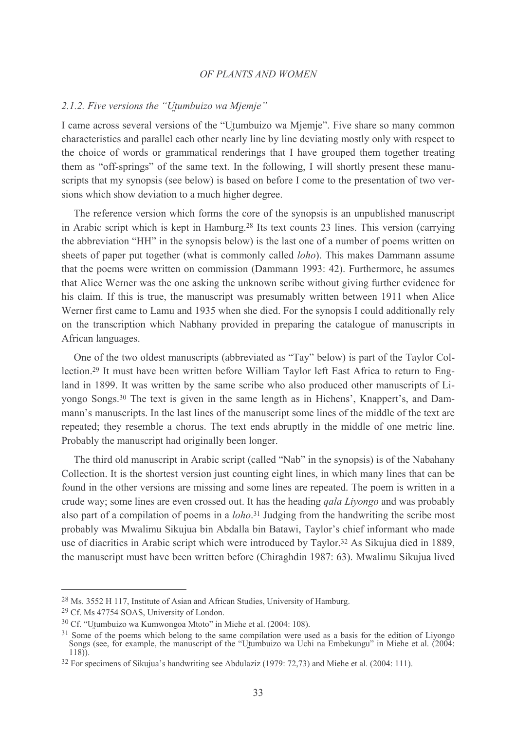#### 2.1.2. Five versions the "Utumbuizo wa Mjemje"

I came across several versions of the "Utumbuizo wa Mjemje". Five share so many common characteristics and parallel each other nearly line by line deviating mostly only with respect to the choice of words or grammatical renderings that I have grouped them together treating them as "off-springs" of the same text. In the following, I will shortly present these manuscripts that my synopsis (see below) is based on before I come to the presentation of two versions which show deviation to a much higher degree.

The reference version which forms the core of the synopsis is an unpublished manuscript in Arabic script which is kept in Hamburg.<sup>28</sup> Its text counts 23 lines. This version (carrying the abbreviation "HH" in the synopsis below) is the last one of a number of poems written on sheets of paper put together (what is commonly called *loho*). This makes Dammann assume that the poems were written on commission (Dammann 1993: 42). Furthermore, he assumes that Alice Werner was the one asking the unknown scribe without giving further evidence for his claim. If this is true, the manuscript was presumably written between 1911 when Alice Werner first came to Lamu and 1935 when she died. For the synopsis I could additionally rely on the transcription which Nabhany provided in preparing the catalogue of manuscripts in African languages.

One of the two oldest manuscripts (abbreviated as "Tay" below) is part of the Taylor Collection.<sup>29</sup> It must have been written before William Taylor left East Africa to return to England in 1899. It was written by the same scribe who also produced other manuscripts of Liyongo Songs.<sup>30</sup> The text is given in the same length as in Hichens', Knappert's, and Dammann's manuscripts. In the last lines of the manuscript some lines of the middle of the text are repeated; they resemble a chorus. The text ends abruptly in the middle of one metric line. Probably the manuscript had originally been longer.

The third old manuscript in Arabic script (called "Nab" in the synopsis) is of the Nabahany Collection. It is the shortest version just counting eight lines, in which many lines that can be found in the other versions are missing and some lines are repeated. The poem is written in a crude way; some lines are even crossed out. It has the heading *gala Livongo* and was probably also part of a compilation of poems in a *loho*.<sup>31</sup> Judging from the handwriting the scribe most probably was Mwalimu Sikujua bin Abdalla bin Batawi, Taylor's chief informant who made use of diacritics in Arabic script which were introduced by Taylor.<sup>32</sup> As Sikujua died in 1889, the manuscript must have been written before (Chiraghdin 1987: 63). Mwalimu Sikujua lived

<sup>&</sup>lt;sup>28</sup> Ms. 3552 H 117, Institute of Asian and African Studies, University of Hamburg.

<sup>&</sup>lt;sup>29</sup> Cf. Ms 47754 SOAS, University of London.

<sup>&</sup>lt;sup>30</sup> Cf. "Utumbuizo wa Kumwongoa Mtoto" in Miehe et al. (2004: 108).

<sup>&</sup>lt;sup>31</sup> Some of the poems which belong to the same compilation were used as a basis for the edition of Livongo Songs (see, for example, the manuscript of the "Utumbuizo wa Uchi na Embekungu" in Miehe et al. (2004:  $118)$ .

 $32$  For specimens of Sikujua's handwriting see Abdulaziz (1979: 72,73) and Miehe et al. (2004: 111).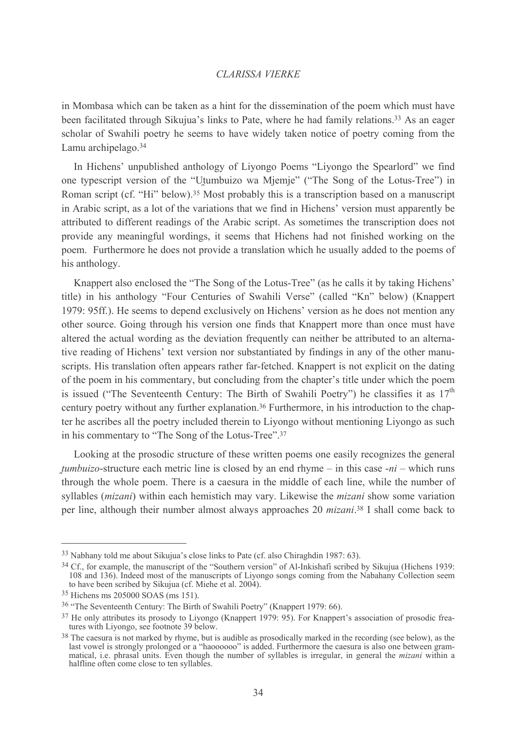in Mombasa which can be taken as a hint for the dissemination of the poem which must have been facilitated through Sikujua's links to Pate, where he had family relations.<sup>33</sup> As an eager scholar of Swahili poetry he seems to have widely taken notice of poetry coming from the Lamu archipelago.<sup>34</sup>

In Hichens' unpublished anthology of Livongo Poems "Livongo the Spearlord" we find one typescript version of the "Utumbuizo wa Mjemje" ("The Song of the Lotus-Tree") in Roman script (cf. "Hi" below).<sup>35</sup> Most probably this is a transcription based on a manuscript in Arabic script, as a lot of the variations that we find in Hichens' version must apparently be attributed to different readings of the Arabic script. As sometimes the transcription does not provide any meaningful wordings, it seems that Hichens had not finished working on the poem. Furthermore he does not provide a translation which he usually added to the poems of his anthology.

Knappert also enclosed the "The Song of the Lotus-Tree" (as he calls it by taking Hichens' title) in his anthology "Four Centuries of Swahili Verse" (called "Kn" below) (Knappert 1979: 95ff.). He seems to depend exclusively on Hichens' version as he does not mention any other source. Going through his version one finds that Knappert more than once must have altered the actual wording as the deviation frequently can neither be attributed to an alternative reading of Hichens' text version nor substantiated by findings in any of the other manuscripts. His translation often appears rather far-fetched. Knappert is not explicit on the dating of the poem in his commentary, but concluding from the chapter's title under which the poem is issued ("The Seventeenth Century: The Birth of Swahili Poetry") he classifies it as  $17<sup>th</sup>$ century poetry without any further explanation.<sup>36</sup> Furthermore, in his introduction to the chapter he ascribes all the poetry included therein to Liyongo without mentioning Liyongo as such in his commentary to "The Song of the Lotus-Tree".<sup>37</sup>

Looking at the prosodic structure of these written poems one easily recognizes the general *tumbuizo*-structure each metric line is closed by an end rhyme – in this case  $-ni$  – which runs through the whole poem. There is a caesura in the middle of each line, while the number of syllables *(mizani)* within each hemistich may vary. Likewise the *mizani* show some variation per line, although their number almost always approaches 20 *mizani*.<sup>38</sup> I shall come back to

<sup>&</sup>lt;sup>33</sup> Nabhany told me about Sikujua's close links to Pate (cf. also Chiraghdin 1987: 63).

<sup>&</sup>lt;sup>34</sup> Cf., for example, the manuscript of the "Southern version" of Al-Inkishafi scribed by Sikujua (Hichens 1939; 108 and 136). Indeed most of the manuscripts of Liyongo songs coming from the Nabahany Collection seem to have been scribed by Sikujua (cf. Miehe et al. 2004).

<sup>&</sup>lt;sup>35</sup> Hichens ms 205000 SOAS (ms 151).

<sup>&</sup>lt;sup>36</sup> "The Seventeenth Century: The Birth of Swahili Poetry" (Knappert 1979: 66).

<sup>&</sup>lt;sup>37</sup> He only attributes its prosody to Livongo (Knappert 1979: 95). For Knappert's association of prosodic freatures with Livongo, see footnote 39 below.

<sup>&</sup>lt;sup>38</sup> The caesura is not marked by rhyme, but is audible as prosodically marked in the recording (see below), as the last vowel is strongly prolonged or a "haoooooo" is added. Furthermore the caesura is also one between gr halfline often come close to ten syllables.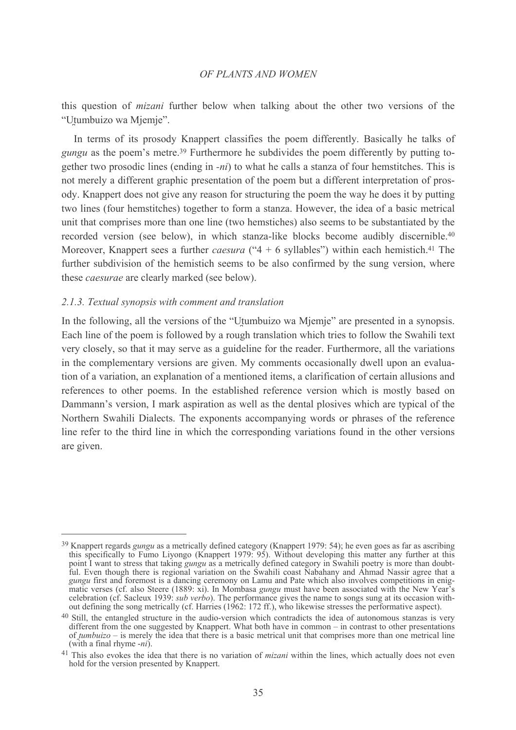this question of *mizani* further below when talking about the other two versions of the "Utumbuizo wa Mjemje".

In terms of its prosody Knappert classifies the poem differently. Basically he talks of *gungu* as the poem's metre.<sup>39</sup> Furthermore he subdivides the poem differently by putting together two prosodic lines (ending in  $-ni$ ) to what he calls a stanza of four hemstitches. This is not merely a different graphic presentation of the poem but a different interpretation of prosody. Knappert does not give any reason for structuring the poem the way he does it by putting two lines (four hemstitches) together to form a stanza. However, the idea of a basic metrical unit that comprises more than one line (two hemstiches) also seems to be substantiated by the recorded version (see below), in which stanza-like blocks become audibly discernible.<sup>40</sup> Moreover, Knappert sees a further *caesura* (" $4 + 6$  syllables") within each hemistich.<sup>41</sup> The further subdivision of the hemistich seems to be also confirmed by the sung version, where these *caesurae* are clearly marked (see below).

## 2.1.3. Textual synopsis with comment and translation

In the following, all the versions of the "Utumbuizo wa Mjemje" are presented in a synopsis. Each line of the poem is followed by a rough translation which tries to follow the Swahili text very closely, so that it may serve as a guideline for the reader. Furthermore, all the variations in the complementary versions are given. My comments occasionally dwell upon an evaluation of a variation, an explanation of a mentioned items, a clarification of certain allusions and references to other poems. In the established reference version which is mostly based on Dammann's version, I mark aspiration as well as the dental plosives which are typical of the Northern Swahili Dialects. The exponents accompanying words or phrases of the reference line refer to the third line in which the corresponding variations found in the other versions are given.

<sup>&</sup>lt;sup>39</sup> Knappert regards *gungu* as a metrically defined category (Knappert 1979: 54); he even goes as far as ascribing this specifically to Fumo Liyongo (Knappert 1979: 95). Without developing this matter any further at this point I want to stress that taking *gungu* as a metrically defined category in Swahili poetry is more than doubtful. Even though there is regional variation on the Swahili coast Nabahany and Ahmad Nassir agree that a *gungu* first and foremost is a dancing ceremony on Lamu and Pate which also involves competitions in enigmatic verses (cf. also Steere (1889: xi). In Mombasa gungu must have been associated with the New Year's celebration (cf. Sacleux 1939: *sub verbo*). The performance gives the name to songs sung at its occasion without defining the song metrically (cf. Harries (1962: 172 ff.), who likewise stresses the performative aspect).

<sup>&</sup>lt;sup>40</sup> Still, the entangled structure in the audio-version which contradicts the idea of autonomous stanzas is very different from the one suggested by Knappert. What both have in common – in contrast to other presentations of *tumbuizo* – is merely the idea that there is a basic metrical unit that comprises more than one metrical line (with a final rhyme  $-ni$ ).

<sup>&</sup>lt;sup>41</sup> This also evokes the idea that there is no variation of *mizani* within the lines, which actually does not even hold for the version presented by Knappert.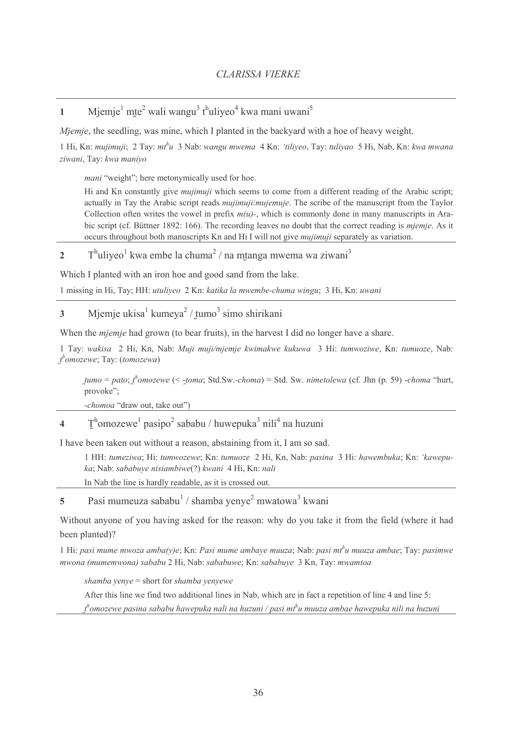Mjemje<sup>1</sup> mte<sup>2</sup> wali wangu<sup>3</sup> t<sup>h</sup>uliyeo<sup>4</sup> kwa mani uwani<sup>5</sup>  $\mathbf{1}$ 

*Miemie*, the seedling, was mine, which I planted in the backvard with a hoe of heavy weight.

1 Hi, Kn: mujimuji; 2 Tay: mt<sup>h</sup>u 3 Nab: wangu mwema 4 Kn: 'tiliyeo, Tay: tuliyao 5 Hi, Nab, Kn: kwa mwana ziwani, Tay: kwa maniyo

*mani* "weight"; here metonymically used for hoe.

Hi and Kn constantly give *mujimuji* which seems to come from a different reading of the Arabic script; actually in Tay the Arabic script reads *mujimuji/mujemuje*. The scribe of the manuscript from the Taylor Collection often writes the vowel in prefix  $m(u)$ -, which is commonly done in many manuscripts in Arabic script (cf. Büttner 1892: 166). The recording leaves no doubt that the correct reading is *mjemje*. As it occurs throughout both manuscripts Kn and Hi I will not give mujimuji separately as variation.

 $T<sup>h</sup>uliyeo<sup>1</sup> kwa embe la chuma<sup>2</sup> / na mtanga mwema wa ziwani<sup>3</sup>$  $\overline{2}$ 

Which I planted with an iron hoe and good sand from the lake.

1 missing in Hi, Tay; HH; *utuliveo* 2 Kn; *katika la mwembe-chuma wingu*; 3 Hi, Kn; *uwani* 

Mjemje ukisa $\frac{1}{2}$ kumeya $\frac{2}{3}$ / tumo $\frac{3}{2}$ simo shirikani  $\mathbf{3}$ 

When the *mjemje* had grown (to bear fruits), in the harvest I did no longer have a share.

1 Tay: wakisa 2 Hi, Kn, Nab: Muji muji/mjemje kwimakwe kukuwa 3 Hi: tumwoziwe, Kn: tumuoze, Nab:  $t^h$ omozewe; Tay: (tomozewa)

tumo = pato;  $t^h$ omozewe (< -toma; Std.Sw.-choma) = Std. Sw. nimetolewa (cf. Jhn (p. 59) -choma "hurt, provoke";

-chomoa "draw out, take out")

 $T^{\text{h}}$ omozewe<sup>1</sup> pasipo<sup>2</sup> sababu / huwepuka<sup>3</sup> nili<sup>4</sup> na huzuni  $\overline{\mathbf{4}}$ 

I have been taken out without a reason, abstaining from it, I am so sad.

1 HH: tumeziwa; Hi: tumwozewe; Kn: tumuoze 2 Hi, Kn, Nab: pasina 3 Hi: hawembuka; Kn: 'kawepuka; Nab: sababuye nisiambiwe(?) kwani 4 Hi, Kn: nali

In Nab the line is hardly readable, as it is crossed out.

Pasi mumeuza sababu<sup>1</sup> / shamba yenye<sup>2</sup> mwatowa<sup>3</sup> kwani 5

Without anyone of you having asked for the reason; why do you take it from the field (where it had been planted)?

1 Hi: pasi mume mwoza amba(y)e; Kn: Pasi mume ambaye muuza; Nab: pasi mt<sup>h</sup>u muuza ambae; Tay: pasimwe mwona (mumemwona) sababu 2 Hi, Nab: sababuwe; Kn: sababuye 3 Kn, Tay: mwamtoa

shamba yenye = short for shamba yenyewe

After this line we find two additional lines in Nab, which are in fact a repetition of line 4 and line 5:

 $t^h$ omozewe pasina sababu hawepuka nali na huzuni / pasi m $t^h$ u muuza ambae hawepuka nili na huzuni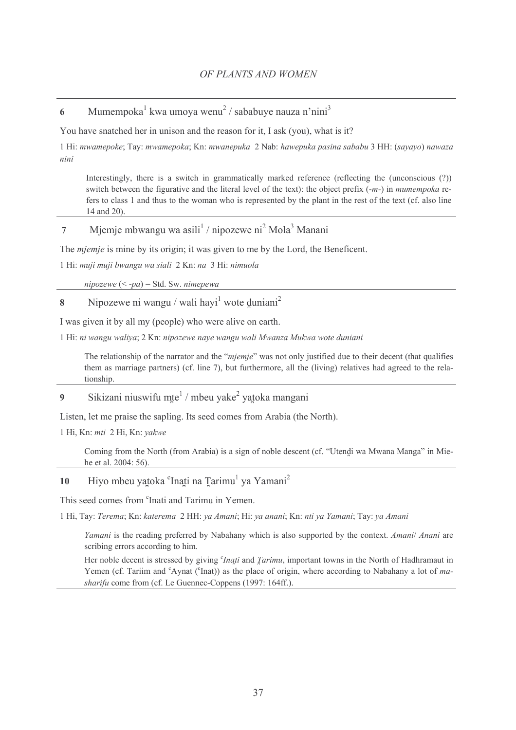Mumempoka<sup>1</sup> kwa umoya wenu<sup>2</sup> / sababuye nauza n'nini<sup>3</sup> 6

You have snatched her in unison and the reason for it. I ask (you), what is it?

1 Hi: mwamepoke; Tay: mwamepoka; Kn: mwanepuka 2 Nab: hawepuka pasina sababu 3 HH: (sayayo) nawaza nini

Interestingly, there is a switch in grammatically marked reference (reflecting the (unconscious (?)) switch between the figurative and the literal level of the text): the object prefix  $(-m)$  in *mumempoka* refers to class 1 and thus to the woman who is represented by the plant in the rest of the text (cf. also line 14 and 20).

#### Mjemje mbwangu wa asili<sup>1</sup> / nipozewe ni<sup>2</sup> Mola<sup>3</sup> Manani  $\overline{7}$

The *mjemje* is mine by its origin; it was given to me by the Lord, the Beneficent.

1 Hi: muji muji bwangu wa siali 2 Kn: na 3 Hi: nimuola

nipozewe  $(< -pa$ ) = Std. Sw. nimepewa

Ninozewe ni wangu / wali havi $<sup>1</sup>$  wote duniani<sup>2</sup></sup>  $\mathbf{\hat{R}}$ 

I was given it by all my (people) who were alive on earth.

1 Hi: ni wangu waliya; 2 Kn: nipozewe naye wangu wali Mwanza Mukwa wote duniani

The relationship of the narrator and the "mjemje" was not only justified due to their decent (that qualifies them as marriage partners) (cf. line 7), but furthermore, all the (living) relatives had agreed to the relationship.

#### Sikizani niuswifu mte<sup>1</sup> / mbeu vake<sup>2</sup> vatoka mangani  $\boldsymbol{Q}$

Listen, let me praise the sapling. Its seed comes from Arabia (the North).

1 Hi, Kn: mti 2 Hi, Kn: yakwe

Coming from the North (from Arabia) is a sign of noble descent (cf. "Utendi wa Mwana Manga" in Miehe et al. 2004: 56).

#### Hiyo mbeu yatoka <sup>c</sup>Inati na Tarimu<sup>1</sup> ya Yamani<sup>2</sup> 10

This seed comes from 'Inati and Tarimu in Yemen.

1 Hi, Tay: Terema; Kn: katerema 2 HH: ya Amani; Hi: ya anani; Kn: nti ya Yamani; Tay: ya Amani

Yamani is the reading preferred by Nabahany which is also supported by the context. Amani/ Anani are scribing errors according to him.

Her noble decent is stressed by giving *'Inati* and *Tarimu*, important towns in the North of Hadhramaut in Yemen (cf. Tariim and <sup>c</sup>Aynat (<sup>c</sup>Inat)) as the place of origin, where according to Nabahany a lot of masharifu come from (cf. Le Guennec-Coppens (1997: 164ff.).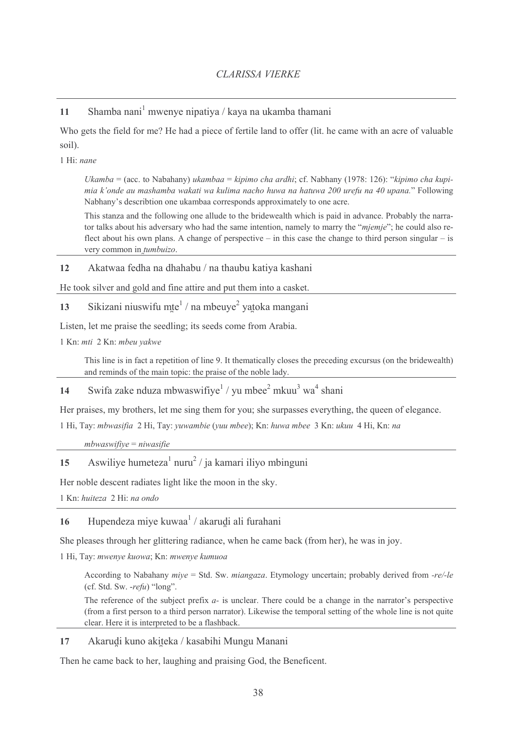Shamba nani<sup>1</sup> mwenye nipatiya / kaya na ukamba thamani  $11$ 

Who gets the field for me? He had a piece of fertile land to offer (lit, he came with an acre of valuable soil).

1 Hi: nane

Ukamba = (acc. to Nabahany) ukambaa = kipimo cha ardhi; cf. Nabhany (1978: 126): "kipimo cha kupimia k'onde au mashamba wakati wa kulima nacho huwa na hatuwa 200 urefu na 40 upana." Following Nabhany's describtion one ukambaa corresponds approximately to one acre.

This stanza and the following one allude to the bridewealth which is paid in advance. Probably the narrator talks about his adversary who had the same intention, namely to marry the "mjemje"; he could also reflect about his own plans. A change of perspective  $-$  in this case the change to third person singular  $-$  is very common in tumbuizo.

Akatwaa fedha na dhahabu / na thaubu katiya kashani 12

He took silver and gold and fine attire and put them into a casket.

Sikizani niuswifu mte<sup>1</sup> / na mbeuye<sup>2</sup> yatoka mangani 13

Listen, let me praise the seedling; its seeds come from Arabia.

1 Kn; mti 2 Kn; mbeu vakwe

This line is in fact a repetition of line 9. It thematically closes the preceding excursus (on the bridewealth) and reminds of the main topic: the praise of the noble lady.

Swifa zake nduza mbwaswifiye<sup>1</sup> / yu mbee<sup>2</sup> mkuu<sup>3</sup> wa<sup>4</sup> shani 14

Her praises, my brothers, let me sing them for you; she surpasses everything, the queen of elegance.

1 Hi, Tay: mbwasifia 2 Hi, Tay: yuwambie (yuu mbee); Kn: huwa mbee 3 Kn: ukuu 4 Hi, Kn: na

 $mbwaswifive = niwasifie$ 

Aswiliye humeteza<sup>1</sup> nuru<sup>2</sup> / ja kamari iliyo mbinguni 15

Her noble descent radiates light like the moon in the sky.

1 Kn: huiteza 2 Hi: na ondo

Hupendeza miye kuwaa<sup>1</sup> / akarudi ali furahani 16

She pleases through her glittering radiance, when he came back (from her), he was in joy.

1 Hi, Tay: mwenye kuowa; Kn: mwenye kumuoa

According to Nabahany  $mive = Std$ . Sw. miangaza. Etymology uncertain: probably derived from -re/-le (cf. Std. Sw.  $\text{-}refu$ ) "long".

The reference of the subject prefix  $a$ - is unclear. There could be a change in the narrator's perspective (from a first person to a third person narrator). Likewise the temporal setting of the whole line is not quite clear. Here it is interpreted to be a flashback.

#### 17 Akarudi kuno akiteka / kasabihi Mungu Manani

Then he came back to her, laughing and praising God, the Beneficent.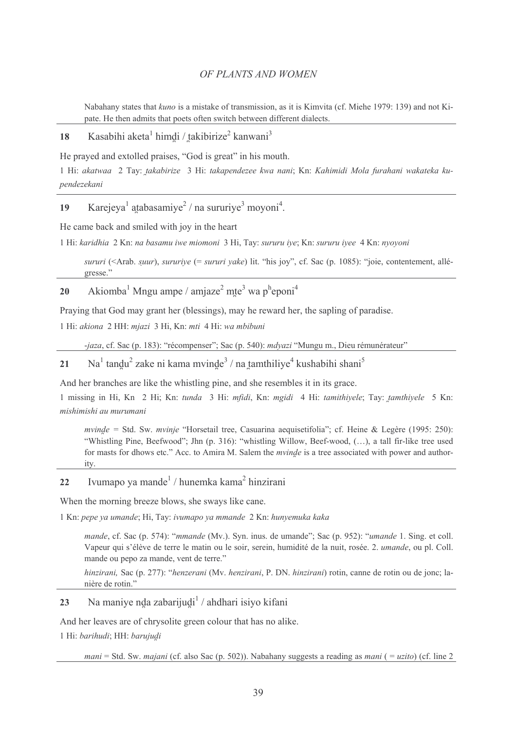Nabahany states that *kuno* is a mistake of transmission, as it is Kimvita (cf. Miehe 1979: 139) and not Kipate. He then admits that poets often switch between different dialects.

#### Kasabihi aketa<sup>1</sup> himdi / takibirize<sup>2</sup> kanwani<sup>3</sup> 18

He prayed and extolled praises, "God is great" in his mouth.

1 Hi: akatwaa 2 Tay: takabirize 3 Hi: takapendezee kwa nani; Kn: Kahimidi Mola furahani wakateka kupendezekani

Karejeya<sup>1</sup> atabasamiye<sup>2</sup> / na sururiye<sup>3</sup> movoni<sup>4</sup>. 19

He came back and smiled with joy in the heart

1 Hi: karidhia 2 Kn: na basamu iwe miomoni 3 Hi, Tay: sururu iye; Kn: sururu iyee 4 Kn: nyoyoni

sururi (<Arab. suur), sururiye (= sururi yake) lit. "his joy", cf. Sac (p. 1085): "joie, contentement, allégresse."

#### Akiomba<sup>1</sup> Mngu ampe / amjaze<sup>2</sup> mte<sup>3</sup> wa p<sup>h</sup>eponi<sup>4</sup> 20

Praying that God may grant her (blessings), may he reward her, the sapling of paradise.

1 Hi: akiona 2 HH: mjazi 3 Hi, Kn: mti 4 Hi: wa mbibuni

-jaza, cf. Sac (p. 183): "récompenser"; Sac (p. 540): *mdyazi* "Mungu m., Dieu rémunérateur"

 $Na<sup>1</sup>$  tandu<sup>2</sup> zake ni kama mvinde<sup>3</sup> / na tamthiliye<sup>4</sup> kushabihi shani<sup>5</sup> 21

And her branches are like the whistling pine, and she resembles it in its grace.

1 missing in Hi, Kn 2 Hi; Kn: tunda 3 Hi: mfidi, Kn: mgidi 4 Hi: tamithiyele; Tay: tamthiyele 5 Kn: mishimishi au murumani

mvinde = Std. Sw. mvinje "Horsetail tree, Casuarina aequisetifolia"; cf. Heine & Legère (1995: 250): "Whistling Pine, Beefwood"; Jhn (p. 316): "whistling Willow, Beef-wood, (...), a tall fir-like tree used for masts for dhows etc." Acc. to Amira M. Salem the *myinde* is a tree associated with power and authority.

#### Ivumapo ya mande<sup>1</sup> / hunemka kama<sup>2</sup> hinzirani  $22$

When the morning breeze blows, she sways like cane.

1 Kn: pepe ya umande; Hi, Tay: ivumapo ya mmande 2 Kn: hunyemuka kaka

mande, cf. Sac (p. 574): "mmande (Mv.). Syn. inus. de umande"; Sac (p. 952): "umande 1. Sing. et coll. Vapeur qui s'élève de terre le matin ou le soir, serein, humidité de la nuit, rosée. 2. *umande*, ou pl. Coll. mande ou pepo za mande, vent de terre."

hinzirani, Sac (p. 277): "henzerani (Mv. henzirani, P. DN. hinzirani) rotin, canne de rotin ou de jonc; lanière de rotin."

23 Na maniye nda zabarijudi $\frac{1}{4}$  / ahdhari isiyo kifani

And her leaves are of chrysolite green colour that has no alike.

1 Hi: barihudi; HH: barujudi

mani = Std. Sw. majani (cf. also Sac (p. 502)). Nabahany suggests a reading as mani ( = uzito) (cf. line 2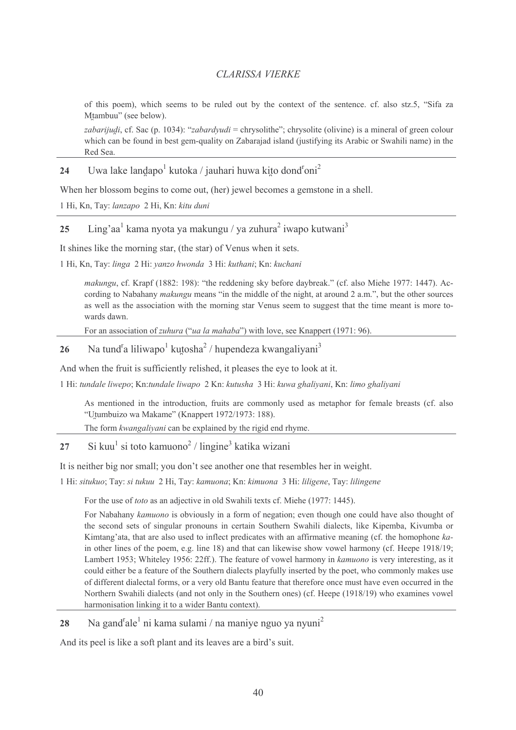of this poem), which seems to be ruled out by the context of the sentence, cf. also stz.5, "Sifa za Mtambuu" (see below).

zabarijudi, cf. Sac (p. 1034): "zabardyudi = chrysolithe"; chrysolite (olivine) is a mineral of green colour which can be found in best gem-quality on Zabarajad island (justifying its Arabic or Swahili name) in the Red Sea

#### Uwa lake landapo<sup>1</sup> kutoka / jauhari huwa kito dond<sup>r</sup>oni<sup>2</sup> 24

When her blossom begins to come out, (her) jewel becomes a gemstone in a shell.

1 Hi, Kn, Tay: lanzapo 2 Hi, Kn: kitu duni

#### Ling'aa<sup>1</sup> kama nyota ya makungu / ya zuhura<sup>2</sup> iwapo kutwani<sup>3</sup> 25

It shines like the morning star, (the star) of Venus when it sets.

1 Hi, Kn, Tay: linga 2 Hi: yanzo hwonda 3 Hi: kuthani; Kn: kuchani

makungu, cf. Krapf (1882: 198): "the reddening sky before daybreak." (cf. also Miehe 1977: 1447). According to Nabahany *makungu* means "in the middle of the night, at around 2 a.m.", but the other sources as well as the association with the morning star Venus seem to suggest that the time meant is more towards dawn.

For an association of *zuhura* ("*ua la mahaba*") with love, see Knappert (1971: 96).

#### Na tund<sup>r</sup>a liliwapo<sup>1</sup> kutosha<sup>2</sup> / hupendeza kwangaliyani<sup>3</sup> 26

And when the fruit is sufficiently relished, it pleases the eye to look at it.

1 Hi: tundale liwepo; Kn:tundale liwapo 2 Kn: kutusha 3 Hi: kuwa ghaliyani, Kn: limo ghaliyani

As mentioned in the introduction, fruits are commonly used as metaphor for female breasts (cf. also "Utumbuizo wa Makame" (Knappert 1972/1973: 188).

The form kwangaliyani can be explained by the rigid end rhyme.

 $Si$  kuu<sup>1</sup> si toto kamuono<sup>2</sup> / lingine<sup>3</sup> katika wizani  $27$ 

It is neither big nor small; you don't see another one that resembles her in weight.

1 Hi: situkuo; Tay: si tukuu 2 Hi, Tay: kamuona; Kn: kimuona 3 Hi: liligene, Tay: lilingene

For the use of *toto* as an adjective in old Swahili texts cf. Miehe (1977: 1445).

For Nabahany kamuono is obviously in a form of negation; even though one could have also thought of the second sets of singular pronouns in certain Southern Swahili dialects, like Kipemba, Kivumba or Kimtang'ata, that are also used to inflect predicates with an affirmative meaning (cf. the homophone kain other lines of the poem, e.g. line 18) and that can likewise show vowel harmony (cf. Heepe 1918/19; Lambert 1953; Whiteley 1956: 22ff.). The feature of vowel harmony in kamuono is very interesting, as it could either be a feature of the Southern dialects playfully inserted by the poet, who commonly makes use of different dialectal forms, or a very old Bantu feature that therefore once must have even occurred in the Northern Swahili dialects (and not only in the Southern ones) (cf. Heepe (1918/19) who examines yowel harmonisation linking it to a wider Bantu context).

Na gand<sup>r</sup>ale<sup>1</sup> ni kama sulami / na maniye nguo ya nyuni<sup>2</sup> 28

And its peel is like a soft plant and its leaves are a bird's suit.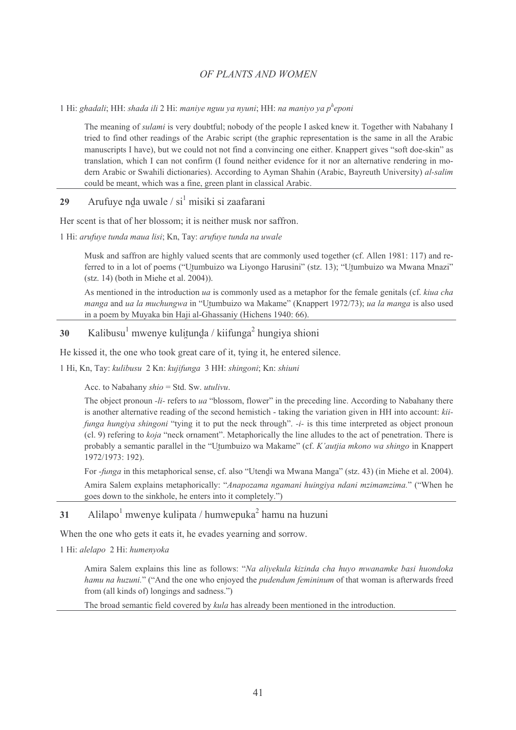1 Hi: ghadali; HH: shada ili 2 Hi: maniye nguu ya nyuni; HH: na maniyo ya p<sup>h</sup>eponi

The meaning of *sulami* is very doubtful; nobody of the people I asked knew it. Together with Nabahany I tried to find other readings of the Arabic script (the graphic representation is the same in all the Arabic manuscripts I have), but we could not not find a convincing one either. Knappert gives "soft doe-skin" as translation, which I can not confirm (I found neither evidence for it nor an alternative rendering in modern Arabic or Swahili dictionaries). According to Ayman Shahin (Arabic, Bayreuth University) al-salim could be meant, which was a fine, green plant in classical Arabic.

Arufuye nda uwale / si<sup>1</sup> misiki si zaafarani 29

Her scent is that of her blossom; it is neither musk nor saffron.

1 Hi: arufuye tunda maua lisi; Kn, Tay: arufuye tunda na uwale

Musk and saffron are highly valued scents that are commonly used together (cf. Allen 1981: 117) and referred to in a lot of poems ("Utumbuizo wa Liyongo Harusini" (stz. 13); "Utumbuizo wa Mwana Mnazi" (stz. 14) (both in Miehe et al. 2004)).

As mentioned in the introduction ua is commonly used as a metaphor for the female genitals (cf. kiua cha manga and ua la muchungwa in "Utumbuizo wa Makame" (Knappert 1972/73); ua la manga is also used in a poem by Muyaka bin Haji al-Ghassaniy (Hichens 1940: 66).

#### Kalibusu<sup>1</sup> mwenye kulitunda / kiifunga<sup>2</sup> hungiya shioni 30

He kissed it, the one who took great care of it, tying it, he entered silence.

1 Hi, Kn, Tay: kulibusu 2 Kn: kujifunga 3 HH: shingoni; Kn: shiuni

Acc. to Nabahany  $shio = Std$ . Sw. *utulivu*.

The object pronoun -li- refers to ua "blossom, flower" in the preceding line. According to Nabahany there is another alternative reading of the second hemistich - taking the variation given in HH into account: kiifunga hungiya shingoni "tying it to put the neck through". -i- is this time interpreted as object pronoun (cl. 9) refering to *koja* "neck ornament". Metaphorically the line alludes to the act of penetration. There is probably a semantic parallel in the "Utumbuizo wa Makame" (cf. K'autjia mkono wa shingo in Knappert 1972/1973: 192).

For *-funga* in this metaphorical sense, cf. also "Utendi wa Mwana Manga" (stz. 43) (in Miehe et al. 2004).

Amira Salem explains metaphorically: "Anapozama ngamani huingiya ndani mzimamzima." ("When he goes down to the sinkhole, he enters into it completely."

Alilapo<sup>1</sup> mwenye kulipata / humwepuka<sup>2</sup> hamu na huzuni 31

When the one who gets it eats it, he evades yearning and sorrow.

1 Hi: alelapo 2 Hi: humenyoka

Amira Salem explains this line as follows: "Na aliyekula kizinda cha huyo mwanamke basi huondoka hamu na huzuni." ("And the one who enjoyed the pudendum femininum of that woman is afterwards freed from (all kinds of) longings and sadness.")

The broad semantic field covered by *kula* has already been mentioned in the introduction.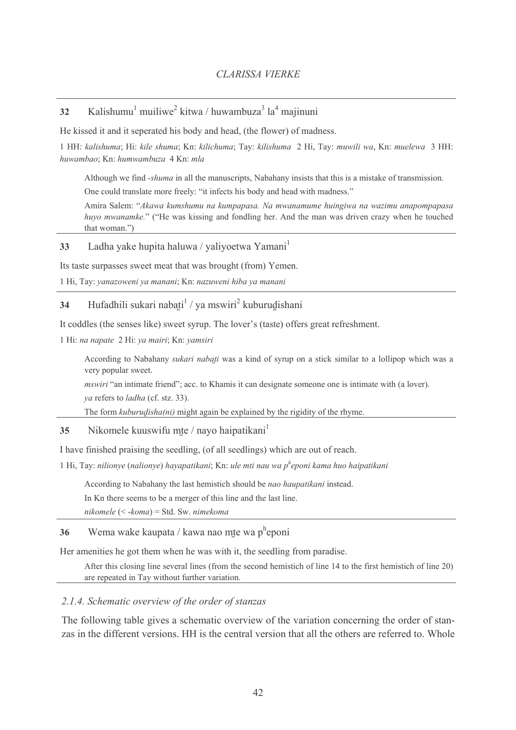#### Kalishumu<sup>1</sup> muiliwe<sup>2</sup> kitwa / huwambuza<sup>3</sup> la<sup>4</sup> maiinuni 32

He kissed it and it seperated his body and head, (the flower) of madness.

1 HH: kalishuma; Hi: kile shuma; Kn: kilichuma; Tay: kilishuma 2 Hi, Tay: muwili wa, Kn: muelewa 3 HH: huwambao: Kn: humwambuza 4 Kn: mla

Although we find *-shuma* in all the manuscripts, Nabahany insists that this is a mistake of transmission. One could translate more freely: "it infects his body and head with madness."

Amira Salem: "Akawa kumshumu na kumpapasa. Na mwanamume huingiwa na wazimu anapompapasa huvo mwanamke." ("He was kissing and fondling her. And the man was driven crazy when he touched that woman.")

Ladha vake hupita haluwa / valivoetwa Yamani<sup>1</sup> 33

Its taste surpasses sweet meat that was brought (from) Yemen.

1 Hi, Tay: yanazoweni ya manani; Kn: nazuweni hiba ya manani

Hufadhili sukari nabati<sup>1</sup> / ya mswiri<sup>2</sup> kuburudishani 34

It coddles (the senses like) sweet syrup. The lover's (taste) offers great refreshment.

1 Hi: na napate 2 Hi: ya mairi; Kn: yamsiri

According to Nabahany sukari nabati was a kind of syrup on a stick similar to a lollipop which was a very popular sweet.

mswiri "an intimate friend"; acc. to Khamis it can designate someone one is intimate with (a lover).

ya refers to *ladha* (cf. stz. 33).

The form  $kuburudisha(ni)$  might again be explained by the rigidity of the rhyme.

Nikomele kuuswifu mte / nayo haipatikani 35

I have finished praising the seedling, (of all seedlings) which are out of reach.

1 Hi, Tay: nilionye (nalionye) hayapatikani; Kn: ule mti nau wa p<sup>h</sup>eponi kama huo haipatikani

According to Nabahany the last hemistich should be nao haupatikani instead.

In Kn there seems to be a merger of this line and the last line.

 $nikomele$  (< - $koma$ ) = Std. Sw. nimekoma

#### Wema wake kaupata / kawa nao mte wa p<sup>h</sup>eponi 36

Her amenities he got them when he was with it, the seedling from paradise.

After this closing line several lines (from the second hemistich of line 14 to the first hemistich of line 20) are repeated in Tay without further variation.

### 2.1.4. Schematic overview of the order of stanzas

The following table gives a schematic overview of the variation concerning the order of stanzas in the different versions. HH is the central version that all the others are referred to. Whole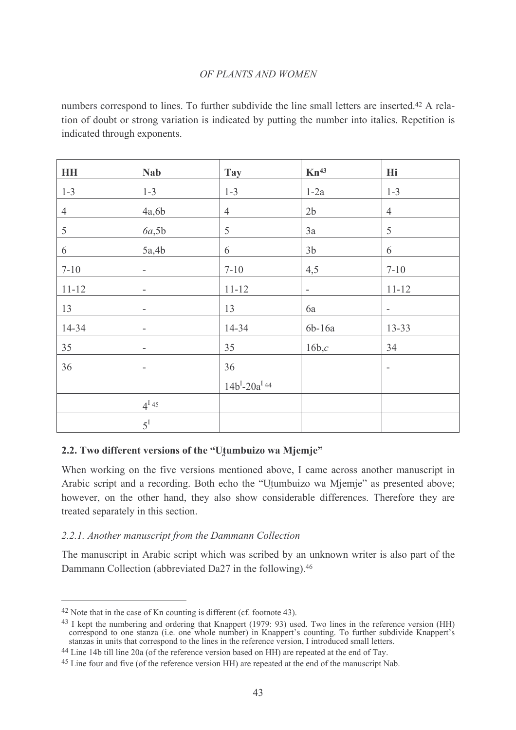numbers correspond to lines. To further subdivide the line small letters are inserted.<sup>42</sup> A relation of doubt or strong variation is indicated by putting the number into italics. Repetition is indicated through exponents.

| <b>HH</b>      | <b>Nab</b>               | <b>Tay</b>                      | $Kn^{43}$                | Hi                       |
|----------------|--------------------------|---------------------------------|--------------------------|--------------------------|
| $1 - 3$        | $1 - 3$                  | $1 - 3$                         | $1-2a$                   | $1 - 3$                  |
| $\overline{4}$ | 4a,6b                    | $\overline{4}$                  | 2 <sub>b</sub>           | $\overline{4}$           |
| 5              | 6a,5b                    | 5                               | 3a                       | $\mathfrak S$            |
| 6              | 5a,4b                    | 6                               | 3 <sub>b</sub>           | 6                        |
| $7 - 10$       | $\overline{a}$           | $7 - 10$                        | 4,5                      | $7 - 10$                 |
| $11 - 12$      | $\overline{\phantom{a}}$ | $11 - 12$                       | $\overline{\phantom{a}}$ | $11 - 12$                |
| 13             | $\overline{\phantom{0}}$ | 13                              | 6a                       | $\overline{a}$           |
| 14-34          | $\overline{a}$           | 14-34                           | 6b-16a                   | 13-33                    |
| 35             | -                        | 35                              | 16b,c                    | 34                       |
| 36             | $\overline{\phantom{a}}$ | 36                              |                          | $\overline{\phantom{a}}$ |
|                |                          | $14b^{I}-20a^{I}$ <sup>44</sup> |                          |                          |
|                | $4^{I}45$                |                                 |                          |                          |
|                | $5^{\mathrm{I}}$         |                                 |                          |                          |

# 2.2. Two different versions of the "Utumbuizo wa Mjemje"

When working on the five versions mentioned above. I came across another manuscript in Arabic script and a recording. Both echo the "Utumbuizo wa Miemie" as presented above; however, on the other hand, they also show considerable differences. Therefore they are treated separately in this section.

# 2.2.1. Another manuscript from the Dammann Collection

The manuscript in Arabic script which was scribed by an unknown writer is also part of the Dammann Collection (abbreviated Da27 in the following).<sup>46</sup>

 $42$  Note that in the case of Kn counting is different (cf. footnote 43).

<sup>&</sup>lt;sup>43</sup> I kept the numbering and ordering that Knappert (1979: 93) used. Two lines in the reference version (HH) correspond to one stanza (i.e. one whole number) in Knappert's counting. To further subdivide Knappert's stanzas in units that correspond to the lines in the reference version. I introduced small letters.

 $^{44}$  Line 14b till line 20a (of the reference version based on HH) are repeated at the end of Tay.

<sup>&</sup>lt;sup>45</sup> Line four and five (of the reference version HH) are repeated at the end of the manuscript Nab.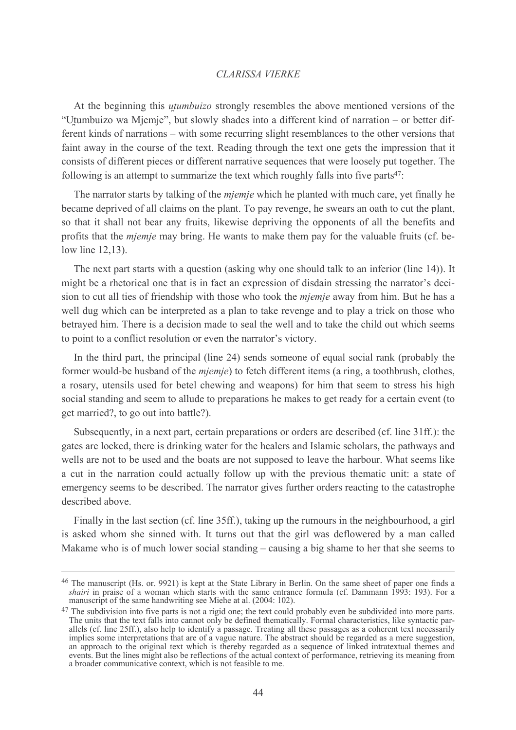At the beginning this *utumbuizo* strongly resembles the above mentioned versions of the "Utumbuizo wa Mjemje", but slowly shades into a different kind of narration – or better different kinds of narrations – with some recurring slight resemblances to the other versions that faint away in the course of the text. Reading through the text one gets the impression that it consists of different pieces or different narrative sequences that were loosely put together. The following is an attempt to summarize the text which roughly falls into five parts<sup>47</sup>.

The narrator starts by talking of the *mjemje* which he planted with much care, yet finally he became deprived of all claims on the plant. To pay revenge, he swears an oath to cut the plant, so that it shall not bear any fruits, likewise depriving the opponents of all the benefits and profits that the *mjemje* may bring. He wants to make them pay for the valuable fruits (cf. below line  $12,13$ ).

The next part starts with a question (asking why one should talk to an inferior (line 14)). It might be a rhetorical one that is in fact an expression of disdain stressing the narrator's decision to cut all ties of friendship with those who took the *mjemje* away from him. But he has a well dug which can be interpreted as a plan to take revenge and to play a trick on those who betrayed him. There is a decision made to seal the well and to take the child out which seems to point to a conflict resolution or even the narrator's victory.

In the third part, the principal (line 24) sends someone of equal social rank (probably the former would-be husband of the *mjemje*) to fetch different items (a ring, a toothbrush, clothes, a rosary, utensils used for betel chewing and weapons) for him that seem to stress his high social standing and seem to allude to preparations he makes to get ready for a certain event (to get married?, to go out into battle?).

Subsequently, in a next part, certain preparations or orders are described (cf. line 31ff.): the gates are locked, there is drinking water for the healers and Islamic scholars, the pathways and wells are not to be used and the boats are not supposed to leave the harbour. What seems like a cut in the narration could actually follow up with the previous thematic unit: a state of emergency seems to be described. The narrator gives further orders reacting to the catastrophe described above.

Finally in the last section (cf. line 35ff.), taking up the rumours in the neighbourhood, a girl is asked whom she sinned with. It turns out that the girl was deflowered by a man called Makame who is of much lower social standing – causing a big shame to her that she seems to

<sup>&</sup>lt;sup>46</sup> The manuscript (Hs. or. 9921) is kept at the State Library in Berlin. On the same sheet of paper one finds a *shairi* in praise of a woman which starts with the same entrance formula (cf. Dammann 1993: 193). For a manuscript of the same handwriting see Miehe at al. (2004: 102).

<sup>&</sup>lt;sup>47</sup> The subdivision into five parts is not a rigid one; the text could probably even be subdivided into more parts. The units that the text falls into cannot only be defined thematically. Formal characteristics, like syntactic parallels (cf. line 25ff.), also help to identify a passage. Treating all these passages as a coherent text nec implies some interpretations that are of a vague nature. The abstract should be regarded as a mere suggestion, an approach to the original text which is thereby regarded as a sequence of linked intratextual themes and events. But the lines might also be reflections of the actual context of performance, retrieving its meaning from a broader communicative context, which is not feasible to me.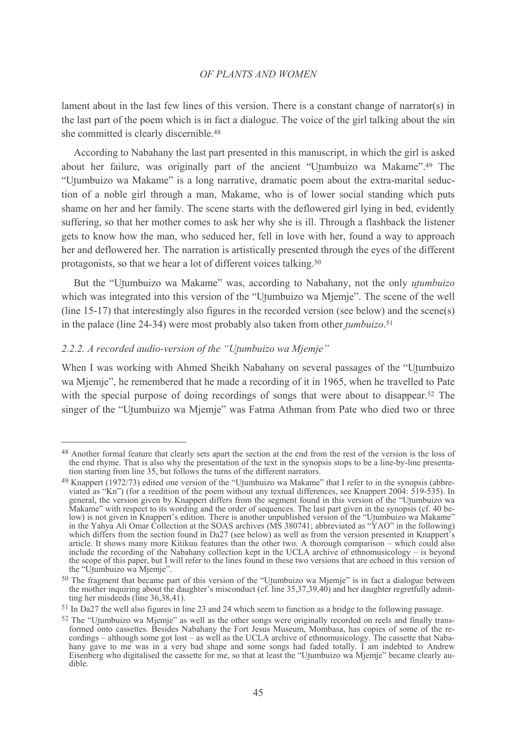lament about in the last few lines of this version. There is a constant change of narrator(s) in the last part of the poem which is in fact a dialogue. The voice of the girl talking about the sin she committed is clearly discernible.<sup>48</sup>

According to Nabahany the last part presented in this manuscript, in which the girl is asked about her failure, was originally part of the ancient "Utumbuizo wa Makame".<sup>49</sup> The "Utumbuizo wa Makame" is a long narrative, dramatic poem about the extra-marital seduction of a noble girl through a man, Makame, who is of lower social standing which puts shame on her and her family. The scene starts with the deflowered girl lying in bed, evidently suffering, so that her mother comes to ask her why she is ill. Through a flashback the listener gets to know how the man, who seduced her, fell in love with her, found a way to approach her and deflowered her. The narration is artistically presented through the eyes of the different protagonists, so that we hear a lot of different voices talking.<sup>50</sup>

But the "Utumbuizo wa Makame" was, according to Nabahany, not the only utumbuizo which was integrated into this version of the "Utumbuizo wa Mjemje". The scene of the well (line 15-17) that interestingly also figures in the recorded version (see below) and the scene(s) in the palace (line 24-34) were most probably also taken from other *tumbuizo*.<sup>51</sup>

# 2.2.2. A recorded audio-version of the "Utumbuizo wa Mjemje"

When I was working with Ahmed Sheikh Nabahany on several passages of the "Utumbuizo" wa Mjemje", he remembered that he made a recording of it in 1965, when he travelled to Pate with the special purpose of doing recordings of songs that were about to disappear.<sup>52</sup> The singer of the "Utumbuizo wa Mjemje" was Fatma Athman from Pate who died two or three

<sup>&</sup>lt;sup>48</sup> Another formal feature that clearly sets apart the section at the end from the rest of the version is the loss of the end rhyme. That is also why the presentation of the text in the synopsis stops to be a line-by-line presentation starting from line 35, but follows the turns of the different narrators.

<sup>&</sup>lt;sup>49</sup> Knappert (1972/73) edited one version of the "Utumbuizo wa Makame" that I refer to in the synopsis (abbreviated as "Kn") (for a reedition of the poem without any textual differences, see Knappert 2004: 519-535). In general, the version given by Knappert differs from the segment found in this version of the "Utumbuizo wa Makame" with respect to its wording and the order of sequences. The last part given in the synopsis (cf. 40 below) is not given in Knappert's edition. There is another unpublished version of the "Utumbuizo wa Makame" in the Yahya Ali Omar Collection at the SOAS archives (MS 380741; abbreviated as "YAO" in the following) which differs from the section found in Da27 (see below) as well as from the version presented in Knappert's article. It shows many more Kitikuu features than the other two. A thorough comparison – which could also include the recording of the Nabahany collection kept in the UCLA archive of ethnomusicology  $-$  is beyond the scope of this paper, but I will refer to the lines found in these two versions that are echoed in this version of the "Utumbuizo wa Miemie".

<sup>&</sup>lt;sup>50</sup> The fragment that became part of this version of the "Utumbuizo wa Mjemje" is in fact a dialogue between the mother inquiring about the daughter's misconduct (cf. line 35,37,39,40) and her daughter regretfully admit-<br>ting her misdeeds (line 36,38,41).

<sup>&</sup>lt;sup>51</sup> In Da27 the well also figures in line 23 and 24 which seem to function as a bridge to the following passage.

<sup>&</sup>lt;sup>52</sup> The "Utumbuizo wa Mjemje" as well as the other songs were originally recorded on reels and finally transformed onto cassettes. Besides Nabahany the Fort Jesus Museum, Mombasa, has copies of some of the recordings – although some got lost – as well as the UCLA archive of ethnomusicology. The cassette that Naba-<br>hany gave to me was in a very bad shape and some songs had faded totally. I am indebted to Andrew<br>Eisenberg who di dible.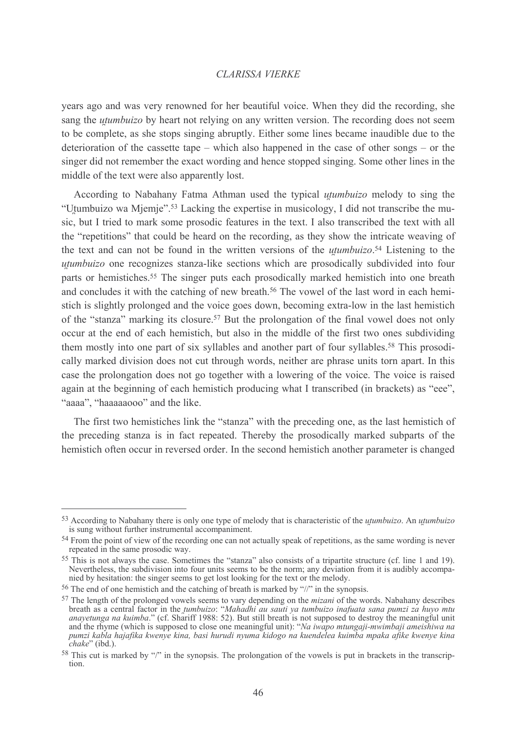years ago and was very renowned for her beautiful voice. When they did the recording, she sang the *utumbuizo* by heart not relying on any written version. The recording does not seem to be complete, as she stops singing abruptly. Either some lines became inaudible due to the deterioration of the cassette tape – which also happened in the case of other songs – or the singer did not remember the exact wording and hence stopped singing. Some other lines in the middle of the text were also apparently lost.

According to Nabahany Fatma Athman used the typical *utumbuizo* melody to sing the "Utumbuizo wa Mjemje".<sup>53</sup> Lacking the expertise in musicology, I did not transcribe the music, but I tried to mark some prosodic features in the text. I also transcribed the text with all the "repetitions" that could be heard on the recording, as they show the intricate weaving of the text and can not be found in the written versions of the *utumbuizo*.<sup>54</sup> Listening to the *utumbuizo* one recognizes stanza-like sections which are prosodically subdivided into four parts or hemistiches.<sup>55</sup> The singer puts each prosodically marked hemistich into one breath and concludes it with the catching of new breath.<sup>56</sup> The vowel of the last word in each hemistich is slightly prolonged and the voice goes down, becoming extra-low in the last hemistich of the "stanza" marking its closure.<sup>57</sup> But the prolongation of the final vowel does not only occur at the end of each hemistich, but also in the middle of the first two ones subdividing them mostly into one part of six syllables and another part of four syllables.<sup>58</sup> This prosodically marked division does not cut through words, neither are phrase units torn apart. In this case the prolongation does not go together with a lowering of the voice. The voice is raised again at the beginning of each hemistich producing what I transcribed (in brackets) as "eee", "aaaa". "haaaaaooo" and the like.

The first two hemistiches link the "stanza" with the preceding one, as the last hemistich of the preceding stanza is in fact repeated. Thereby the prosodically marked subparts of the hemistich often occur in reversed order. In the second hemistich another parameter is changed

<sup>53</sup> According to Nabahany there is only one type of melody that is characteristic of the *utumbuizo*. An *utumbuizo* is sung without further instrumental accompaniment.

<sup>&</sup>lt;sup>54</sup> From the point of view of the recording one can not actually speak of repetitions, as the same wording is never repeated in the same prosodic way.

<sup>&</sup>lt;sup>55</sup> This is not always the case. Sometimes the "stanza" also consists of a tripartite structure (cf. line 1 and 19). Nevertheless, the subdivision into four units seems to be the norm; any deviation from it is audibly accompanied by hesitation: the singer seems to get lost looking for the text or the melody.

<sup>&</sup>lt;sup>56</sup> The end of one hemistich and the catching of breath is marked by "//" in the synopsis.

<sup>&</sup>lt;sup>57</sup> The length of the prolonged vowels seems to vary depending on the *mizani* of the words. Nabahany describes The length of the protonged vowers seems to vary depending on the *mizant* of the words. Practitum of describes breath as a central factor in the *tumbuizo*: "Mahadhi au sauti ya tumbuizo inafuata sana pumzi za huyo mtu an pumzi kabla hajafika kwenye kina, basi hurudi nyuma kidogo na kuendelea kuimba mpaka afike kwenye kina chake" (ibd.).

<sup>&</sup>lt;sup>58</sup> This cut is marked by "/" in the synopsis. The prolongation of the vowels is put in brackets in the transcription.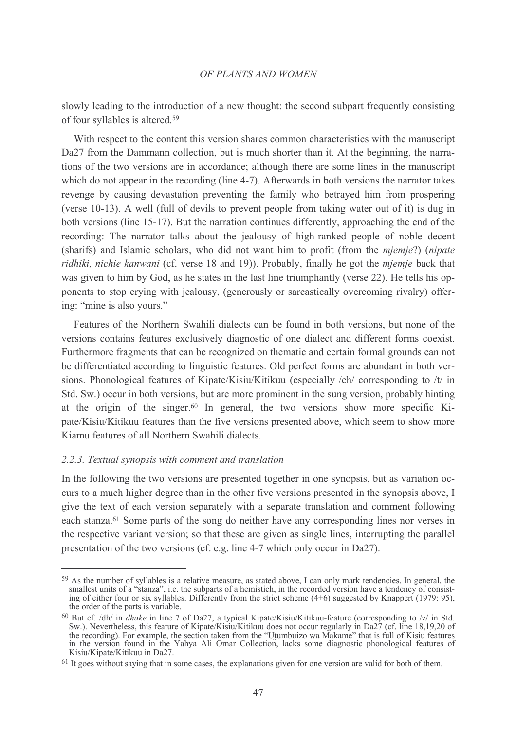slowly leading to the introduction of a new thought: the second subpart frequently consisting of four syllables is altered.<sup>59</sup>

With respect to the content this version shares common characteristics with the manuscript Da27 from the Dammann collection, but is much shorter than it. At the beginning, the narrations of the two versions are in accordance; although there are some lines in the manuscript which do not appear in the recording (line 4-7). Afterwards in both versions the narrator takes revenge by causing devastation preventing the family who betrayed him from prospering (verse 10-13). A well (full of devils to prevent people from taking water out of it) is dug in both versions (line 15-17). But the narration continues differently, approaching the end of the recording: The narrator talks about the jealousy of high-ranked people of noble decent (sharifs) and Islamic scholars, who did not want him to profit (from the *miemie?)* (*nipate ridhiki, nichie kanwani* (cf. verse 18 and 19)). Probably, finally he got the *miemie* back that was given to him by God, as he states in the last line triumphantly (verse 22). He tells his opponents to stop crying with jealousy, (generously or sarcastically overcoming rivalry) offering: "mine is also yours."

Features of the Northern Swahili dialects can be found in both versions, but none of the versions contains features exclusively diagnostic of one dialect and different forms coexist. Furthermore fragments that can be recognized on the matic and certain formal grounds can not be differentiated according to linguistic features. Old perfect forms are abundant in both versions. Phonological features of Kipate/Kisiu/Kitikuu (especially /ch/ corresponding to /t/ in Std. Sw.) occur in both versions, but are more prominent in the sung version, probably hinting at the origin of the singer.<sup>60</sup> In general, the two versions show more specific Kipate/Kisiu/Kitikuu features than the five versions presented above, which seem to show more Kiamu features of all Northern Swahili dialects.

### 2.2.3. Textual synopsis with comment and translation

In the following the two versions are presented together in one synopsis, but as variation occurs to a much higher degree than in the other five versions presented in the synopsis above. I give the text of each version separately with a separate translation and comment following each stanza.<sup>61</sup> Some parts of the song do neither have any corresponding lines nor verses in the respective variant version; so that these are given as single lines, interrupting the parallel presentation of the two versions (cf. e.g. line 4-7 which only occur in Da27).

<sup>&</sup>lt;sup>59</sup> As the number of syllables is a relative measure, as stated above, I can only mark tendencies. In general, the smallest units of a "stanza", i.e. the subparts of a hemistich, in the recorded version have a tendency of consist-<br>ing of either four or six syllables. Differently from the strict scheme (4+6) suggested by Knappert (1979: the order of the parts is variable.

<sup>&</sup>lt;sup>60</sup> But cf. /dh/ in *dhake* in line 7 of Da27, a typical Kipate/Kisiu/Kitikuu-feature (corresponding to /z/ in Std. Sw.). Nevertheless, this feature of Kipate/Kisiu/Kitikuu does not occur regularly in Da27 (cf. line 18,1 the recording). For example, the section taken from the "Utumbuizo wa Makame" that is full of Kisiu features in the version found in the Yahya Ali Omar Collection, lacks some diagnostic phonological features of Kisiu/Kipate/Kitikuu in Da27.

 $61$  It goes without saying that in some cases, the explanations given for one version are valid for both of them.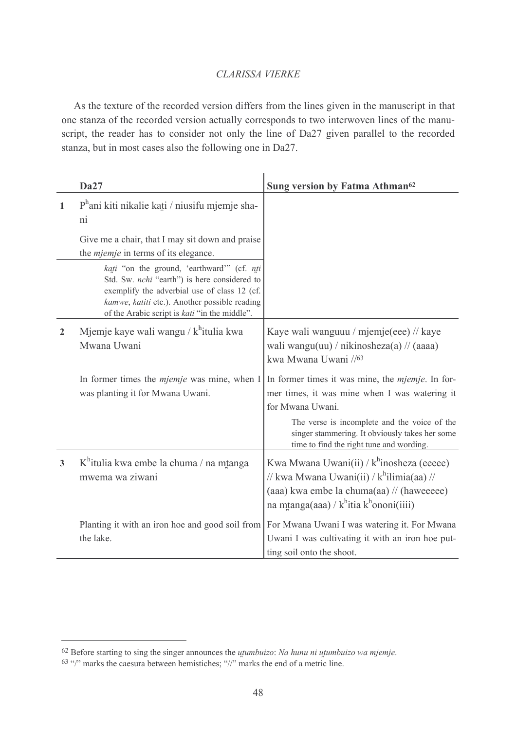As the texture of the recorded version differs from the lines given in the manuscript in that one stanza of the recorded version actually corresponds to two interwoven lines of the manuscript, the reader has to consider not only the line of Da27 given parallel to the recorded stanza, but in most cases also the following one in Da27.

|              | <b>Da27</b>                                                                                                                                                                                                                                  | Sung version by Fatma Athman <sup>62</sup>                                                                                                                                                                        |
|--------------|----------------------------------------------------------------------------------------------------------------------------------------------------------------------------------------------------------------------------------------------|-------------------------------------------------------------------------------------------------------------------------------------------------------------------------------------------------------------------|
| 1            | $Ph$ ani kiti nikalie kati / niusifu mjemje sha-<br>ni                                                                                                                                                                                       |                                                                                                                                                                                                                   |
|              | Give me a chair, that I may sit down and praise<br>the <i>mjemje</i> in terms of its elegance.                                                                                                                                               |                                                                                                                                                                                                                   |
|              | kati "on the ground, 'earthward'" (cf. nti<br>Std. Sw. nchi "earth") is here considered to<br>exemplify the adverbial use of class 12 (cf.<br>kamwe, katiti etc.). Another possible reading<br>of the Arabic script is kati "in the middle". |                                                                                                                                                                                                                   |
| $\mathbf{2}$ | Mjemje kaye wali wangu / k <sup>h</sup> itulia kwa<br>Mwana Uwani                                                                                                                                                                            | Kaye wali wanguuu / mjemje(eee) // kaye<br>wali wangu(uu) / nikinosheza(a) // (aaaa)<br>kwa Mwana Uwani //63                                                                                                      |
|              | In former times the <i>mjemje</i> was mine, when I<br>was planting it for Mwana Uwani.                                                                                                                                                       | In former times it was mine, the <i>mjemje</i> . In for-<br>mer times, it was mine when I was watering it<br>for Mwana Uwani.                                                                                     |
|              |                                                                                                                                                                                                                                              | The verse is incomplete and the voice of the<br>singer stammering. It obviously takes her some<br>time to find the right tune and wording.                                                                        |
| 3            | K <sup>h</sup> itulia kwa embe la chuma / na mtanga<br>mwema wa ziwani                                                                                                                                                                       | Kwa Mwana Uwani(ii) / k <sup>h</sup> inosheza (eeeee)<br>// kwa Mwana Uwani(ii) / k <sup>h</sup> ilimia(aa) //<br>(aaa) kwa embe la chuma(aa) // (haweeeee)<br>na mtanga(aaa) / k <sup>h</sup> itia khononi(iiii) |
|              | Planting it with an iron hoe and good soil from<br>the lake.                                                                                                                                                                                 | For Mwana Uwani I was watering it. For Mwana<br>Uwani I was cultivating it with an iron hoe put-<br>ting soil onto the shoot.                                                                                     |

 $62$  Before starting to sing the singer announces the *utumbuizo*: Na hunu ni utumbuizo wa mjemje.

 $63$  "/" marks the caesura between hemistiches; "//" marks the end of a metric line.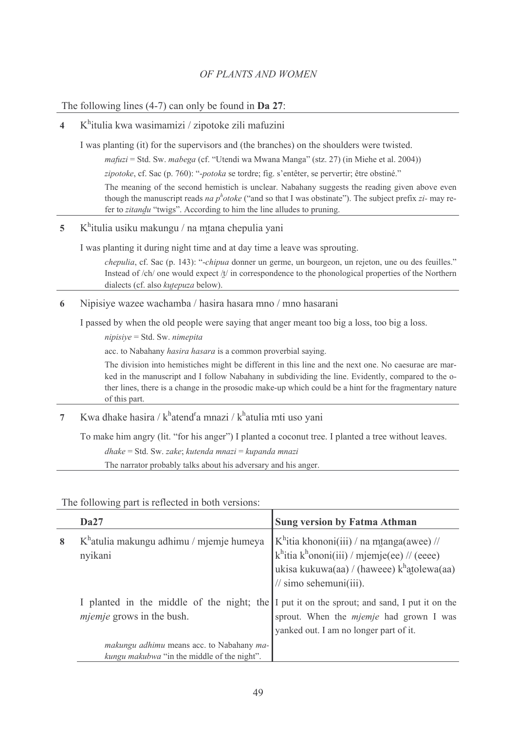# The following lines  $(4-7)$  can only be found in **Da 27**:

#### $K^h$ itulia kwa wasimamizi / zipotoke zili mafuzini  $\overline{\mathbf{A}}$

I was planting (it) for the supervisors and (the branches) on the shoulders were twisted.

 $\textit{mafuzi} = \text{Std}$ . Sw.  $\textit{mabega}$  (cf. "Utendi wa Mwana Manga" (stz. 27) (in Miehe et al. 2004))

zipotoke, cf. Sac (p. 760): "-potoka se tordre; fig. s'entêter, se pervertir; être obstiné."

The meaning of the second hemistich is unclear. Nabahany suggests the reading given above even though the manuscript reads *na p<sup>h</sup>otoke* ("and so that I was obstinate"). The subject prefix *zi*- may refer to zitandu "twigs". According to him the line alludes to pruning.

#### $\overline{\phantom{a}}$  $K^h$ itulia usiku makungu / na mtana chepulia yani

I was planting it during night time and at day time a leave was sprouting.

*chepulia*, cf. Sac (p. 143): "*-chipua* donner un germe, un bourgeon, un rejeton, une ou des feuilles." Instead of  $\langle$ ch $\rangle$  one would expect  $\langle t \rangle$  in correspondence to the phonological properties of the Northern dialects (cf. also kutepuza below).

Nipisiye wazee wachamba / hasira hasara mno / mno hasarani 6

I passed by when the old people were saying that anger meant too big a loss, too big a loss.

 $nipisive = Std$ . Sw. nimepita

acc. to Nabahany hasira hasara is a common proverbial saying.

The division into hemistiches might be different in this line and the next one. No caesurae are marked in the manuscript and I follow Nabahany in subdividing the line. Evidently, compared to the other lines, there is a change in the prosodic make-up which could be a hint for the fragmentary nature of this part.

Kwa dhake hasira / k<sup>h</sup>atend<sup>r</sup>a mnazi / k<sup>h</sup>atulia mti uso yani  $\overline{7}$ 

To make him angry (lit. "for his anger") I planted a coconut tree. I planted a tree without leaves.

 $dhake = Std$ . Sw. zake; kutenda mnazi = kupanda mnazi

The narrator probably talks about his adversary and his anger.

**Sung version by Fatma Athman**  $Da27$  $K^h$ itia khononi(iii) / na mtanga(awee) //  $\mathbf{Q}$  $K<sup>h</sup>$ atulia makungu adhimu / miemie humeva  $k^h$ itia  $k^h$ ononi(iii) / mjemje(ee) // (eeee) nvikani ukisa kukuwa(aa) / (haweee) khatolewa(aa)  $\frac{1}{\sin \theta}$  sehemuni(iii). I planted in the middle of the night; the I put it on the sprout; and sand, I put it on the *mjemje* grows in the bush. sprout. When the *mjemje* had grown I was yanked out. I am no longer part of it. makungu adhimu means acc. to Nabahany makungu makubwa "in the middle of the night".

The following part is reflected in both versions: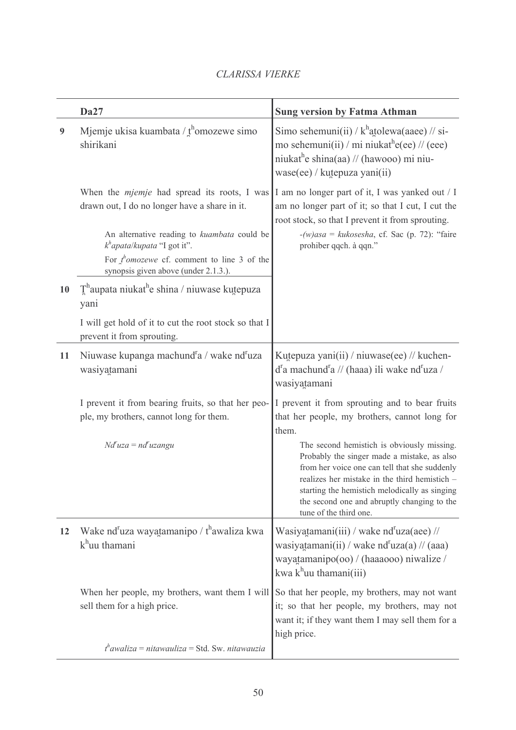|    | Da27                                                                                                                                                                                | <b>Sung version by Fatma Athman</b>                                                                                                                                                                                                                                                                                   |
|----|-------------------------------------------------------------------------------------------------------------------------------------------------------------------------------------|-----------------------------------------------------------------------------------------------------------------------------------------------------------------------------------------------------------------------------------------------------------------------------------------------------------------------|
| 9  | Mjemje ukisa kuambata / $f^{\text{h}}$ omozewe simo<br>shirikani                                                                                                                    | Simo sehemuni(ii) / $k^h$ atolewa(aaee) // si-<br>mo sehemuni(ii) / mi niukat <sup>h</sup> e(ee) // (eee)<br>niukat <sup>h</sup> e shina(aa) // (hawooo) mi niu-<br>wase(ee) / kutepuza yani(ii)                                                                                                                      |
|    | When the <i>mjemje</i> had spread its roots, I was<br>drawn out, I do no longer have a share in it.<br>An alternative reading to kuambata could be<br>$kh$ apata/kupata "I got it". | I am no longer part of it, I was yanked out / I<br>am no longer part of it; so that I cut, I cut the<br>root stock, so that I prevent it from sprouting.<br>$-(w)$ asa = kukosesha, cf. Sac (p. 72): "faire<br>prohiber qqch. à qqn."                                                                                 |
|    | For $\int_a^b$ <i>omozewe</i> cf. comment to line 3 of the<br>synopsis given above (under 2.1.3.).                                                                                  |                                                                                                                                                                                                                                                                                                                       |
| 10 | $\mathbf{T}^{\text{h}}$ aupata niukat <sup>h</sup> e shina / niuwase kutepuza<br>yani                                                                                               |                                                                                                                                                                                                                                                                                                                       |
|    | I will get hold of it to cut the root stock so that I<br>prevent it from sprouting.                                                                                                 |                                                                                                                                                                                                                                                                                                                       |
| 11 | Niuwase kupanga machund <sup>r</sup> a / wake nd <sup>r</sup> uza<br>wasiyatamani                                                                                                   | Kutepuza yani(ii) / niuwase(ee) // kuchen-<br>$d^r a$ machund <sup>r</sup> a // (haaa) ili wake nd <sup>r</sup> uza /<br>wasiyatamani                                                                                                                                                                                 |
|    | I prevent it from bearing fruits, so that her peo-<br>ple, my brothers, cannot long for them.                                                                                       | I prevent it from sprouting and to bear fruits<br>that her people, my brothers, cannot long for<br>them.                                                                                                                                                                                                              |
|    | $Nd^r uza = nd^r uzangu$                                                                                                                                                            | The second hemistich is obviously missing.<br>Probably the singer made a mistake, as also<br>from her voice one can tell that she suddenly<br>realizes her mistake in the third hemistich -<br>starting the hemistich melodically as singing<br>the second one and abruptly changing to the<br>tune of the third one. |
| 12 | Wake nd <sup>r</sup> uza wayatamanipo / t <sup>h</sup> awaliza kwa<br>$kh$ uu thamani                                                                                               | Wasiyatamani(iii) / wake nd <sup>r</sup> uza(aee) //<br>wasiyatamani(ii) / wake nd <sup>r</sup> uza(a) // (aaa)<br>wayatamanipo(oo) / (haaaooo) niwalize /<br>kwa k <sup>h</sup> uu thamani(iii)                                                                                                                      |
|    | When her people, my brothers, want them I will<br>sell them for a high price.                                                                                                       | So that her people, my brothers, may not want<br>it; so that her people, my brothers, may not<br>want it; if they want them I may sell them for a<br>high price.                                                                                                                                                      |
|    | $t^h$ awaliza = nitawauliza = Std. Sw. nitawauzia                                                                                                                                   |                                                                                                                                                                                                                                                                                                                       |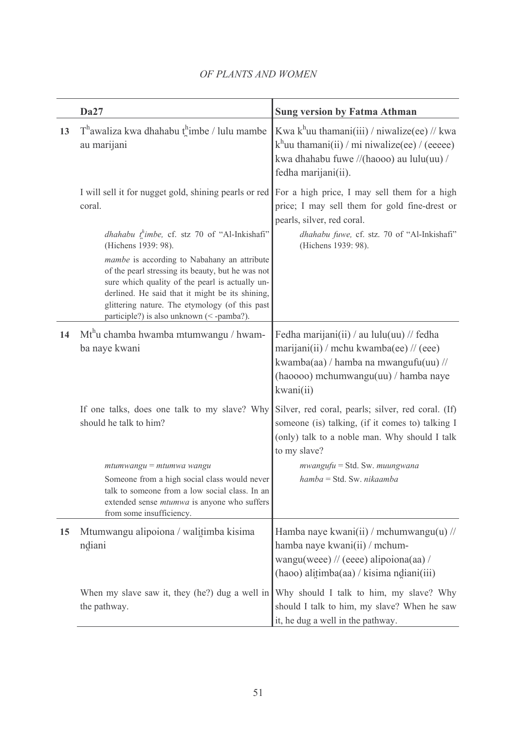|    | <b>Da27</b>                                                                                                                                                                                                                                                                                          | <b>Sung version by Fatma Athman</b>                                                                                                                                                |
|----|------------------------------------------------------------------------------------------------------------------------------------------------------------------------------------------------------------------------------------------------------------------------------------------------------|------------------------------------------------------------------------------------------------------------------------------------------------------------------------------------|
| 13 | $T^h$ awaliza kwa dhahabu the / lulu mambe<br>au marijani                                                                                                                                                                                                                                            | Kwa k <sup>h</sup> uu thamani(iii) / niwalize(ee) // kwa<br>$k^h$ uu thamani(ii) / mi niwalize(ee) / (eeeee)<br>kwa dhahabu fuwe //(haooo) au lulu(uu) /<br>fedha marijani(ii).    |
|    | I will sell it for nugget gold, shining pearls or red<br>coral.                                                                                                                                                                                                                                      | For a high price, I may sell them for a high<br>price; I may sell them for gold fine-drest or<br>pearls, silver, red coral.                                                        |
|    | <i>dhahabu</i> $t^h$ <i>imbe</i> , cf. stz 70 of "Al-Inkishafi"<br>(Hichens 1939: 98).                                                                                                                                                                                                               | dhahabu fuwe, cf. stz. 70 of "Al-Inkishafi"<br>(Hichens 1939: 98).                                                                                                                 |
|    | mambe is according to Nabahany an attribute<br>of the pearl stressing its beauty, but he was not<br>sure which quality of the pearl is actually un-<br>derlined. He said that it might be its shining,<br>glittering nature. The etymology (of this past<br>participle?) is also unknown (<-pamba?). |                                                                                                                                                                                    |
| 14 | Mt <sup>h</sup> u chamba hwamba mtumwangu / hwam-<br>ba naye kwani                                                                                                                                                                                                                                   | Fedha marijani(ii) / au lulu(uu) // fedha<br>marijani(ii) / mchu kwamba(ee) // (eee)<br>kwamba(aa) / hamba na mwangufu(uu) //<br>(haoooo) mchumwangu(uu) / hamba naye<br>kwani(ii) |
|    | If one talks, does one talk to my slave? Why<br>should he talk to him?                                                                                                                                                                                                                               | Silver, red coral, pearls; silver, red coral. (If)<br>someone (is) talking, (if it comes to) talking I<br>(only) talk to a noble man. Why should I talk<br>to my slave?            |
|    | $mtumwangu = mtumwa wangu$<br>Someone from a high social class would never<br>talk to someone from a low social class. In an<br>extended sense <i>mtumwa</i> is anyone who suffers<br>from some insufficiency.                                                                                       | mwangufu = Std. Sw. muungwana<br>hamba = Std. Sw. nikaamba                                                                                                                         |
| 15 | Mtumwangu alipoiona / walitimba kisima<br>ndiani                                                                                                                                                                                                                                                     | Hamba naye kwani(ii) / mchumwangu(u) //<br>hamba naye kwani(ii) / mchum-<br>wangu(weee) // (eeee) alipoiona(aa) /<br>$(haoo)$ alitimba $(aa)$ / kisima ndiani $(iii)$              |
|    | When my slave saw it, they (he?) dug a well in<br>the pathway.                                                                                                                                                                                                                                       | Why should I talk to him, my slave? Why<br>should I talk to him, my slave? When he saw<br>it, he dug a well in the pathway.                                                        |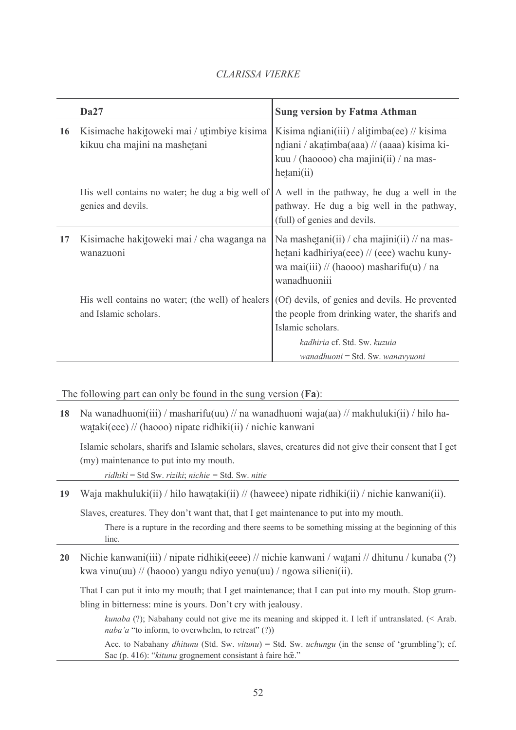|    | <b>Da27</b>                                                                 | <b>Sung version by Fatma Athman</b>                                                                                                                                                         |
|----|-----------------------------------------------------------------------------|---------------------------------------------------------------------------------------------------------------------------------------------------------------------------------------------|
| 16 | Kisimache hakitoweki mai / utimbiye kisima<br>kikuu cha majini na mashetani | Kisima ndiani(iii) / alitimba(ee) // kisima<br>ndiani / akatimba(aaa) // (aaaa) kisima ki-<br>kuu / (haoooo) cha majini(ii) / na mas-<br>hetani(ii)                                         |
|    | His well contains no water; he dug a big well of<br>genies and devils.      | A well in the pathway, he dug a well in the<br>pathway. He dug a big well in the pathway,<br>(full) of genies and devils.                                                                   |
| 17 | Kisimache hakitoweki mai / cha waganga na<br>wanazuoni                      | Na mashetani(ii) / cha majini(ii) // na mas-<br>hetani kadhiriya(eee) // (eee) wachu kuny-<br>wa mai(iii) // (haooo) masharifu(u) / na<br>wanadhuoniii                                      |
|    | His well contains no water; (the well) of healers<br>and Islamic scholars.  | (Of) devils, of genies and devils. He prevented<br>the people from drinking water, the sharifs and<br>Islamic scholars.<br>kadhiria cf. Std. Sw. kuzuia<br>wanadhuoni = Std. Sw. wanavyuoni |

The following part can only be found in the sung version  $(Fa)$ :

18 Na wanadhuoni(iii) / masharifu(uu) // na wanadhuoni waja(aa) // makhuluki(ii) / hilo hawataki(eee) // (haooo) nipate ridhiki(ii) / nichie kanwani

Islamic scholars, sharifs and Islamic scholars, slaves, creatures did not give their consent that I get (my) maintenance to put into my mouth.

 $ridhiki = Std Sw. riziki; nichie = Std. Sw. nitie$ 

19 Waja makhuluki(ii) / hilo hawataki(ii) // (haweee) nipate ridhiki(ii) / nichie kanwani(ii).

Slaves, creatures. They don't want that, that I get maintenance to put into my mouth.

There is a rupture in the recording and there seems to be something missing at the beginning of this line

Nichie kanwani(iii) / nipate ridhiki(eeee) // nichie kanwani / watani // dhitunu / kunaba (?)  $20<sup>°</sup>$ kwa vinu(uu) // (haooo) yangu ndiyo yenu(uu) / ngowa silieni(ii).

That I can put it into my mouth; that I get maintenance; that I can put into my mouth. Stop grumbling in bitterness: mine is yours. Don't cry with jealousy.

kunaba (?); Nabahany could not give me its meaning and skipped it. I left if untranslated. (< Arab. naba'a "to inform, to overwhelm, to retreat"  $(?)$ 

Acc. to Nabahany *dhitunu* (Std. Sw. *vitunu*) = Std. Sw. *uchungu* (in the sense of 'grumbling'); cf. Sac (p. 416): "kitunu grognement consistant à faire hõe."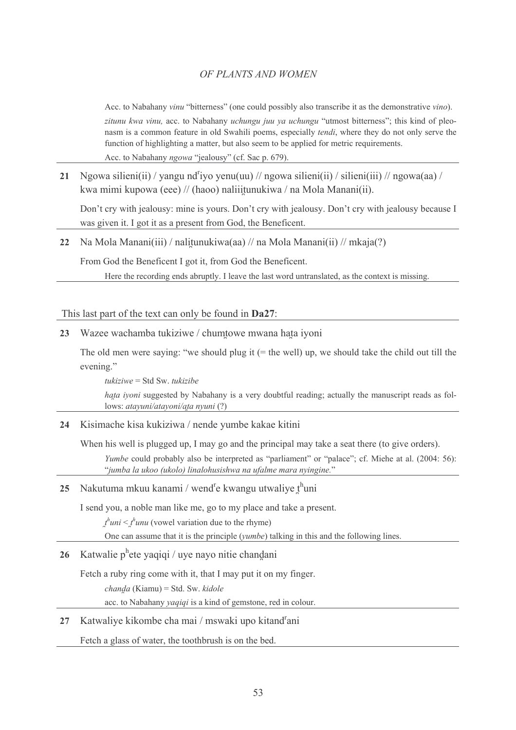Acc. to Nabahany vinu "bitterness" (one could possibly also transcribe it as the demonstrative vino). zitunu kwa vinu, acc. to Nabahany uchungu juu ya uchungu "utmost bitterness"; this kind of pleonasm is a common feature in old Swahili poems, especially *tendi*, where they do not only serve the function of highlighting a matter, but also seem to be applied for metric requirements. Acc. to Nabahany *ngowa* "jealousy" (cf. Sac p. 679).

21 Ngowa silieni(ii) / yangu nd<sup>r</sup>iyo yenu(uu) // ngowa silieni(ii) / silieni(iii) // ngowa(aa) / kwa mimi kupowa (eee) // (haoo) naliiitunukiwa / na Mola Manani(ii).

Don't cry with jealousy: mine is yours. Don't cry with jealousy. Don't cry with jealousy because I was given it. I got it as a present from God, the Beneficent.

22 Na Mola Manani(iii) / nalitunukiwa(aa) // na Mola Manani(ii) // mkaja(?)

From God the Beneficent I got it, from God the Beneficent.

Here the recording ends abruptly. I leave the last word untranslated, as the context is missing.

This last part of the text can only be found in **Da27**:

23 Wazee wachamba tukiziwe / chumtowe mwana hata iyoni

The old men were saying: "we should plug it  $(=$  the well) up, we should take the child out till the evening."

 $tukiziwe =$  Std Sw. tukizibe hata ivoni suggested by Nabahany is a very doubtful reading; actually the manuscript reads as follows: atayuni/atayoni/ata nyuni (?)

24 Kisimache kisa kukiziwa / nende yumbe kakae kitini

When his well is plugged up, I may go and the principal may take a seat there (to give orders).

Yumbe could probably also be interpreted as "parliament" or "palace"; cf. Miehe at al. (2004: 56): "jumba la ukoo (ukolo) linalohusishwa na ufalme mara nyingine."

# 25 Nakutuma mkuu kanami / wend<sup>r</sup>e kwangu utwaliye t<sup>h</sup>uni

I send you, a noble man like me, go to my place and take a present.

 $t^{\hbar}$ uni  $\leq t^{\hbar}$ unu (vowel variation due to the rhyme)

One can assume that it is the principle (*yumbe*) talking in this and the following lines.

#### Katwalie p<sup>h</sup>ete yaqiqi / uye nayo nitie chandani 26

Fetch a ruby ring come with it, that I may put it on my finger.

chanda (Kiamu) = Std. Sw. kidole

acc. to Nabahany *yaqiqi* is a kind of gemstone, red in colour.

# 27 Katwaliye kikombe cha mai / mswaki upo kitand<sup>r</sup>ani

Fetch a glass of water, the toothbrush is on the bed.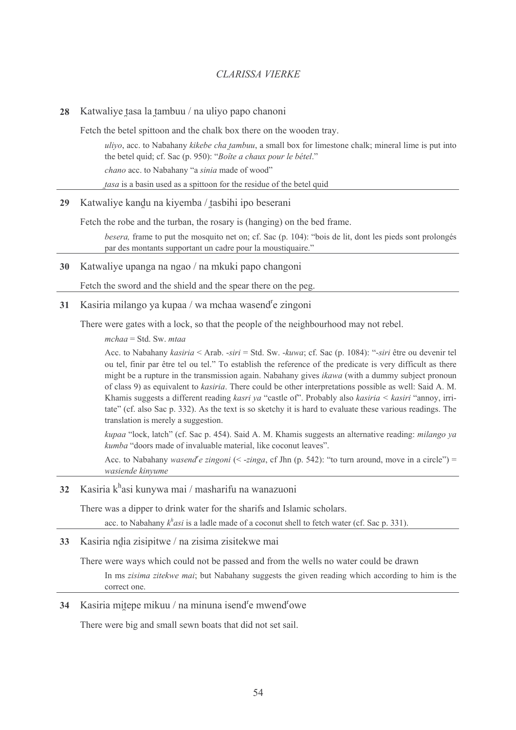Katwaliye tasa la tambuu / na uliyo papo chanoni 28

Fetch the betel spittoon and the chalk box there on the wooden tray.

uliyo, acc. to Nabahany kikebe cha tambuu, a small box for limestone chalk; mineral lime is put into the betel quid; cf. Sac (p. 950): "Boîte a chaux pour le bétel." chano acc. to Nabahany "a sinia made of wood" tasa is a basin used as a spittoon for the residue of the betel quid

29 Katwaliye kandu na kiyemba / tasbihi ipo beserani

Fetch the robe and the turban, the rosary is (hanging) on the bed frame.

besera, frame to put the mosquito net on; cf. Sac (p. 104): "bois de lit, dont les pieds sont prolongés par des montants supportant un cadre pour la moustiquaire."

30 Katwaliye upanga na ngao / na mkuki papo changoni

Fetch the sword and the shield and the spear there on the peg.

31 Kasiria milango ya kupaa / wa mchaa wasend<sup>r</sup>e zingoni

There were gates with a lock, so that the people of the neighbourhood may not rebel.

 $mchaa = Std$ . Sw. mtaa

Acc. to Nabahany kasiria < Arab. -siri = Std. Sw. -kuwa; cf. Sac (p. 1084): "-siri être ou devenir tel ou tel, finir par être tel ou tel." To establish the reference of the predicate is very difficult as there might be a rupture in the transmission again. Nabahany gives *ikawa* (with a dummy subject pronoun of class 9) as equivalent to *kasiria*. There could be other interpretations possible as well: Said A. M. Khamis suggests a different reading kasri ya "castle of". Probably also kasiria < kasiri "annoy, irritate" (cf. also Sac p. 332). As the text is so sketchy it is hard to evaluate these various readings. The translation is merely a suggestion.

kupaa "lock, latch" (cf. Sac p. 454). Said A. M. Khamis suggests an alternative reading: *milango ya kumba* "doors made of invaluable material, like coconut leaves".

Acc. to Nabahany wasend e zingoni (< -zinga, cf Jhn (p. 542): "to turn around, move in a circle") = wasiende kinyume

32 Kasiria k<sup>h</sup>asi kunywa mai / masharifu na wanazuoni

There was a dipper to drink water for the sharifs and Islamic scholars.

acc. to Nabahany  $k<sup>h</sup>$  *asi* is a ladle made of a coconut shell to fetch water (cf. Sac p. 331).

Kasiria ndia zisipitwe / na zisima zisitekwe mai  $33<sup>7</sup>$ 

There were ways which could not be passed and from the wells no water could be drawn

In ms *zisima zitekwe mai*; but Nabahany suggests the given reading which according to him is the correct one

Kasiria mitepe mikuu / na minuna isend<sup>r</sup>e mwend<sup>r</sup>owe 34

There were big and small sewn boats that did not set sail.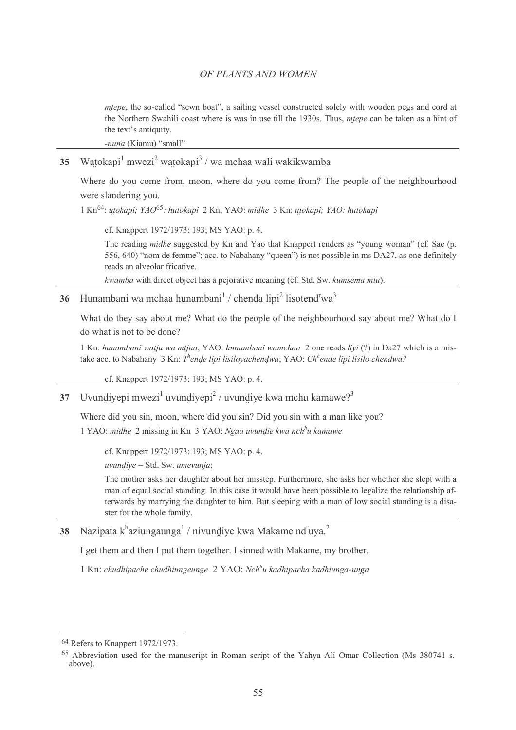*mtepe*, the so-called "sewn boat", a sailing vessel constructed solely with wooden pegs and cord at the Northern Swahili coast where is was in use till the 1930s. Thus, *mtepe* can be taken as a hint of the text's antiquity.

-nuna (Kiamu) "small"

Watokapi<sup>1</sup> mwezi<sup>2</sup> watokapi<sup>3</sup>/wa mchaa wali wakikwamba 35

Where do you come from, moon, where do you come from? The people of the neighbourhood were slandering you.

1 Kn<sup>64</sup>: utokapi; YAQ<sup>65</sup>: hutokapi 2 Kn, YAQ: midhe 3 Kn; utokapi; YAQ: hutokapi

cf. Knappert 1972/1973: 193; MS YAO: p. 4.

The reading *midhe* suggested by Kn and Yao that Knappert renders as "young woman" (cf. Sac (p. 556, 640) "nom de femme"; acc. to Nabahany "queen") is not possible in ms DA27, as one definitely reads an alveolar fricative

kwamba with direct object has a pejorative meaning (cf. Std. Sw. kumsema mtu).

36 Hunambani wa mchaa hunambani<sup>1</sup> / chenda lipi<sup>2</sup> lisotend<sup>r</sup>wa<sup>3</sup>

What do they say about me? What do the people of the neighbourhood say about me? What do I do what is not to be done?

1 Kn: hunambani watju wa mtiaa: YAO: hunambani wamchaa 2 one reads livi (?) in Da27 which is a mistake acc. to Nabahany 3 Kn: Thende lipi lisiloyachendwa; YAO: Chhende lipi lisilo chendwa?

cf. Knappert 1972/1973: 193; MS YAO: p. 4.

Uvundiyepi mwezi<sup>1</sup> uvundiyepi<sup>2</sup> / uvundiye kwa mchu kamawe?<sup>3</sup> 37

Where did you sin, moon, where did you sin? Did you sin with a man like you? 1 YAO: midhe 2 missing in Kn 3 YAO: Ngaa uvundie kwa nch<sup>h</sup>u kamawe

cf. Knappert 1972/1973: 193; MS YAO: p. 4.

uvundiye = Std. Sw. umevunja;

The mother asks her daughter about her misstep. Furthermore, she asks her whether she slept with a man of equal social standing. In this case it would have been possible to legalize the relationship afterwards by marrying the daughter to him. But sleeping with a man of low social standing is a disaster for the whole family.

Nazipata k<sup>h</sup>aziungaunga<sup>1</sup> / nivundiye kwa Makame nd<sup>r</sup>uya.<sup>2</sup> 38

I get them and then I put them together. I sinned with Makame, my brother.

 $1$  Kn; chudhipache chudhiungeunge  $2$  YAO; Nch<sup>h</sup>u kadhipacha kadhiunga-unga

<sup>&</sup>lt;sup>64</sup> Refers to Knappert 1972/1973.

<sup>&</sup>lt;sup>65</sup> Abbreviation used for the manuscript in Roman script of the Yahva Ali Omar Collection (Ms 380741 s. above).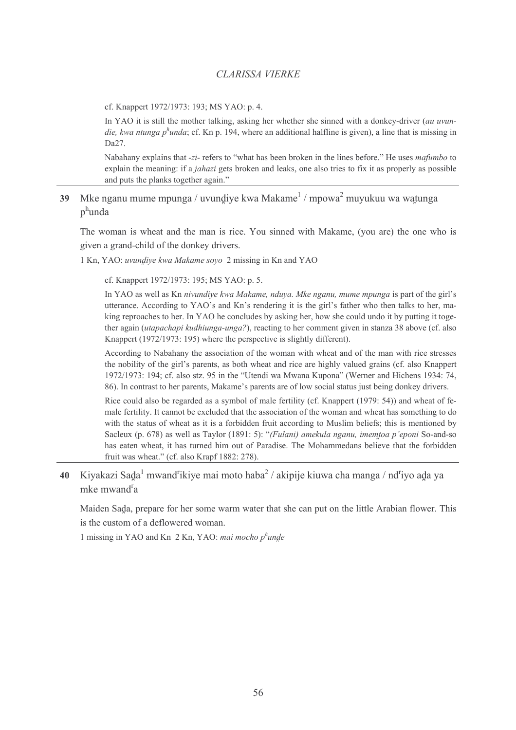cf. Knappert 1972/1973: 193; MS YAO: p. 4.

In YAO it is still the mother talking, asking her whether she sinned with a donkey-driver (au uvundie, kwa ntunga p<sup>h</sup>unda; cf. Kn p. 194, where an additional halfline is given), a line that is missing in  $Da27$ .

Nabahany explains that -zi- refers to "what has been broken in the lines before." He uses mafumbo to explain the meaning: if a *jahazi* gets broken and leaks, one also tries to fix it as properly as possible and puts the planks together again."

39 Mke nganu mume mpunga / uvundiye kwa Makame $\frac{1}{1}$  mpowa $\frac{2}{3}$  muyukuu wa watunga  $p^h$ unda

The woman is wheat and the man is rice. You sinned with Makame, (you are) the one who is given a grand-child of the donkey drivers.

1 Kn, YAO: *uvundiye kwa Makame soyo* 2 missing in Kn and YAO

cf. Knappert 1972/1973: 195; MS YAO: p. 5.

In YAO as well as Kn nivundive kwa Makame, nduya. Mke nganu, mume mpunga is part of the girl's utterance. According to YAO's and Kn's rendering it is the girl's father who then talks to her, making reproaches to her. In YAO he concludes by asking her, how she could undo it by putting it together again *(utapachapi kudhiunga-unga?)*, reacting to her comment given in stanza 38 above (cf. also Knappert (1972/1973: 195) where the perspective is slightly different).

According to Nabahany the association of the woman with wheat and of the man with rice stresses the nobility of the girl's parents, as both wheat and rice are highly valued grains (cf. also Knappert 1972/1973: 194; cf. also stz. 95 in the "Utendi wa Mwana Kupona" (Werner and Hichens 1934: 74, 86). In contrast to her parents, Makame's parents are of low social status just being donkey drivers.

Rice could also be regarded as a symbol of male fertility (cf. Knappert (1979: 54)) and wheat of female fertility. It cannot be excluded that the association of the woman and wheat has something to do with the status of wheat as it is a forbidden fruit according to Muslim beliefs; this is mentioned by Sacleux (p. 678) as well as Taylor (1891: 5): "(Fulani) amekula nganu, imemtoa p'eponi So-and-so has eaten wheat, it has turned him out of Paradise. The Mohammedans believe that the forbidden fruit was wheat." (cf. also Krapf 1882: 278).

40 Kiyakazi Sada<sup>1</sup> mwand<sup>r</sup>ikiye mai moto haba<sup>2</sup> / akipije kiuwa cha manga / nd<sup>r</sup>iyo ada ya mke mwand<sup>r</sup>a

Maiden Sada, prepare for her some warm water that she can put on the little Arabian flower. This is the custom of a deflowered woman.

1 missing in YAO and Kn  $2$  Kn, YAO: mai mocho p<sup>h</sup>unde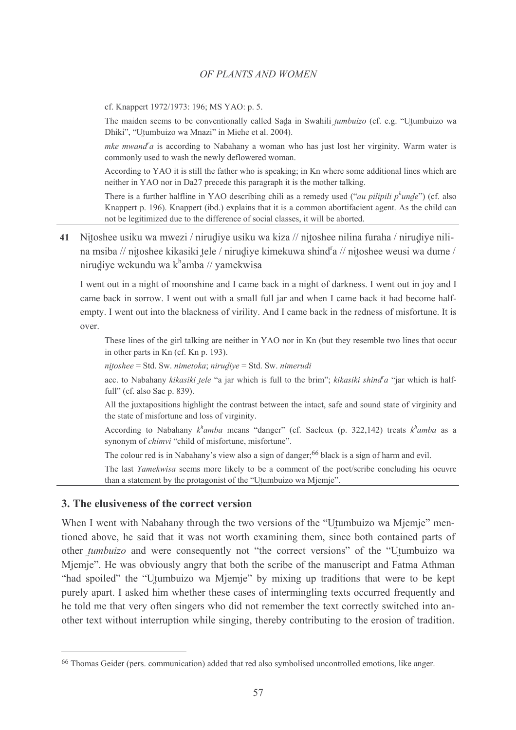cf. Knappert 1972/1973: 196; MS YAO: p. 5.

The maiden seems to be conventionally called Sada in Swahili *tumbuizo* (cf. e.g. "Utumbuizo wa Dhiki", "Utumbuizo wa Mnazi" in Miehe et al. 2004).

*mke mwand'a* is according to Nabahany a woman who has just lost her virginity. Warm water is commonly used to wash the newly deflowered woman.

According to YAO it is still the father who is speaking; in Kn where some additional lines which are neither in YAO nor in Da27 precede this paragraph it is the mother talking.

There is a further halfline in YAO describing chili as a remedy used ("*au pilipili p<sup>h</sup>unde*") (cf. also Knappert p. 196). Knappert (ibd.) explains that it is a common abortifacient agent. As the child can not be legitimized due to the difference of social classes, it will be aborted.

41 Nitoshee usiku wa mwezi / nirudiye usiku wa kiza // nitoshee nilina furaha / nirudiye nilina msiba // nitoshee kikasiki tele / nirudiye kimekuwa shind<sup>r</sup>a // nitoshee weusi wa dume / nirudiye wekundu wa k<sup>h</sup>amba // yamekwisa

I went out in a night of moonshine and I came back in a night of darkness. I went out in joy and I came back in sorrow. I went out with a small full jar and when I came back it had become halfempty. I went out into the blackness of virility. And I came back in the redness of misfortune. It is over

These lines of the girl talking are neither in YAO nor in Kn (but they resemble two lines that occur in other parts in Kn (cf. Kn p. 193).

 $nitoshee = Std$ . Sw. nimetoka; nirudiye = Std. Sw. nimerudi

acc. to Nabahany kikasiki tele "a jar which is full to the brim"; kikasiki shind<sup>"</sup>a "jar which is halffull" (cf. also Sac p. 839).

All the juxtapositions highlight the contrast between the intact, safe and sound state of virginity and the state of misfortune and loss of virginity.

According to Nabahany  $k^h$ amba means "danger" (cf. Sacleux (p. 322,142) treats  $k^h$ amba as a synonym of *chimvi* "child of misfortune, misfortune".

The colour red is in Nabahany's view also a sign of danger;<sup>66</sup> black is a sign of harm and evil.

The last Yamekwisa seems more likely to be a comment of the poet/scribe concluding his oeuvre than a statement by the protagonist of the "Utumbuizo wa Mjemje".

# 3. The elusiveness of the correct version

When I went with Nabahany through the two versions of the "Utumbuizo wa Mjemje" mentioned above, he said that it was not worth examining them, since both contained parts of other *tumbuizo* and were consequently not "the correct versions" of the "Utumbuizo wa Mjemje". He was obviously angry that both the scribe of the manuscript and Fatma Athman "had spoiled" the "Utumbuizo wa Mjemje" by mixing up traditions that were to be kept purely apart. I asked him whether these cases of intermingling texts occurred frequently and he told me that very often singers who did not remember the text correctly switched into another text without interruption while singing, thereby contributing to the erosion of tradition.

<sup>&</sup>lt;sup>66</sup> Thomas Geider (pers. communication) added that red also symbolised uncontrolled emotions, like anger.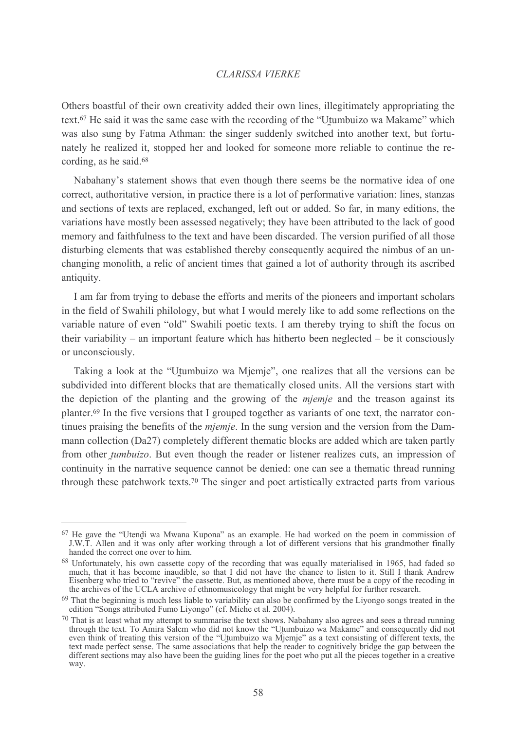Others boastful of their own creativity added their own lines, illegitimately appropriating the text.<sup>67</sup> He said it was the same case with the recording of the "Utumbuizo wa Makame" which was also sung by Fatma Athman: the singer suddenly switched into another text, but fortunately he realized it, stopped her and looked for someone more reliable to continue the recording, as he said.<sup>68</sup>

Nabahany's statement shows that even though there seems be the normative idea of one correct, authoritative version, in practice there is a lot of performative variation: lines, stanzas and sections of texts are replaced, exchanged, left out or added. So far, in many editions, the variations have mostly been assessed negatively; they have been attributed to the lack of good memory and faithfulness to the text and have been discarded. The version purified of all those disturbing elements that was established thereby consequently acquired the nimbus of an unchanging monolith, a relic of ancient times that gained a lot of authority through its ascribed antiquity.

I am far from trying to debase the efforts and merits of the pioneers and important scholars in the field of Swahili philology, but what I would merely like to add some reflections on the variable nature of even "old" Swahili poetic texts. I am thereby trying to shift the focus on their variability – an important feature which has hitherto been neglected – be it consciously or unconsciously.

Taking a look at the "Utumbuizo wa Mjemje", one realizes that all the versions can be subdivided into different blocks that are thematically closed units. All the versions start with the depiction of the planting and the growing of the *mjemje* and the treason against its planter.<sup>69</sup> In the five versions that I grouped together as variants of one text, the narrator continues praising the benefits of the *miemie*. In the sung version and the version from the Dammann collection (Da27) completely different thematic blocks are added which are taken partly from other *tumbuizo*. But even though the reader or listener realizes cuts, an impression of continuity in the narrative sequence cannot be denied: one can see a thematic thread running through these patchwork texts.<sup>70</sup> The singer and poet artistically extracted parts from various

<sup>&</sup>lt;sup>67</sup> He gave the "Utendi wa Mwana Kupona" as an example. He had worked on the poem in commission of J.W.T. Allen and it was only after working through a lot of different versions that his grandmother finally handed the correct one over to him.

<sup>&</sup>lt;sup>68</sup> Unfortunately, his own cassette copy of the recording that was equally materialised in 1965, had faded so much, that it has become inaudible, so that I did not have the chance to listen to it. Still I thank Andrew Eisenberg who tried to "revive" the cassette. But, as mentioned above, there must be a copy of the recoding in the archives of the UCLA archive of ethnomusicology that might be very helpful for further research.

<sup>&</sup>lt;sup>69</sup> That the beginning is much less liable to variability can also be confirmed by the Liyongo songs treated in the edition "Songs attributed Fumo Liyongo" (cf. Miehe et al. 2004).

 $70$  That is at least what my attempt to summarise the text shows. Nabahany also agrees and sees a thread running That is at least what my attempt to summarise the text shows. Nabaliany also agrees and sees a timead funning<br>through the text. To Amira Salem who did not know the "Utumbuizo wa Makame" and consequently did not<br>even think different sections may also have been the guiding lines for the poet who put all the pieces together in a creative way.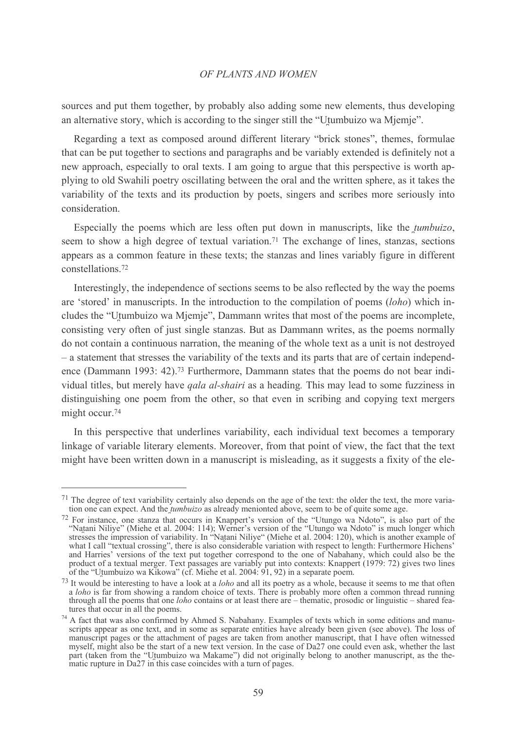sources and put them together, by probably also adding some new elements, thus developing an alternative story, which is according to the singer still the "Utumbuizo wa Mjemje".

Regarding a text as composed around different literary "brick stones", themes, formulae that can be put together to sections and paragraphs and be variably extended is definitely not a new approach, especially to oral texts. I am going to argue that this perspective is worth applying to old Swahili poetry oscillating between the oral and the written sphere, as it takes the variability of the texts and its production by poets, singers and scribes more seriously into consideration.

Especially the poems which are less often put down in manuscripts, like the *tumbuizo*, seem to show a high degree of textual variation.<sup>71</sup> The exchange of lines, stanzas, sections appears as a common feature in these texts; the stanzas and lines variably figure in different constellations.<sup>72</sup>

Interestingly, the independence of sections seems to be also reflected by the way the poems are 'stored' in manuscripts. In the introduction to the compilation of poems (loho) which includes the "Utumbuizo wa Mjemje", Dammann writes that most of the poems are incomplete, consisting very often of just single stanzas. But as Dammann writes, as the poems normally do not contain a continuous narration, the meaning of the whole text as a unit is not destroyed - a statement that stresses the variability of the texts and its parts that are of certain independence (Dammann 1993: 42).<sup>73</sup> Furthermore, Dammann states that the poems do not bear individual titles, but merely have *qala al-shairi* as a heading. This may lead to some fuzziness in distinguishing one poem from the other, so that even in scribing and copying text mergers might occur.<sup>74</sup>

In this perspective that underlines variability, each individual text becomes a temporary linkage of variable literary elements. Moreover, from that point of view, the fact that the text might have been written down in a manuscript is misleading, as it suggests a fixity of the ele-

<sup>71</sup> The degree of text variability certainly also depends on the age of the text: the older the text, the more variation one can expect. And the *tumbuizo* as already menionted above, seem to be of quite some age.

<sup>72</sup> For instance, one stanza that occurs in Knappert's version of the "Utungo wa Ndoto", is also part of the "Natani Niliye" (Miehe et al. 2004: 114); Werner's version of the "Utungo wa Ndoto" is much longer which<br>stresses the impression of variability. In "Natani Niliye" (Miehe et al. 2004: 120), which is another example of what I call "textual crossing", there is also considerable variation with respect to length: Furthermore Hichens' and Harries' versions of the text put together correspond to the one of Nabahany, which could also be the product of a textual merger. Text passages are variably put into contexts: Knappert (1979: 72) gives two lines of th

<sup>73</sup> It would be interesting to have a look at a *loho* and all its poetry as a whole, because it seems to me that often a loho is far from showing a random choice of texts. There is probably more often a common thread running through all the poems that one *loho* contains or at least there are – thematic, prosodic or linguistic – shared features that occur in all the poems.

<sup>&</sup>lt;sup>74</sup> A fact that was also confirmed by Ahmed S. Nabahany. Examples of texts which in some editions and manuscripts appear as one text, and in some as separate entities have already been given (see above). The loss of manuscript pages or the attachment of pages are taken from another manuscript, that I have often witnessed myself, might also be the start of a new text version. In the case of Da27 one could even ask, whether the last part (taken from the "Utumbuizo wa Makame") did not originally belong to another manuscript, as the thematic rupture in Da27 in this case coincides with a turn of pages.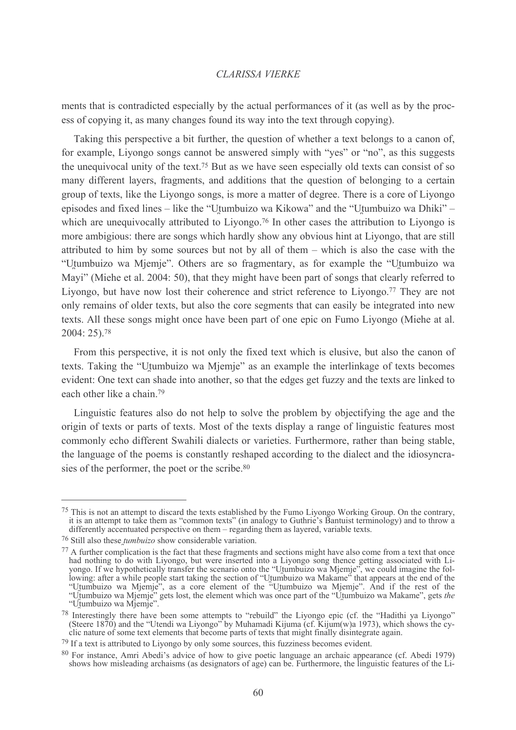ments that is contradicted especially by the actual performances of it (as well as by the process of copying it, as many changes found its way into the text through copying).

Taking this perspective a bit further, the question of whether a text belongs to a canon of, for example. Livongo songs cannot be answered simply with "ves" or "no", as this suggests the unequivocal unity of the text.<sup>75</sup> But as we have seen especially old texts can consist of so many different layers, fragments, and additions that the question of belonging to a certain group of texts, like the Livongo songs, is more a matter of degree. There is a core of Livongo episodes and fixed lines – like the "Utumbuizo wa Kikowa" and the "Utumbuizo wa Dhiki" – which are unequivocally attributed to Livongo.<sup>76</sup> In other cases the attribution to Livongo is more ambigious: there are songs which hardly show any obvious hint at Livongo, that are still attributed to him by some sources but not by all of them – which is also the case with the "Utumbuizo wa Mjemje". Others are so fragmentary, as for example the "Utumbuizo wa Mayi" (Miehe et al. 2004: 50), that they might have been part of songs that clearly referred to Livongo, but have now lost their coherence and strict reference to Livongo.<sup>77</sup> They are not only remains of older texts, but also the core segments that can easily be integrated into new texts. All these songs might once have been part of one epic on Fumo Livongo (Miehe at al.  $2004:25$ .<sup>78</sup>

From this perspective, it is not only the fixed text which is elusive, but also the canon of texts. Taking the "Utumbuizo wa Mjemje" as an example the interlinkage of texts becomes evident: One text can shade into another, so that the edges get fuzzy and the texts are linked to each other like a chain.<sup>79</sup>

Linguistic features also do not help to solve the problem by objectifying the age and the origin of texts or parts of texts. Most of the texts display a range of linguistic features most commonly echo different Swahili dialects or varieties. Furthermore, rather than being stable, the language of the poems is constantly reshaped according to the dialect and the idiosyncrasies of the performer, the poet or the scribe.<sup>80</sup>

<sup>&</sup>lt;sup>75</sup> This is not an attempt to discard the texts established by the Fumo Livongo Working Group. On the contrary, it is an attempt to take them as "common texts" (in analogy to Guthrie's Bantuist terminology) and to throw a differently accentuated perspective on them – regarding them as layered, variable texts.

 $76$  Still also these *tumbuizo* show considerable variation.

<sup>77</sup> A further complication is the fact that these fragments and sections might have also come from a text that once A numer compineation is the ract that these tragments and sections might have also come from a text that once<br>had nothing to do with Liyongo, but were inserted into a Liyongo song thence getting associated with Li-<br>yongo. "Utumbuizo wa Mjemje".

<sup>&</sup>lt;sup>78</sup> Interestingly there have been some attempts to "rebuild" the Liyongo epic (cf. the "Hadithi ya Liyongo" (Steere 1870) and the "Utendi wa Liyongo" by Muhamadi Kijuma (cf. Kijum(w)a 1973), which shows the cyclic nature of some text elements that become parts of texts that might finally disintegrate again.

 $^{79}$  If a text is attributed to Livongo by only some sources, this fuzziness becomes evident.

<sup>&</sup>lt;sup>80</sup> For instance. Amri Abedi's advice of how to give poetic language an archaic appearance (cf. Abedi 1979) shows how misleading archaisms (as designators of age) can be. Furthermore, the linguistic features of the Li-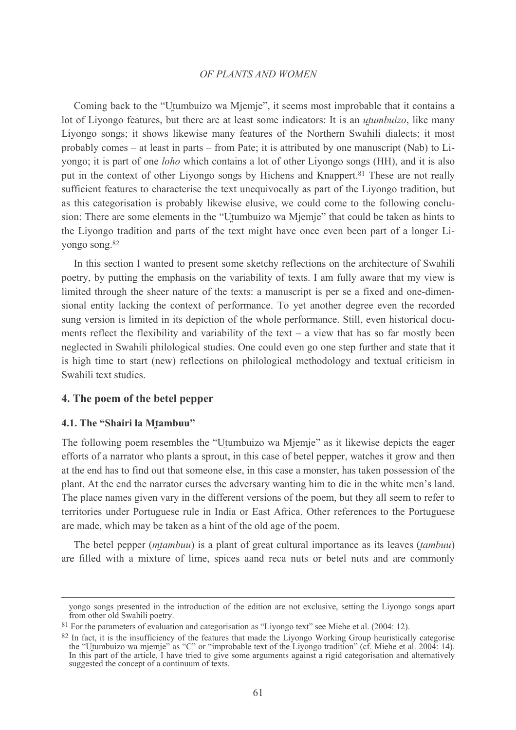Coming back to the "Utumbuizo wa Mjemje", it seems most improbable that it contains a lot of Livongo features, but there are at least some indicators: It is an *utumbuizo*, like many Liyongo songs; it shows likewise many features of the Northern Swahili dialects; it most probably comes – at least in parts – from Pate: it is attributed by one manuscript (Nab) to Liyongo; it is part of one *loho* which contains a lot of other Livongo songs (HH), and it is also put in the context of other Livongo songs by Hichens and Knappert.<sup>81</sup> These are not really sufficient features to characterise the text unequivocally as part of the Livongo tradition, but as this categorisation is probably likewise elusive, we could come to the following conclusion: There are some elements in the "Utumbuizo wa Miemie" that could be taken as hints to the Livongo tradition and parts of the text might have once even been part of a longer Liyongo song.<sup>82</sup>

In this section I wanted to present some sketchy reflections on the architecture of Swahili poetry, by putting the emphasis on the variability of texts. I am fully aware that my view is limited through the sheer nature of the texts: a manuscript is per se a fixed and one-dimensional entity lacking the context of performance. To yet another degree even the recorded sung version is limited in its depiction of the whole performance. Still, even historical documents reflect the flexibility and variability of the text  $-$  a view that has so far mostly been neglected in Swahili philological studies. One could even go one step further and state that it is high time to start (new) reflections on philological methodology and textual criticism in Swahili text studies.

# 4. The poem of the betel pepper

## 4.1. The "Shairi la Mtambuu"

The following poem resembles the "Utumbuizo wa Miemie" as it likewise depicts the eager efforts of a narrator who plants a sprout, in this case of betel pepper, watches it grow and then at the end has to find out that someone else, in this case a monster, has taken possession of the plant. At the end the narrator curses the adversary wanting him to die in the white men's land. The place names given vary in the different versions of the poem, but they all seem to refer to territories under Portuguese rule in India or East Africa. Other references to the Portuguese are made, which may be taken as a hint of the old age of the poem.

The betel pepper (*mtambuu*) is a plant of great cultural importance as its leaves (*tambuu*) are filled with a mixture of lime, spices aand reca nuts or betel nuts and are commonly

yongo songs presented in the introduction of the edition are not exclusive, setting the Liyongo songs apart from other old Swahili poetry.

<sup>&</sup>lt;sup>81</sup> For the parameters of evaluation and categorisation as "Livongo text" see Miehe et al. (2004: 12).

<sup>&</sup>lt;sup>82</sup> In fact, it is the insufficiency of the features that made the Liyongo Working Group heuristically categorise<br>the "Utumbuizo wa mjemje" as "C" or "improbable text of the Liyongo tradition" (cf. Miehe et al. 2004: 14). suggested the concept of a continuum of texts.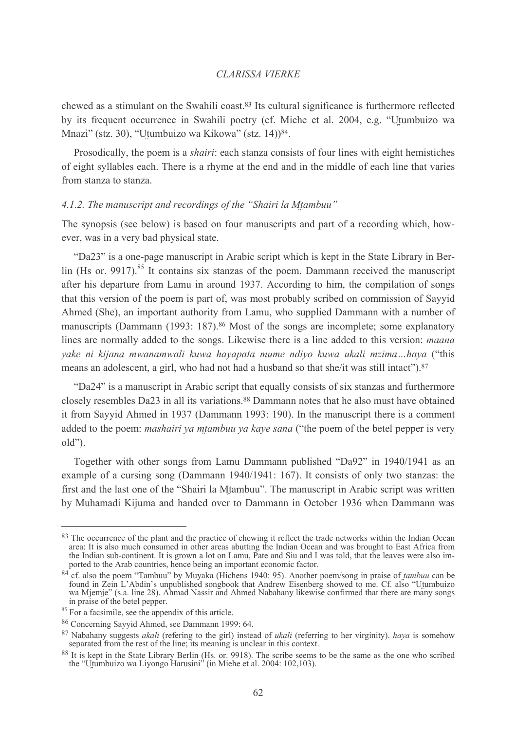chewed as a stimulant on the Swahili coast.<sup>83</sup> Its cultural significance is furthermore reflected by its frequent occurrence in Swahili poetry (cf. Miehe et al. 2004, e.g. "Utumbuizo wa Mnazi" (stz. 30), "Utumbuizo wa Kikowa" (stz. 14))<sup>84</sup>.

Prosodically, the poem is a *shairi*: each stanza consists of four lines with eight hemistiches of eight syllables each. There is a rhyme at the end and in the middle of each line that varies from stanza to stanza.

## 4.1.2. The manuscript and recordings of the "Shairi la Mtambuu"

The synopsis (see below) is based on four manuscripts and part of a recording which, however, was in a very bad physical state.

"Da23" is a one-page manuscript in Arabic script which is kept in the State Library in Berlin (Hs or. 9917).<sup>85</sup> It contains six stanzas of the poem. Dammann received the manuscript after his departure from Lamu in around 1937. According to him, the compilation of songs that this version of the poem is part of, was most probably scribed on commission of Sayyid Ahmed (She), an important authority from Lamu, who supplied Dammann with a number of manuscripts (Dammann (1993: 187).<sup>86</sup> Most of the songs are incomplete; some explanatory lines are normally added to the songs. Likewise there is a line added to this version: *maana* yake ni kijana mwanamwali kuwa hayapata mume ndiyo kuwa ukali mzima...haya ("this means an adolescent, a girl, who had not had a husband so that she/it was still intact").<sup>87</sup>

"Da24" is a manuscript in Arabic script that equally consists of six stanzas and furthermore closely resembles Da23 in all its variations.<sup>88</sup> Dammann notes that he also must have obtained it from Sayyid Ahmed in 1937 (Dammann 1993: 190). In the manuscript there is a comment added to the poem: *mashairi ya mtambuu ya kaye sana* ("the poem of the betel pepper is very  $old"$ ).

Together with other songs from Lamu Dammann published "Da92" in 1940/1941 as an example of a cursing song (Dammann 1940/1941: 167). It consists of only two stanzas: the first and the last one of the "Shairi la Mtambuu". The manuscript in Arabic script was written by Muhamadi Kijuma and handed over to Dammann in October 1936 when Dammann was

<sup>83</sup> The occurrence of the plant and the practice of chewing it reflect the trade networks within the Indian Ocean area: It is also much consumed in other areas abutting the Indian Ocean and was brought to East Africa from the Indian sub-continent. It is grown a lot on Lamu, Pate and Siu and I was told, that the leaves were also imported to the Arab countries, hence being an important economic factor.

<sup>&</sup>lt;sup>84</sup> cf. also the poem "Tambuu" by Muyaka (Hichens 1940: 95). Another poem/song in praise of *tambuu* can be found in Zein L'Abdin's unpublished songbook that Andrew Eisenberg showed to me. Cf. also "Utumbuizo wa Mjemje" (s.a. line 28). Ahmad Nassir and Ahmed Nabahany likewise confirmed that there are many songs in praise of the betel pepper.

<sup>&</sup>lt;sup>85</sup> For a facsimile, see the appendix of this article.

<sup>86</sup> Concerning Savvid Ahmed, see Dammann 1999: 64.

 $87$  Nabahany suggests *akali* (refering to the girl) instead of *ukali* (referring to her virginity). *haya* is somehow separated from the rest of the line; its meaning is unclear in this context.

<sup>88</sup> It is kept in the State Library Berlin (Hs. or. 9918). The scribe seems to be the same as the one who scribed the "Utumbuizo wa Liyongo Harusini" (in Miehe et al. 2004: 102,103).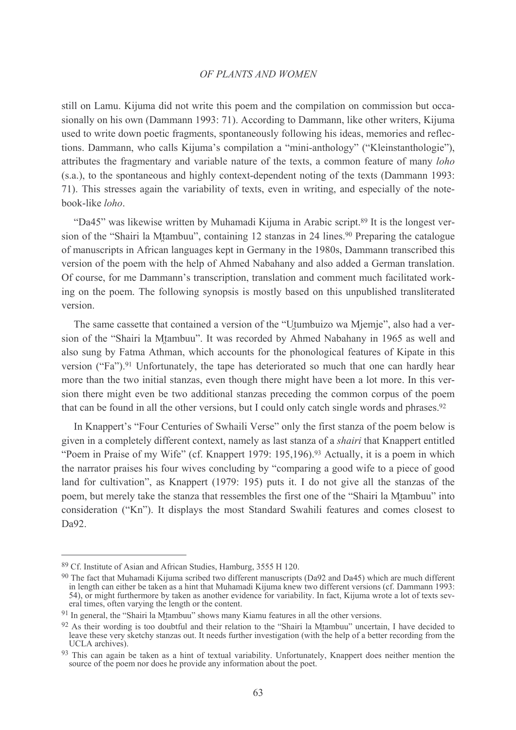still on Lamu. Kijuma did not write this poem and the compilation on commission but occasionally on his own (Dammann 1993: 71). According to Dammann, like other writers, Kijuma used to write down poetic fragments, spontaneously following his ideas, memories and reflections. Dammann, who calls Kijuma's compilation a "mini-anthology" ("Kleinstanthologie"). attributes the fragmentary and variable nature of the texts, a common feature of many *loho* (s.a.), to the spontaneous and highly context-dependent noting of the texts (Dammann 1993: 71). This stresses again the variability of texts, even in writing, and especially of the notebook-like loho.

"Da45" was likewise written by Muhamadi Kijuma in Arabic script.<sup>89</sup> It is the longest version of the "Shairi la Mtambuu", containing 12 stanzas in 24 lines.<sup>90</sup> Preparing the catalogue of manuscripts in African languages kept in Germany in the 1980s, Dammann transcribed this version of the poem with the help of Ahmed Nabahany and also added a German translation. Of course, for me Dammann's transcription, translation and comment much facilitated working on the poem. The following synopsis is mostly based on this unpublished transliterated version.

The same cassette that contained a version of the "Utumbuizo wa Mjemje", also had a version of the "Shairi la Mtambuu". It was recorded by Ahmed Nabahany in 1965 as well and also sung by Fatma Athman, which accounts for the phonological features of Kipate in this version ("Fa").<sup>91</sup> Unfortunately, the tape has deteriorated so much that one can hardly hear more than the two initial stanzas, even though there might have been a lot more. In this version there might even be two additional stanzas preceding the common corpus of the poem that can be found in all the other versions, but I could only catch single words and phrases.<sup>92</sup>

In Knappert's "Four Centuries of Swhaili Verse" only the first stanza of the poem below is given in a completely different context, namely as last stanza of a *shairi* that Knappert entitled "Poem in Praise of my Wife" (cf. Knappert 1979: 195,196).<sup>93</sup> Actually, it is a poem in which the narrator praises his four wives concluding by "comparing a good wife to a piece of good land for cultivation", as Knappert (1979: 195) puts it. I do not give all the stanzas of the poem, but merely take the stanza that ressembles the first one of the "Shairi la Mtambuu" into consideration ("Kn"). It displays the most Standard Swahili features and comes closest to Da92.

<sup>&</sup>lt;sup>89</sup> Cf. Institute of Asian and African Studies, Hamburg, 3555 H 120.

<sup>90</sup> The fact that Muhamadi Kijuma scribed two different manuscripts (Da92 and Da45) which are much different in length can either be taken as a hint that Muhamadi Kijuma knew two different versions (cf. Dammann 1993: 54), or might furthermore by taken as another evidence for variability. In fact, Kijuma wrote a lot of texts several times, often varying the length or the content.

<sup>&</sup>lt;sup>91</sup> In general, the "Shairi la Mtambuu" shows many Kiamu features in all the other versions.

<sup>92</sup> As their wording is too doubtful and their relation to the "Shairi la Mtambuu" uncertain, I have decided to leave these very sketchy stanzas out. It needs further investigation (with the help of a better recording from the UCLA archives).

<sup>93</sup> This can again be taken as a hint of textual variability. Unfortunately, Knappert does neither mention the source of the poem nor does he provide any information about the poet.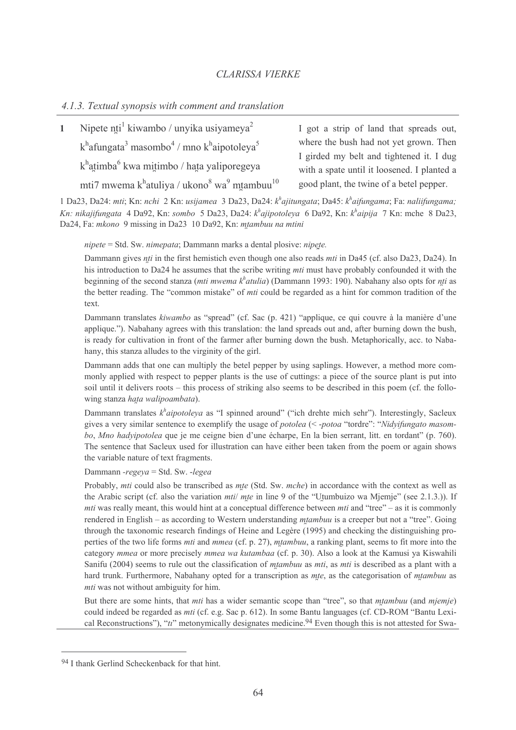#### 4.1.3. Textual synopsis with comment and translation

| Nipete nti <sup>1</sup> kiwambo / unyika usiyameya <sup>2</sup>                               | I got a strip of land that spreads out,     |
|-----------------------------------------------------------------------------------------------|---------------------------------------------|
| $k^h$ afungata <sup>3</sup> masombo <sup>4</sup> / mno k <sup>h</sup> aipotoleya <sup>5</sup> | where the bush had not yet grown. Then      |
|                                                                                               | I girded my belt and tightened it. I dug    |
| k <sup>h</sup> atimba <sup>6</sup> kwa mitimbo / hata yaliporegeya                            | with a spate until it loosened. I planted a |
| mti7 mwema k <sup>h</sup> atuliya / ukono <sup>8</sup> wa <sup>9</sup> mtambuu <sup>10</sup>  | good plant, the twine of a betel pepper.    |

1 Da23, Da24; mti; Kn; nchi 2 Kn; usijamea 3 Da23, Da24;  $k^h$ ajitungata; Da45;  $k^h$ aifungama; Fa; naliifungama; Kn: nikajifungata 4 Da92, Kn: sombo 5 Da23, Da24:  $k^h$ ajipotoleya 6 Da92, Kn:  $k^h$ aipija 7 Kn: mche 8 Da23, Da24, Fa: mkono 9 missing in Da23 10 Da92, Kn: mtambuu na mtini

nipete = Std. Sw. nimepata; Dammann marks a dental plosive: nipete.

Dammann gives *nti* in the first hemistich even though one also reads *mti* in Da45 (cf. also Da23, Da24). In his introduction to Da24 he assumes that the scribe writing *mti* must have probably confounded it with the beginning of the second stanza (*mti mwema k<sup>h</sup>atulia*) (Dammann 1993: 190). Nabahany also opts for *nti* as the better reading. The "common mistake" of *mti* could be regarded as a hint for common tradition of the text.

Dammann translates kiwambo as "spread" (cf. Sac (p. 421) "applique, ce qui couvre à la manière d'une applique."). Nabahany agrees with this translation: the land spreads out and, after burning down the bush, is ready for cultivation in front of the farmer after burning down the bush. Metaphorically, acc. to Nabahany, this stanza alludes to the virginity of the girl.

Dammann adds that one can multiply the betel pepper by using saplings. However, a method more commonly applied with respect to pepper plants is the use of cuttings: a piece of the source plant is put into soil until it delivers roots - this process of striking also seems to be described in this poem (cf. the following stanza hata walipoambata).

Dammann translates  $k^h$ aipotoleya as "I spinned around" ("ich drehte mich sehr"). Interestingly, Sacleux gives a very similar sentence to exemplify the usage of *potolea* (< -*potoa* "tordre": "Nidvifungato masombo, Mno hadvipotolea que je me ceigne bien d'une écharpe. En la bien serrant, litt. en tordant" (p. 760). The sentence that Sacleux used for illustration can have either been taken from the poem or again shows the variable nature of text fragments.

Dammann - regeva = Std. Sw. - legea

Probably, *mti* could also be transcribed as *mte* (Std. Sw. *mche*) in accordance with the context as well as the Arabic script (cf. also the variation *mtil mte* in line 9 of the "Utumbuizo wa Mjemje" (see 2.1.3.)). If *mti* was really meant, this would hint at a conceptual difference between *mti* and "tree" – as it is commonly rendered in English – as according to Western understanding *mtambuu* is a creeper but not a "tree". Going through the taxonomic research findings of Heine and Legère (1995) and checking the distinguishing properties of the two life forms *mti* and *mmea* (cf. p. 27), *mtambuu*, a ranking plant, seems to fit more into the category mmea or more precisely mmea wa kutambaa (cf. p. 30). Also a look at the Kamusi ya Kiswahili Sanifu (2004) seems to rule out the classification of *mtambuu* as *mti*, as *mti* is described as a plant with a hard trunk. Furthermore, Nabahany opted for a transcription as mte, as the categorisation of mtambuu as *mti* was not without ambiguity for him.

But there are some hints, that *mti* has a wider semantic scope than "tree", so that *mtambuu* (and *mjemje*) could indeed be regarded as *mti* (cf. e.g. Sac p. 612). In some Bantu languages (cf. CD-ROM "Bantu Lexical Reconstructions"). "ti" metonymically designates medicine. <sup>94</sup> Even though this is not attested for Swa-

<sup>94</sup> I thank Gerlind Scheckenback for that hint.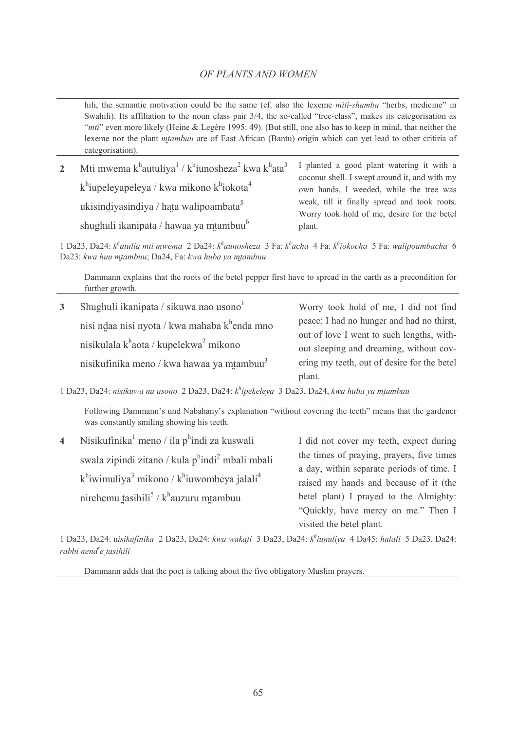hili, the semantic motivation could be the same (cf. also the lexeme miti-shamba "herbs, medicine" in Swahili). Its affiliation to the noun class pair 3/4, the so-called "tree-class", makes its categorisation as "mti" even more likely (Heine & Legère 1995: 49). (But still, one also has to keep in mind, that neither the lexeme nor the plant *mtambuu* are of East African (Bantu) origin which can yet lead to other critiria of categorisation).

| $2^{\circ}$ | Mti mwema k <sup>h</sup> autuliya <sup>1</sup> / k <sup>h</sup> iunosheza <sup>2</sup> kwa k <sup>h</sup> ata <sup>3</sup> | I planted a good plant watering it with a<br>coconut shell. I swept around it, and with my  |
|-------------|----------------------------------------------------------------------------------------------------------------------------|---------------------------------------------------------------------------------------------|
|             | $k^h$ iupeleyapeleya / kwa mikono $k^h$ iokota <sup>4</sup>                                                                | own hands, I weeded, while the tree was                                                     |
|             | ukisindiyasindiya / hata walipoambata <sup>5</sup>                                                                         | weak, till it finally spread and took roots.<br>Worry took hold of me, desire for the betel |
|             | shughuli ikanipata / hawaa ya mtambuu <sup>6</sup>                                                                         | plant.                                                                                      |

1 Da23, Da24:  $k^h$ atulia mti mwema 2 Da24:  $k^h$ aunosheza 3 Fa:  $k^h$ acha 4 Fa:  $k^h$ iokocha 5 Fa: walipoambacha 6 Da23: kwa huu mtambuu; Da24, Fa: kwa huba ya mtambuu

Dammann explains that the roots of the betel pepper first have to spread in the earth as a precondition for further growth.

| $\mathbf{3}$ | Shughuli ikanipata / sikuwa nao usono <sup>1</sup>             | Worry took hold of me, I did not find       |
|--------------|----------------------------------------------------------------|---------------------------------------------|
|              | nisi ndaa nisi nyota / kwa mahaba k <sup>h</sup> enda mno      | peace; I had no hunger and had no thirst,   |
|              |                                                                | out of love I went to such lengths, with-   |
|              | nisikulala k <sup>h</sup> aota / kupelekwa <sup>2</sup> mikono | out sleeping and dreaming, without cov-     |
|              | nisikufinika meno / kwa hawaa ya mtambuu <sup>3</sup>          | ering my teeth, out of desire for the betel |
|              |                                                                | plant.                                      |

1 Da23, Da24: nisikuwa na usono 2 Da23, Da24: k<sup>h</sup>ipekeleya 3 Da23, Da24, kwa huba ya mtambuu

Following Dammann's und Nabahany's explanation "without covering the teeth" means that the gardener was constantly smiling showing his teeth.

| $\overline{4}$ | Nisikufinika <sup>1</sup> meno / ila p <sup>h</sup> indi za kuswali       | I did not cover my teeth, expect during   |
|----------------|---------------------------------------------------------------------------|-------------------------------------------|
|                | swala zipindi zitano / kula phindi <sup>2</sup> mbali mbali               | the times of praying, prayers, five times |
|                |                                                                           | a day, within separate periods of time. I |
|                | $k^h$ iwimuliya <sup>3</sup> mikono / $k^h$ iuwombeya jalali <sup>4</sup> | raised my hands and because of it (the    |
|                | nirehemu tasihili <sup>5</sup> / $kh$ auzuru mtambuu                      | betel plant) I prayed to the Almighty:    |
|                |                                                                           | "Quickly, have mercy on me." Then I       |
|                |                                                                           | visited the betel plant.                  |

1 Da23, Da24: nisikufinika 2 Da23, Da24: kwa wakati 3 Da23, Da24: khiunuliya 4 Da45: halali 5 Da23, Da24: rabbi nend<sup>r</sup>e tasihili

Dammann adds that the poet is talking about the five obligatory Muslim prayers.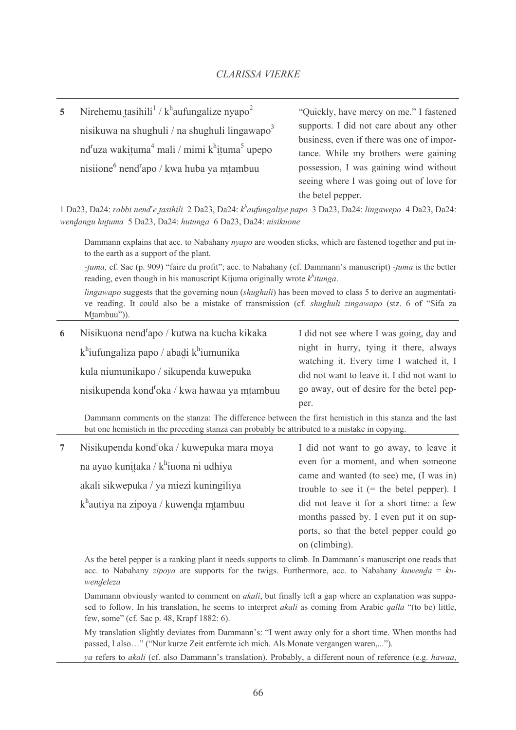Nirehemu tasihili<sup>1</sup> /  $k^{\text{h}}$ aufungalize nyapo<sup>2</sup>  $\overline{\mathbf{5}}$ nisikuwa na shughuli / na shughuli lingawapo<sup>3</sup>  $nd^r$ uza wakituma<sup>4</sup> mali / mimi k<sup>h</sup>ituma<sup>5</sup> upepo nisiione<sup>6</sup> nend<sup>r</sup>apo / kwa huba ya mtambuu

"Ouickly, have mercy on me." I fastened supports. I did not care about any other business, even if there was one of importance. While my brothers were gaining possession, I was gaining wind without seeing where I was going out of love for the betel pepper.

1 Da23, Da24: rabbi nend<sup>r</sup>e tasihili 2 Da23, Da24: k<sup>h</sup>aufungaliye papo 3 Da23, Da24: lingawepo 4 Da23, Da24: wendangu hutuma 5 Da23, Da24: hutunga 6 Da23, Da24: nisikuone

Dammann explains that acc. to Nabahany nyapo are wooden sticks, which are fastened together and put into the earth as a support of the plant.

-tuma, cf. Sac (p. 909) "faire du profit"; acc. to Nabahany (cf. Dammann's manuscript) -tuma is the better reading, even though in his manuscript Kijuma originally wrote  $k^h$ *itunga*.

*lingawapo* suggests that the governing noun *(shughuli)* has been moved to class 5 to derive an augmentative reading. It could also be a mistake of transmission (cf. *shughuli zingawapo* (stz. 6 of "Sifa za Mtambuu")).

| 6 | Nisikuona nend <sup>r</sup> apo / kutwa na kucha kikaka                                                  | I did not see where I was going, day and                                          |
|---|----------------------------------------------------------------------------------------------------------|-----------------------------------------------------------------------------------|
|   | $k^h$ iufungaliza papo / abadi $k^h$ iumunika                                                            | night in hurry, tying it there, always<br>watching it. Every time I watched it, I |
|   | kula niumunikapo / sikupenda kuwepuka                                                                    | did not want to leave it. I did not want to                                       |
|   | nisikupenda kond <sup>r</sup> oka / kwa hawaa ya mtambuu                                                 | go away, out of desire for the betel pep-                                         |
|   |                                                                                                          | per.                                                                              |
|   | Domniand against the the stores. The difference between the first beachtigh in this stores, and the last |                                                                                   |

Dammann comments on the stanza: The difference between the first hemistich in this stanza and the last but one hemistich in the preceding stanza can probably be attributed to a mistake in copying.

| $7^{\circ}$ | Nisikupenda kond <sup>r</sup> oka / kuwepuka mara moya | I did not want to go away, to leave it      |
|-------------|--------------------------------------------------------|---------------------------------------------|
|             | na ayao kunitaka / k <sup>h</sup> iuona ni udhiya      | even for a moment, and when someone         |
|             |                                                        | came and wanted (to see) me, (I was in)     |
|             | akali sikwepuka / ya miezi kuningiliya                 | trouble to see it $(=$ the betel pepper). I |
|             | $kh$ autiya na zipoya / kuwenda mtambuu                | did not leave it for a short time: a few    |
|             |                                                        | months passed by. I even put it on sup-     |
|             |                                                        | ports, so that the betel pepper could go    |
|             |                                                        | on (climbing).                              |

As the betel pepper is a ranking plant it needs supports to climb. In Dammann's manuscript one reads that acc. to Nabahany *zipoya* are supports for the twigs. Furthermore, acc. to Nabahany *kuwenda* =  $ku$ wendeleza

Dammann obviously wanted to comment on *akali*, but finally left a gap where an explanation was supposed to follow. In his translation, he seems to interpret *akali* as coming from Arabic *galla* "(to be) little, few, some" (cf. Sac p. 48, Krapf 1882: 6).

My translation slightly deviates from Dammann's: "I went away only for a short time. When months had passed, I also..." ("Nur kurze Zeit entfernte ich mich. Als Monate vergangen waren,...").

ya refers to akali (cf. also Dammann's translation). Probably, a different noun of reference (e.g. hawaa,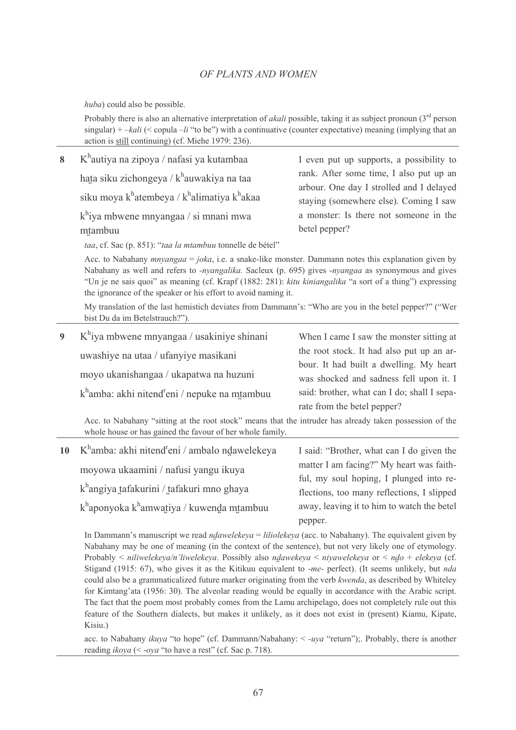huba) could also be possible.

Probably there is also an alternative interpretation of *akali* possible, taking it as subject pronoun  $3^{rd}$  person singular) + - kali (< copula - li "to be") with a continuative (counter expectative) meaning (implying that an action is still continuing) (cf. Miehe 1979: 236).

| 8 | K <sup>h</sup> autiya na zipoya / nafasi ya kutambaa                                                                                                                                                                                                                                                                                                                                                             | I even put up supports, a possibility to                                             |
|---|------------------------------------------------------------------------------------------------------------------------------------------------------------------------------------------------------------------------------------------------------------------------------------------------------------------------------------------------------------------------------------------------------------------|--------------------------------------------------------------------------------------|
|   | hata siku zichongeya / k <sup>h</sup> auwakiya na taa                                                                                                                                                                                                                                                                                                                                                            | rank. After some time, I also put up an<br>arbour. One day I strolled and I delayed  |
|   | siku moya k <sup>h</sup> atembeya / k <sup>h</sup> alimatiya k <sup>h</sup> akaa                                                                                                                                                                                                                                                                                                                                 | staying (somewhere else). Coming I saw                                               |
|   | $k^h$ iya mbwene mnyangaa / si mnani mwa<br>mtambuu                                                                                                                                                                                                                                                                                                                                                              | a monster: Is there not someone in the<br>betel pepper?                              |
|   | taa, cf. Sac (p. 851): "taa la mtambuu tonnelle de bétel"                                                                                                                                                                                                                                                                                                                                                        |                                                                                      |
|   | Acc. to Nabahany <i>mnyangaa</i> = joka, i.e. a snake-like monster. Dammann notes this explanation given by<br>Nabahany as well and refers to <i>-nyangalika</i> . Sacleux (p. 695) gives <i>-nyangaa</i> as synonymous and gives<br>"Un je ne sais quoi" as meaning (cf. Krapf (1882: 281): kitu kiniangalika "a sort of a thing") expressing<br>the ignorance of the speaker or his effort to avoid naming it. |                                                                                      |
|   | My translation of the last hemistich deviates from Dammann's: "Who are you in the betel pepper?" ("Wer<br>bist Du da im Betelstrauch?").                                                                                                                                                                                                                                                                         |                                                                                      |
| 9 | $K^h$ iya mbwene mnyangaa / usakiniye shinani                                                                                                                                                                                                                                                                                                                                                                    | When I came I saw the monster sitting at                                             |
|   | uwashiye na utaa / ufanyiye masikani                                                                                                                                                                                                                                                                                                                                                                             | the root stock. It had also put up an ar-<br>bour. It had built a dwelling. My heart |
|   | moyo ukanishangaa / ukapatwa na huzuni                                                                                                                                                                                                                                                                                                                                                                           | was shocked and sadness fell upon it. I                                              |
|   | k <sup>h</sup> amba: akhi nitend <sup>r</sup> eni / nepuke na mtambuu                                                                                                                                                                                                                                                                                                                                            | said: brother, what can I do; shall I sepa-<br>rate from the betel pepper?           |

Acc. to Nabahany "sitting at the root stock" means that the intruder has already taken possession of the whole house or has gained the favour of her whole family.

| $10$ K <sup>h</sup> amba: akhi nitend <sup>r</sup> eni / ambalo ndawelekeya | I said: "Brother, what can I do given the                                             |
|-----------------------------------------------------------------------------|---------------------------------------------------------------------------------------|
| moyowa ukaamini / nafusi yangu ikuya                                        | matter I am facing?" My heart was faith-                                              |
| $kh$ angiya tafakurini / tafakuri mno ghaya                                 | ful, my soul hoping, I plunged into re-<br>flections, too many reflections, I slipped |
| $k^h$ aponyoka k $^h$ amwatiya / kuwenda mtambuu                            | away, leaving it to him to watch the betel                                            |
|                                                                             | pepper.                                                                               |

In Dammann's manuscript we read *ndawelekeya* = *liliolekeya* (acc. to Nabahany). The equivalent given by Nabahany may be one of meaning (in the context of the sentence), but not very likely one of etymology. Probably < niliwelekeya/n'liwelekeya. Possibly also ndawekeya < niyawelekeya or < ndo + elekeya (cf. Stigand (1915: 67), who gives it as the Kitikuu equivalent to -me- perfect). (It seems unlikely, but nda could also be a grammaticalized future marker originating from the verb kwenda, as described by Whiteley for Kimtang'ata (1956: 30). The alveolar reading would be equally in accordance with the Arabic script. The fact that the poem most probably comes from the Lamu archipelago, does not completely rule out this feature of the Southern dialects, but makes it unlikely, as it does not exist in (present) Kiamu, Kipate, Kisiu.)

acc. to Nabahany *ikuya* "to hope" (cf. Dammann/Nabahany:  $\lt$ -uya "return"); Probably, there is another reading *ikoya* (< -*oya* "to have a rest" (cf. Sac p. 718).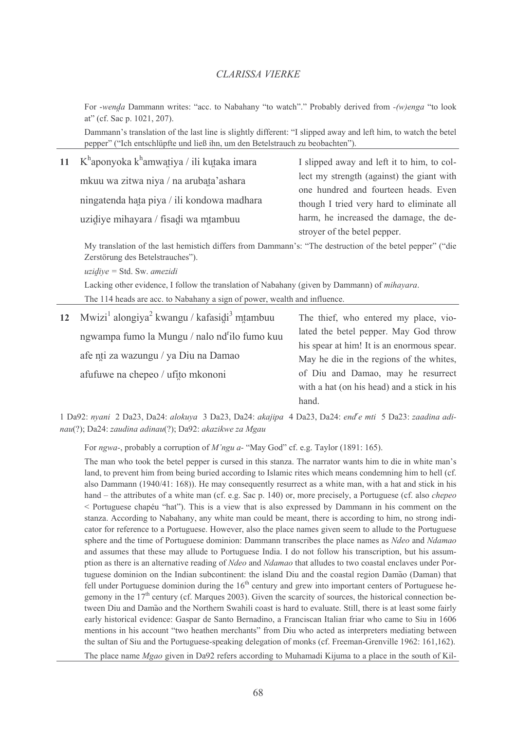For -wenda Dammann writes: "acc. to Nabahany "to watch"." Probably derived from -(w)enga "to look at" (cf. Sac p. 1021, 207).

Dammann's translation of the last line is slightly different: "I slipped away and left him, to watch the betel pepper" ("Ich entschlüpfte und ließ ihn, um den Betelstrauch zu beobachten").

| 11 K <sup>h</sup> aponyoka k <sup>h</sup> amwatiya / ili kutaka imara | I slipped away and left it to him, to col- |
|-----------------------------------------------------------------------|--------------------------------------------|
| mkuu wa zitwa niya / na arubata'ashara                                | lect my strength (against) the giant with  |
|                                                                       | one hundred and fourteen heads. Even       |
| ningatenda hata piya / ili kondowa madhara                            | though I tried very hard to eliminate all  |
| uzidiye mihayara / fisadi wa mtambuu                                  | harm, he increased the damage, the de-     |
|                                                                       | stroyer of the betel pepper.               |

My translation of the last hemistich differs from Dammann's: "The destruction of the betel pepper" ("die Zerstörung des Betelstrauches").

 $uzidive = Std$ . Sw. amezidi

Lacking other evidence, I follow the translation of Nabahany (given by Dammann) of *mihavara*.

The 114 heads are acc. to Nabahany a sign of power, wealth and influence.

| 12 Mwizi <sup>1</sup> alongiya <sup>2</sup> kwangu / kafasidi <sup>3</sup> mtambuu | The thief, who entered my place, vio-       |
|------------------------------------------------------------------------------------|---------------------------------------------|
| ngwampa fumo la Mungu / nalo nd <sup>r</sup> ilo fumo kuu                          | lated the betel pepper. May God throw       |
| afe nti za wazungu / ya Diu na Damao                                               | his spear at him! It is an enormous spear.  |
|                                                                                    | May he die in the regions of the whites,    |
| afufuwe na chepeo / ufito mkononi                                                  | of Diu and Damao, may he resurrect          |
|                                                                                    | with a hat (on his head) and a stick in his |
|                                                                                    | hand.                                       |

1 Da92: nyani 2 Da23, Da24: alokuya 3 Da23, Da24: akajipa 4 Da23, Da24: end<sup>r</sup>e mti 5 Da23: zaadina adinau(?); Da24; zaudina adinau(?); Da92; akazikwe za Mgau

For ngwa-, probably a corruption of M'ngu a- "May God" cf. e.g. Taylor (1891: 165).

The man who took the betel pepper is cursed in this stanza. The narrator wants him to die in white man's land, to prevent him from being buried according to Islamic rites which means condemning him to hell (cf. also Dammann (1940/41: 168)). He may consequently resurrect as a white man, with a hat and stick in his hand – the attributes of a white man (cf. e.g. Sac p. 140) or, more precisely, a Portuguese (cf. also *chepeo* < Portuguese chapéu "hat"). This is a view that is also expressed by Dammann in his comment on the stanza. According to Nabahany, any white man could be meant, there is according to him, no strong indicator for reference to a Portuguese. However, also the place names given seem to allude to the Portuguese sphere and the time of Portuguese dominion: Dammann transcribes the place names as Ndeo and Ndamao and assumes that these may allude to Portuguese India. I do not follow his transcription, but his assumption as there is an alternative reading of Ndeo and Ndamao that alludes to two coastal enclaves under Portuguese dominion on the Indian subcontinent: the island Diu and the coastal region Damão (Daman) that fell under Portuguese dominion during the  $16<sup>th</sup>$  century and grew into important centers of Portuguese hegemony in the  $17<sup>th</sup>$  century (cf. Margues 2003). Given the scarcity of sources, the historical connection between Diu and Damão and the Northern Swahili coast is hard to evaluate. Still, there is at least some fairly early historical evidence: Gaspar de Santo Bernadino, a Franciscan Italian friar who came to Siu in 1606 mentions in his account "two heathen merchants" from Diu who acted as interpreters mediating between the sultan of Siu and the Portuguese-speaking delegation of monks (cf. Freeman-Grenville 1962: 161,162). The place name Mgao given in Da92 refers according to Muhamadi Kijuma to a place in the south of Kil-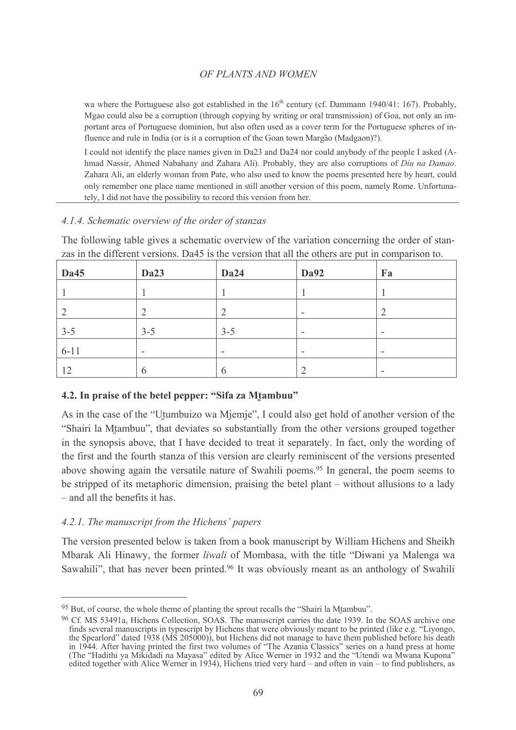wa where the Portuguese also got established in the 16<sup>th</sup> century (cf. Dammann 1940/41: 167). Probably, Mgao could also be a corruption (through copying by writing or oral transmission) of Goa, not only an important area of Portuguese dominion, but also often used as a cover term for the Portuguese spheres of influence and rule in India (or is it a corruption of the Goan town Margão (Madgaon)?).

I could not identify the place names given in Da23 and Da24 nor could anybody of the people I asked (Ahmad Nassir, Ahmed Nabahany and Zahara Ali). Probably, they are also corruptions of *Diu na Damao*. Zahara Ali, an elderly woman from Pate, who also used to know the poems presented here by heart, could only remember one place name mentioned in still another version of this poem, namely Rome. Unfortunately, I did not have the possibility to record this version from her.

# 4.1.4. Schematic overview of the order of stanzas

The following table gives a schematic overview of the variation concerning the order of stanzas in the different versions. Da45 is the version that all the others are put in comparison to.

| Da45     | Da23    | Da24    | <b>Da92</b> | Fa                       |
|----------|---------|---------|-------------|--------------------------|
|          |         |         |             |                          |
|          | ∠       |         | ۰           |                          |
| $3 - 5$  | $3 - 5$ | $3 - 5$ | -           | $\overline{\phantom{0}}$ |
| $6 - 11$ | $\sim$  | ۰       | -           |                          |
| 12       | O       |         |             | $\overline{\phantom{a}}$ |

# 4.2. In praise of the betel pepper: "Sifa za Mtambuu"

As in the case of the "Utumbuizo wa Mjemje". I could also get hold of another version of the "Shairi la Mtambuu", that deviates so substantially from the other versions grouped together in the synopsis above, that I have decided to treat it separately. In fact, only the wording of the first and the fourth stanza of this version are clearly reminiscent of the versions presented above showing again the versatile nature of Swahili poems.<sup>95</sup> In general, the poem seems to be stripped of its metaphoric dimension, praising the betel plant – without allusions to a lady - and all the benefits it has.

# 4.2.1. The manuscript from the Hichens' papers

The version presented below is taken from a book manuscript by William Hichens and Sheikh Mbarak Ali Hinawy, the former *liwali* of Mombasa, with the title "Diwani ya Malenga wa Sawahili", that has never been printed.<sup>96</sup> It was obviously meant as an anthology of Swahili

<sup>&</sup>lt;sup>95</sup> But, of course, the whole theme of planting the sprout recalls the "Shairi la Mtambuu".

<sup>&</sup>lt;sup>96</sup> Cf. MS 53491a, Hichens Collection, SOAS. The manuscript carries the date 1939. In the SOAS archive one CL NLS 33491a, Fucuents Conection, SOAS. The manuscript carries the date 1939. In the SOAS archive one<br>finds several manuscripts in typescript by Hichens that were obviously meant to be printed (like e.g. "Liyongo,<br>the Spe edited together with Alice Werner in 1934), Hichens tried very hard – and often in vain – to find publishers, as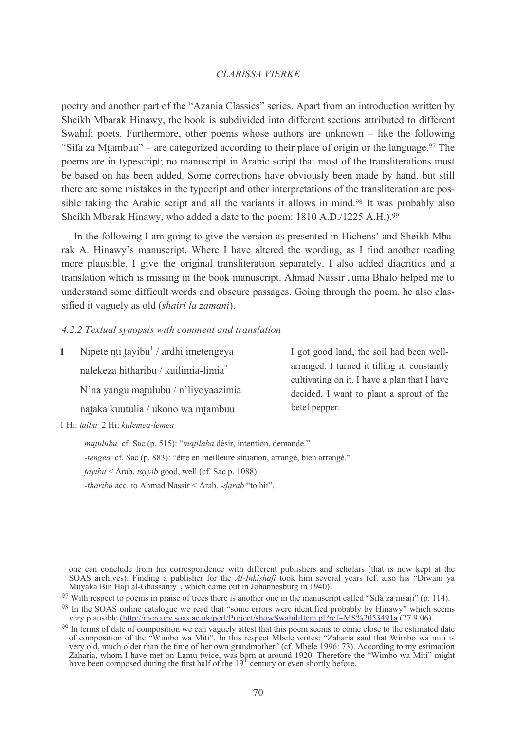poetry and another part of the "Azania Classics" series. Apart from an introduction written by Sheikh Mbarak Hinawy, the book is subdivided into different sections attributed to different Swahili poets. Furthermore, other poems whose authors are unknown  $-$  like the following "Sifa za Mtambuu" – are categorized according to their place of origin or the language.  $97$  The poems are in typescript; no manuscript in Arabic script that most of the transliterations must be based on has been added. Some corrections have obviously been made by hand, but still there are some mistakes in the typecript and other interpretations of the transliteration are possible taking the Arabic script and all the variants it allows in mind.<sup>98</sup> It was probably also Sheikh Mbarak Hinawy, who added a date to the poem: 1810 A.D./1225 A.H.).99

In the following I am going to give the version as presented in Hichens' and Sheikh Mbarak A. Hinawy's manuscript. Where I have altered the wording, as I find another reading more plausible. I give the original transliteration separately. I also added diacritics and a translation which is missing in the book manuscript. Ahmad Nassir Juma Bhalo helped me to understand some difficult words and obscure passages. Going through the poem, he also classified it vaguely as old (shairi la zamani).

### 4.2.2 Textual synopsis with comment and translation

| $\mathbf{1}$                    | Nipete nti tayibu <sup>1</sup> / ardhi imetengeya<br>nalekeza hitharibu / kuilimia-limia $^2$<br>N'na yangu matulubu / n'liyoyaazimia<br>nataka kuutulia / ukono wa mtambuu                                                | I got good land, the soil had been well-<br>arranged. I turned it tilling it, constantly<br>cultivating on it. I have a plan that I have<br>decided, I want to plant a sprout of the<br>betel pepper. |  |
|---------------------------------|----------------------------------------------------------------------------------------------------------------------------------------------------------------------------------------------------------------------------|-------------------------------------------------------------------------------------------------------------------------------------------------------------------------------------------------------|--|
| 1 Hi: taibu 2 Hi: kulemea-lemea |                                                                                                                                                                                                                            |                                                                                                                                                                                                       |  |
|                                 | matulubu, cf. Sac (p. 515): "matilaba désir, intention, demande."<br>-tengea, cf. Sac (p. 883): "être en meilleure situation, arrangé, bien arrangé."<br><i>tayibu</i> < Arab. <i>tayyib</i> good, well (cf. Sac p. 1088). |                                                                                                                                                                                                       |  |

-tharibu acc. to Ahmad Nassir < Arab. -darab "to hit".

one can conclude from his correspondence with different publishers and scholars (that is now kept at the SOAS archives). Finding a publisher for the Al-Inkishaft took him several years (cf. also his "Diwani ya Muyaka Bin Haji al-Ghassaniy", which came out in Johannesburg in 1940).

 $97$  With respect to poems in praise of trees there is another one in the manuscript called "Sifa za msaji" (p. 114).

<sup>&</sup>lt;sup>98</sup> In the SOAS online catalogue we read that "some errors were identified probably by Hinawy" which seems very plausible (http://mercury.soas.ac.uk/perl/Project/showSwahiliItem.pl?ref=MS%2053491a (27.9.06).

<sup>&</sup>lt;sup>99</sup> In terms of date of composition we can vaguely attest that this poem seems to come close to the estimated date<br>of composition of the "Wimbo wa Miti". In this respect Mbele writes: "Zaharia said that Wimbo wa miti is<br>v Zaharia, whom I have met on Lamu twice, was born at around 1920. Therefore the "Wimbo wa Miti" might have been composed during the first half of the 19<sup>th</sup> century or even shortly before.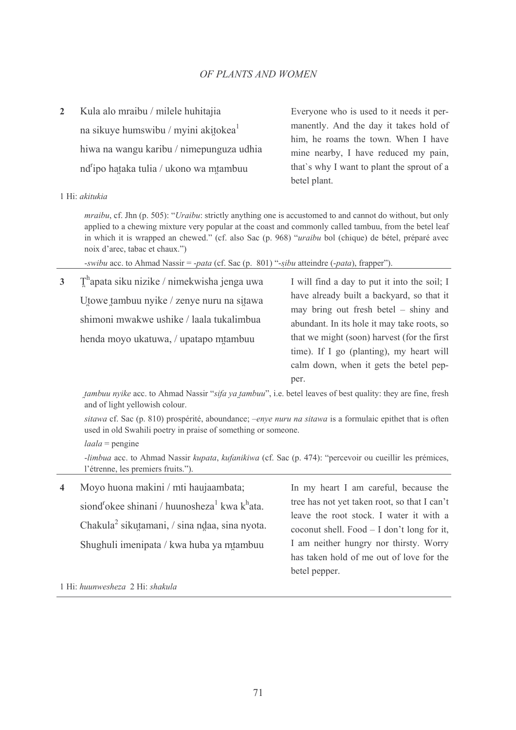$\overline{\mathcal{L}}$ Kula alo mraibu / milele huhitajia na sikuye humswibu / myini akitokea<sup>1</sup> hiwa na wangu karibu / nimepunguza udhia nd<sup>r</sup>ipo hataka tulia / ukono wa mtambuu

Everyone who is used to it needs it permanently. And the day it takes hold of him, he roams the town. When I have mine nearby, I have reduced my pain, that's why I want to plant the sprout of a betel plant.

#### 1 Hi: akitukia

*mraibu*, cf. Jhn (p. 505): "*Uraibu*: strictly anything one is accustomed to and cannot do without, but only applied to a chewing mixture very popular at the coast and commonly called tambuu, from the betel leaf in which it is wrapped an chewed." (cf. also Sac (p. 968) "*uraibu* bol (chique) de bétel, préparé avec noix d'arec, tabac et chaux.")

-swibu acc. to Ahmad Nassir = -pata (cf. Sac (p. 801) "-sibu atteindre (-pata), frapper").

 $T<sup>h</sup>$ apata siku nizike / nimekwisha jenga uwa  $\overline{\mathbf{3}}$ Utowe tambuu nyike / zenye nuru na sitawa shimoni mwakwe ushike / laala tukalimbua henda movo ukatuwa. / upatapo mtambuu

I will find a day to put it into the soil: I have already built a backyard, so that it may bring out fresh betel – shiny and abundant. In its hole it may take roots, so that we might (soon) harvest (for the first time). If I go (planting), my heart will calm down, when it gets the betel pepper.

tambuu nyike acc. to Ahmad Nassir "sifa ya tambuu", i.e. betel leaves of best quality: they are fine, fresh and of light yellowish colour.

sitawa cf. Sac (p. 810) prospérité, aboundance; -enye nuru na sitawa is a formulaic epithet that is often used in old Swahili poetry in praise of something or someone.

 $laala$  = pengine

-limbua acc. to Ahmad Nassir kupata, kufanikiwa (cf. Sac (p. 474): "percevoir ou cueillir les prémices, l'étrenne, les premiers fruits.").

| $\overline{4}$ | Moyo huona makini / mti haujaambata;                                              | In my heart I am careful, because the        |
|----------------|-----------------------------------------------------------------------------------|----------------------------------------------|
|                | siond <sup>r</sup> okee shinani / huunosheza <sup>1</sup> kwa k <sup>h</sup> ata. | tree has not yet taken root, so that I can't |
|                | Chakula <sup>2</sup> sikutamani, / sina ndaa, sina nyota.                         | leave the root stock. I water it with a      |
|                |                                                                                   | coconut shell. Food $- I$ don't long for it, |
|                | Shughuli imenipata / kwa huba ya mtambuu                                          | I am neither hungry nor thirsty. Worry       |
|                |                                                                                   | has taken hold of me out of love for the     |
|                |                                                                                   | betel pepper.                                |

1 Hi: huunwesheza 2 Hi: shakula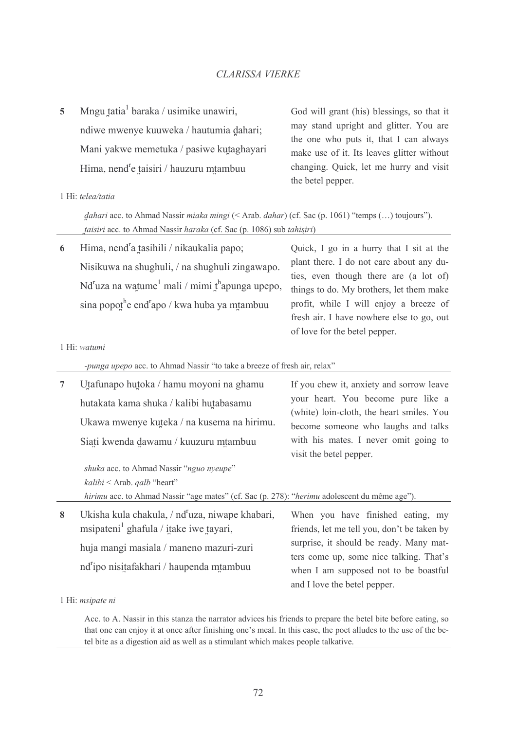Mngu tatia<sup>1</sup> baraka / usimike unawiri.  $\overline{\phantom{a}}$ ndiwe mwenye kuuweka / hautumia dahari; Mani yakwe memetuka / pasiwe kutaghayari Hima, nend<sup>r</sup>e taisiri / hauzuru mtambuu

God will grant (his) blessings, so that it may stand upright and glitter. You are the one who puts it, that I can always make use of it. Its leaves glitter without changing. Quick, let me hurry and visit the betel pepper.

#### 1 Hi: telea/tatia

*dahari* acc. to Ahmad Nassir *miaka mingi* (< Arab. *dahar*) (cf. Sac (p. 1061) "temps (...) toujours"). taisiri acc. to Ahmad Nassir haraka (cf. Sac (p. 1086) sub tahisiri)

Hima, nend<sup>r</sup>a tasihili / nikaukalia papo; 6 Nisikuwa na shughuli, / na shughuli zingawapo.  $Nd<sup>r</sup>uza$  na watume<sup>1</sup> mali / mimi t<sup>h</sup>apunga upepo, sina popothe end<sup>r</sup>apo / kwa huba ya mtambuu

Ouick. I go in a hurry that I sit at the plant there. I do not care about any duties, even though there are (a lot of) things to do. My brothers, let them make profit, while I will enjoy a breeze of fresh air. I have nowhere else to go, out of love for the betel pepper.

#### 1 Hi: watumi

-punga upepo acc. to Ahmad Nassir "to take a breeze of fresh air, relax"

| 7 | Utafunapo hutoka / hamu moyoni na ghamu                                                      | If you chew it, anxiety and sorrow leave                                        |
|---|----------------------------------------------------------------------------------------------|---------------------------------------------------------------------------------|
|   | hutakata kama shuka / kalibi hutabasamu                                                      | your heart. You become pure like a<br>(white) loin-cloth, the heart smiles. You |
|   | Ukawa mwenye kuteka / na kusema na hirimu.                                                   | become someone who laughs and talks                                             |
|   | Siati kwenda dawamu / kuuzuru mtambuu                                                        | with his mates. I never omit going to<br>visit the betel pepper.                |
|   | shuka acc. to Ahmad Nassir "nguo nyeupe"                                                     |                                                                                 |
|   | $kalibi <$ Arab. <i>qalb</i> "heart"                                                         |                                                                                 |
|   | hirimu acc. to Ahmad Nassir "age mates" (cf. Sac (p. 278): "herimu adolescent du même age"). |                                                                                 |
| 8 | Ukisha kula chakula, / nd <sup>r</sup> uza, niwape khabari,                                  | When you have finished eating, my                                               |

msipateni<sup>1</sup> ghafula / itake iwe tayari, huja mangi masiala / maneno mazuri-zuri nd<sup>r</sup>ipo nisitafakhari / haupenda mtambuu

eating, my friends, let me tell you, don't be taken by surprise, it should be ready. Many matters come up, some nice talking. That's when I am supposed not to be boastful and I love the betel pepper.

#### 1 Hi: msipate ni

Acc. to A. Nassir in this stanza the narrator advices his friends to prepare the betel bite before eating, so that one can enjoy it at once after finishing one's meal. In this case, the poet alludes to the use of the betel bite as a digestion aid as well as a stimulant which makes people talkative.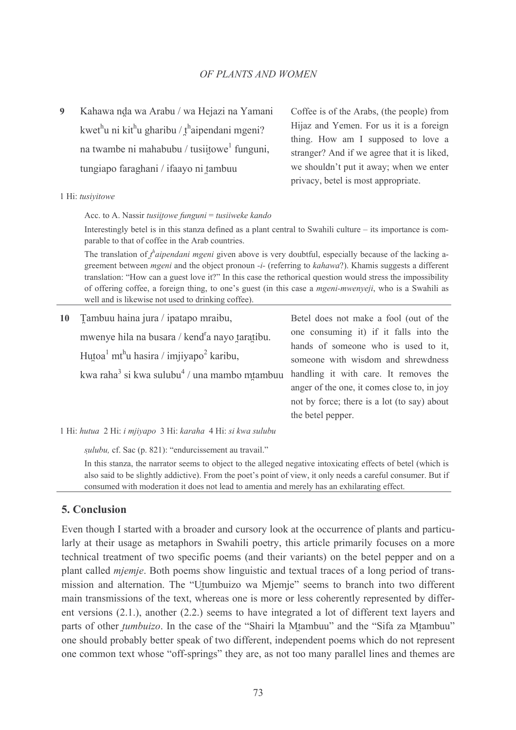$\boldsymbol{Q}$ Kahawa nda wa Arabu / wa Hejazi na Yamani kwet<sup>h</sup>u ni kit<sup>h</sup>u gharibu / t<sup>h</sup>aipendani mgeni? na twambe ni mahabubu / tusiitowe funguni, tungiapo faraghani / ifaayo ni tambuu

Coffee is of the Arabs, (the people) from Hijaz and Yemen. For us it is a foreign thing. How am I supposed to love a stranger? And if we agree that it is liked, we shouldn't put it away; when we enter privacy, betel is most appropriate.

#### 1 Hi: tusivitowe

Acc. to A. Nassir *tusiitowe funguni* = *tusiiweke kando* 

Interestingly betel is in this stanza defined as a plant central to Swahili culture – its importance is comparable to that of coffee in the Arab countries.

The translation of  $t^h$  *aipendani mgeni* given above is very doubtful, especially because of the lacking agreement between *mgeni* and the object pronoun -i- (referring to kahawa?). Khamis suggests a different translation: "How can a guest love it?" In this case the rethorical question would stress the impossibility of offering coffee, a foreign thing, to one's guest (in this case a *mgeni-mwenyeji*, who is a Swahili as well and is likewise not used to drinking coffee).

| 10 Tambuu haina jura / ipatapo mraibu,                                      | Betel does not make a fool (out of the      |
|-----------------------------------------------------------------------------|---------------------------------------------|
| mwenye hila na busara / kend <sup>r</sup> a nayo taratibu.                  | one consuming it) if it falls into the      |
|                                                                             | hands of someone who is used to it,         |
| Hutoa <sup>1</sup> mt <sup>h</sup> u hasira / imjiyapo <sup>2</sup> karibu, | someone with wisdom and shrewdness          |
| kwa raha <sup>3</sup> si kwa sulubu <sup>4</sup> / una mambo mtambuu        | handling it with care. It removes the       |
|                                                                             | anger of the one, it comes close to, in joy |
|                                                                             | not by force; there is a lot (to say) about |
|                                                                             | the betel pepper.                           |

1 Hi: hutua 2 Hi: i mjiyapo 3 Hi: karaha 4 Hi: si kwa sulubu

sulubu, cf. Sac (p. 821): "endurcissement au travail."

In this stanza, the narrator seems to object to the alleged negative intoxicating effects of betel (which is also said to be slightly addictive). From the poet's point of view, it only needs a careful consumer. But if consumed with moderation it does not lead to amentia and merely has an exhilarating effect.

# **5. Conclusion**

Even though I started with a broader and cursory look at the occurrence of plants and particularly at their usage as metaphors in Swahili poetry, this article primarily focuses on a more technical treatment of two specific poems (and their variants) on the betel pepper and on a plant called *mjemje*. Both poems show linguistic and textual traces of a long period of transmission and alternation. The "Utumbuizo wa Mjemje" seems to branch into two different main transmissions of the text, whereas one is more or less coherently represented by different versions  $(2.1)$ , another  $(2.2)$  seems to have integrated a lot of different text layers and parts of other *tumbuizo*. In the case of the "Shairi la Mtambuu" and the "Sifa za Mtambuu" one should probably better speak of two different, independent poems which do not represent one common text whose "off-springs" they are, as not too many parallel lines and themes are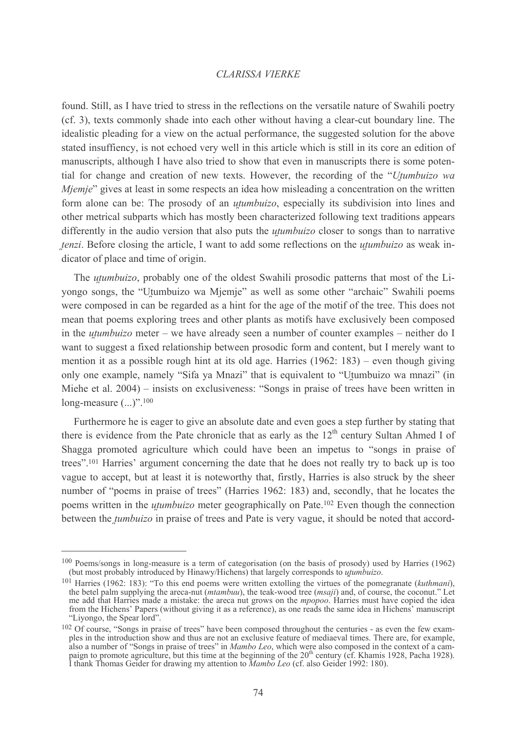found. Still, as I have tried to stress in the reflections on the versatile nature of Swahili poetry (cf. 3), texts commonly shade into each other without having a clear-cut boundary line. The idealistic pleading for a view on the actual performance, the suggested solution for the above stated insuffiency, is not echoed very well in this article which is still in its core an edition of manuscripts, although I have also tried to show that even in manuscripts there is some potential for change and creation of new texts. However, the recording of the "Utumbuizo wa *Miemie*" gives at least in some respects an idea how misleading a concentration on the written form alone can be: The prosody of an *utumbuizo*, especially its subdivision into lines and other metrical subparts which has mostly been characterized following text traditions appears differently in the audio version that also puts the *utumbuizo* closer to songs than to narrative *tenzi*. Before closing the article, I want to add some reflections on the *utumbuizo* as weak indicator of place and time of origin.

The *utumbuizo*, probably one of the oldest Swahili prosodic patterns that most of the Liyongo songs, the "Utumbuizo wa Mjemje" as well as some other "archaic" Swahili poems were composed in can be regarded as a hint for the age of the motif of the tree. This does not mean that poems exploring trees and other plants as motifs have exclusively been composed in the *utumbuizo* meter – we have already seen a number of counter examples – neither do I want to suggest a fixed relationship between prosodic form and content, but I merely want to mention it as a possible rough hint at its old age. Harries  $(1962: 183)$  – even though giving only one example, namely "Sifa ya Mnazi" that is equivalent to "Utumbuizo wa mnazi" (in Miehe et al. 2004) – insists on exclusiveness: "Songs in praise of trees have been written in long-measure  $(...)$ ".<sup>100</sup>

Furthermore he is eager to give an absolute date and even goes a step further by stating that there is evidence from the Pate chronicle that as early as the 12<sup>th</sup> century Sultan Ahmed I of Shagga promoted agriculture which could have been an impetus to "songs in praise of trees".<sup>101</sup> Harries' argument concerning the date that he does not really try to back up is too vague to accept, but at least it is noteworthy that, firstly, Harries is also struck by the sheer number of "poems in praise of trees" (Harries 1962: 183) and, secondly, that he locates the poems written in the *utumbuizo* meter geographically on Pate.<sup>102</sup> Even though the connection between the *tumbuizo* in praise of trees and Pate is very vague, it should be noted that accord-

<sup>&</sup>lt;sup>100</sup> Poems/songs in long-measure is a term of categorisation (on the basis of prosody) used by Harries (1962) (but most probably introduced by Hinawy/Hichens) that largely corresponds to *utumbuizo*.

<sup>&</sup>lt;sup>101</sup> Harries (1962: 183): "To this end poems were written extolling the virtues of the pomegranate (kuthmani), the betel palm supplying the areca-nut (mtambuu), the teak-wood tree (msaji) and, of course, the coconut." Let me add that Harries made a mistake: the areca nut grows on the *mpopoo*. Harries must have copied the idea from the Hichens' Papers (without giving it as a reference), as one reads the same idea in Hichens' manuscript "Liyongo, the Spear lord".

<sup>&</sup>lt;sup>102</sup> Of course, "Songs in praise of trees" have been composed throughout the centuries - as even the few exam-The introduction show and thus are not an exclusive feature of mediaeval times. There are, for example,<br>also a number of "Songs in praise of trees" in *Mambo Leo*, which were also composed in the context of a cam-<br>paign t I thank Thomas Geider for drawing my attention to *Mambo Leo* (cf. also Geider 1992: 180).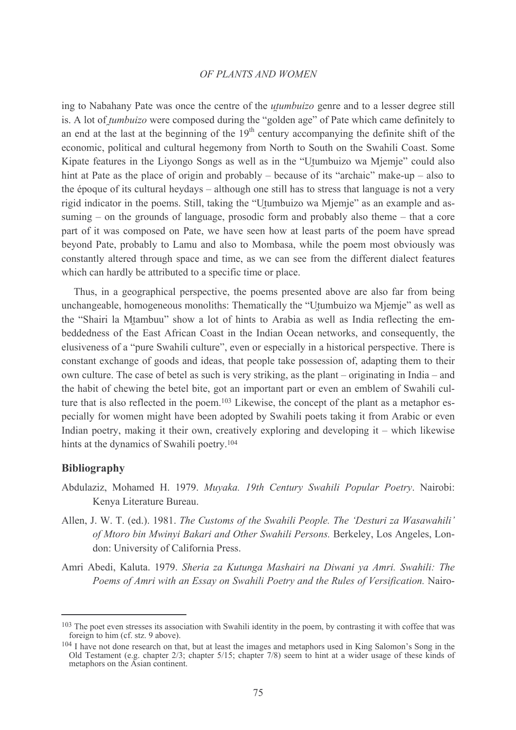ing to Nabahany Pate was once the centre of the *utumbuizo* genre and to a lesser degree still is. A lot of *tumbuizo* were composed during the "golden age" of Pate which came definitely to an end at the last at the beginning of the  $19<sup>th</sup>$  century accompanying the definite shift of the economic, political and cultural hegemony from North to South on the Swahili Coast. Some Kipate features in the Liyongo Songs as well as in the "Utumbuizo wa Mjemje" could also hint at Pate as the place of origin and probably – because of its "archaic" make-up – also to the époque of its cultural heydays – although one still has to stress that language is not a very rigid indicator in the poems. Still, taking the "Utumbuizo wa Mjemje" as an example and assuming – on the grounds of language, prosodic form and probably also theme – that a core part of it was composed on Pate, we have seen how at least parts of the poem have spread beyond Pate, probably to Lamu and also to Mombasa, while the poem most obviously was constantly altered through space and time, as we can see from the different dialect features which can hardly be attributed to a specific time or place.

Thus, in a geographical perspective, the poems presented above are also far from being unchangeable, homogeneous monoliths: Thematically the "Utumbuizo wa Mjemje" as well as the "Shairi la Mtambuu" show a lot of hints to Arabia as well as India reflecting the embeddedness of the East African Coast in the Indian Ocean networks, and consequently, the elusiveness of a "pure Swahili culture", even or especially in a historical perspective. There is constant exchange of goods and ideas, that people take possession of, adapting them to their own culture. The case of betel as such is very striking, as the plant – originating in India – and the habit of chewing the betel bite, got an important part or even an emblem of Swahili culture that is also reflected in the poem.<sup>103</sup> Likewise, the concept of the plant as a metaphor especially for women might have been adopted by Swahili poets taking it from Arabic or even Indian poetry, making it their own, creatively exploring and developing it  $-$  which likewise hints at the dynamics of Swahili poetry.<sup>104</sup>

### **Bibliography**

- Abdulaziz, Mohamed H. 1979. Muyaka. 19th Century Swahili Popular Poetry. Nairobi: Kenya Literature Bureau.
- Allen, J. W. T. (ed.). 1981. The Customs of the Swahili People. The 'Desturi za Wasawahili' of Mtoro bin Mwinyi Bakari and Other Swahili Persons. Berkeley, Los Angeles, London: University of California Press.
- Amri Abedi, Kaluta. 1979. Sheria za Kutunga Mashairi na Diwani ya Amri. Swahili: The Poems of Amri with an Essay on Swahili Poetry and the Rules of Versification. Nairo-

<sup>&</sup>lt;sup>103</sup> The poet even stresses its association with Swahili identity in the poem, by contrasting it with coffee that was foreign to him (cf. stz. 9 above).

<sup>104</sup> I have not done research on that, but at least the images and metaphors used in King Salomon's Song in the Old Testament (e.g. chapter  $2/3$ ; chapter  $5/15$ ; chapter  $7/8$ ) seem to hint at a wider usage of these kinds of metaphors on the Asian continent.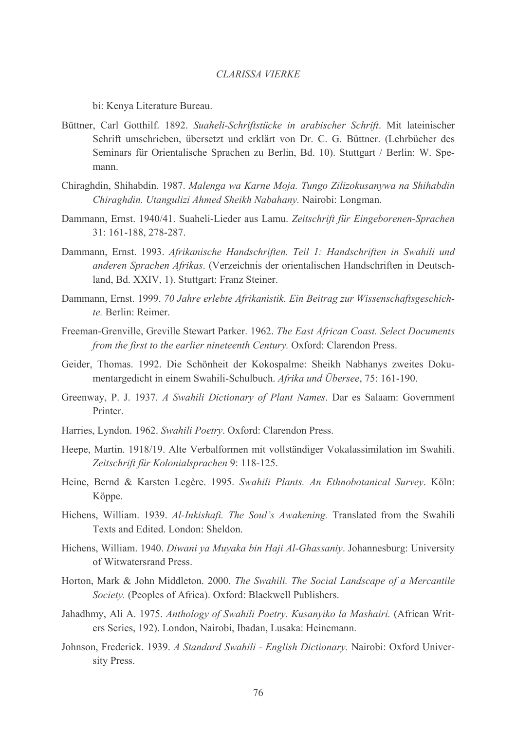bi: Kenya Literature Bureau.

- Büttner, Carl Gotthilf. 1892. Suaheli-Schriftstücke in arabischer Schrift. Mit lateinischer Schrift umschrieben, übersetzt und erklärt von Dr. C. G. Büttner. (Lehrbücher des Seminars für Orientalische Sprachen zu Berlin, Bd. 10). Stuttgart / Berlin: W. Spemann.
- Chiraghdin, Shihabdin, 1987, Malenga wa Karne Moja, Tungo Zilizokusanywa na Shihabdin Chiraghdin. Utangulizi Ahmed Sheikh Nabahany. Nairobi: Longman.
- Dammann, Ernst. 1940/41. Suaheli-Lieder aus Lamu. Zeitschrift für Eingeborenen-Sprachen 31: 161-188, 278-287.
- Dammann, Ernst. 1993. Afrikanische Handschriften. Teil 1: Handschriften in Swahili und anderen Sprachen Afrikas. (Verzeichnis der orientalischen Handschriften in Deutschland, Bd. XXIV, 1). Stuttgart: Franz Steiner.
- Dammann, Ernst. 1999. 70 Jahre erlebte Afrikanistik. Ein Beitrag zur Wissenschaftsgeschichte. Berlin: Reimer
- Freeman-Grenville, Greville Stewart Parker. 1962. The East African Coast. Select Documents from the first to the earlier nineteenth Century. Oxford: Clarendon Press.
- Geider, Thomas. 1992. Die Schönheit der Kokospalme: Sheikh Nabhanys zweites Dokumentargedicht in einem Swahili-Schulbuch. Afrika und Übersee, 75: 161-190.
- Greenway, P. J. 1937. A Swahili Dictionary of Plant Names. Dar es Salaam: Government Printer.
- Harries, Lyndon. 1962. Swahili Poetry. Oxford: Clarendon Press.
- Heepe, Martin. 1918/19. Alte Verbalformen mit vollständiger Vokalassimilation im Swahili. Zeitschrift für Kolonialsprachen 9: 118-125.
- Heine, Bernd & Karsten Legère. 1995. Swahili Plants. An Ethnobotanical Survey. Köln: Köppe.
- Hichens, William. 1939. Al-Inkishafi. The Soul's Awakening. Translated from the Swahili Texts and Edited, London: Sheldon.
- Hichens, William. 1940. Diwani ya Muyaka bin Haji Al-Ghassaniy. Johannesburg: University of Witwatersrand Press.
- Horton, Mark & John Middleton. 2000. The Swahili. The Social Landscape of a Mercantile Society. (Peoples of Africa). Oxford: Blackwell Publishers.
- Jahadhmy, Ali A. 1975. Anthology of Swahili Poetry. Kusanyiko la Mashairi. (African Writers Series, 192). London, Nairobi, Ibadan, Lusaka: Heinemann.
- Johnson, Frederick. 1939. A Standard Swahili English Dictionary. Nairobi: Oxford University Press.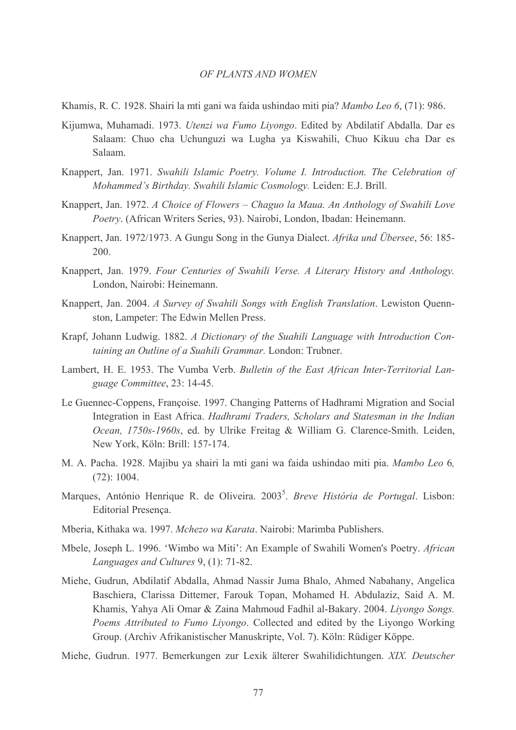- Khamis, R. C. 1928. Shairi la mti gani wa faida ushindao miti pia? Mambo Leo 6, (71): 986.
- Kijumwa, Muhamadi. 1973. *Utenzi wa Fumo Liyongo*. Edited by Abdilatif Abdalla. Dar es Salaam: Chuo cha Uchunguzi wa Lugha ya Kiswahili, Chuo Kikuu cha Dar es Salaam
- Knappert, Jan. 1971. Swahili Islamic Poetry. Volume I. Introduction. The Celebration of Mohammed's Birthday. Swahili Islamic Cosmology. Leiden: E.J. Brill.
- Knappert, Jan. 1972. A Choice of Flowers Chaguo la Maua. An Anthology of Swahili Love Poetry. (African Writers Series, 93). Nairobi, London, Ibadan: Heinemann.
- Knappert, Jan. 1972/1973. A Gungu Song in the Gunya Dialect. Afrika und Übersee, 56: 185- $200.$
- Knappert, Jan. 1979. Four Centuries of Swahili Verse. A Literary History and Anthology. London, Nairobi: Heinemann.
- Knappert, Jan. 2004. A Survey of Swahili Songs with English Translation. Lewiston Quennston, Lampeter: The Edwin Mellen Press.
- Krapf, Johann Ludwig. 1882. A Dictionary of the Suahili Language with Introduction Containing an Outline of a Suahili Grammar, London: Trubner,
- Lambert, H. E. 1953. The Vumba Verb. Bulletin of the East African Inter-Territorial Language Committee, 23: 14-45.
- Le Guennec-Coppens, Françoise. 1997. Changing Patterns of Hadhrami Migration and Social Integration in East Africa. Hadhrami Traders, Scholars and Statesman in the Indian Ocean, 1750s-1960s, ed. by Ulrike Freitag & William G. Clarence-Smith. Leiden, New York, Köln: Brill: 157-174.
- M. A. Pacha. 1928. Majibu ya shairi la mti gani wa faida ushindao miti pia. Mambo Leo 6,  $(72): 1004.$
- Marques, António Henrique R. de Oliveira. 2003<sup>5</sup>. Breve História de Portugal. Lisbon: **Editorial Presenca.**
- Mberia, Kithaka wa. 1997. Mchezo wa Karata. Nairobi: Marimba Publishers.
- Mbele, Joseph L. 1996. 'Wimbo wa Miti': An Example of Swahili Women's Poetry. African Languages and Cultures 9, (1): 71-82.
- Miehe, Gudrun, Abdilatif Abdalla, Ahmad Nassir Juma Bhalo, Ahmed Nabahany, Angelica Baschiera, Clarissa Dittemer, Farouk Topan, Mohamed H. Abdulaziz, Said A. M. Khamis, Yahya Ali Omar & Zaina Mahmoud Fadhil al-Bakary. 2004. Liyongo Songs. Poems Attributed to Fumo Livongo. Collected and edited by the Livongo Working Group. (Archiv Afrikanistischer Manuskripte, Vol. 7). Köln: Rüdiger Köppe.
- Miehe, Gudrun. 1977. Bemerkungen zur Lexik älterer Swahilidichtungen. XIX. Deutscher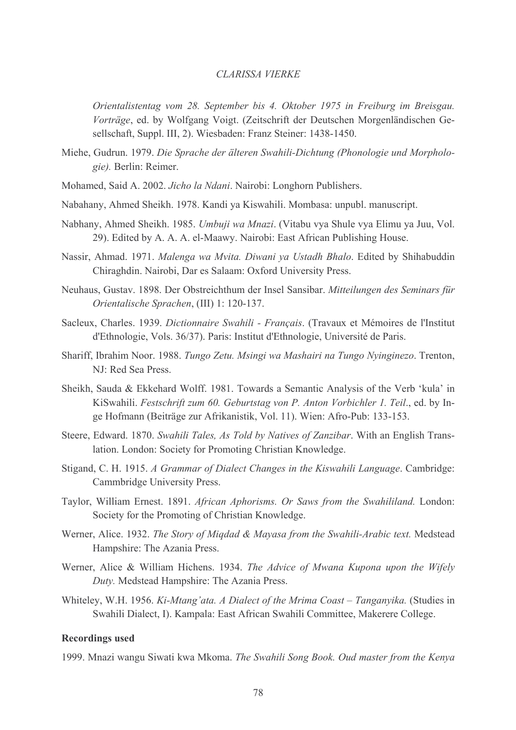Orientalistentag vom 28. September bis 4. Oktober 1975 in Freiburg im Breisgau. Vorträge, ed. by Wolfgang Voigt. (Zeitschrift der Deutschen Morgenländischen Gesellschaft, Suppl. III, 2). Wiesbaden: Franz Steiner: 1438-1450.

- Miehe, Gudrun. 1979. Die Sprache der älteren Swahili-Dichtung (Phonologie und Morphologie). Berlin: Reimer.
- Mohamed, Said A. 2002. Jicho la Ndani. Nairobi: Longhorn Publishers.
- Nabahany, Ahmed Sheikh, 1978. Kandi va Kiswahili, Mombasa: unpubl. manuscript.
- Nabhany, Ahmed Sheikh. 1985. Umbuji wa Mnazi. (Vitabu vya Shule vya Elimu ya Juu, Vol. 29). Edited by A. A. A. el-Maawy. Nairobi: East African Publishing House.
- Nassir, Ahmad. 1971. Malenga wa Mvita. Diwani ya Ustadh Bhalo. Edited by Shihabuddin Chiraghdin. Nairobi, Dar es Salaam: Oxford University Press.
- Neuhaus, Gustav, 1898. Der Obstreichthum der Insel Sansibar, Mitteilungen des Seminars für Orientalische Sprachen, (III) 1: 120-137.
- Sacleux, Charles. 1939. Dictionnaire Swahili Français. (Travaux et Mémoires de l'Institut d'Ethnologie, Vols. 36/37). Paris: Institut d'Ethnologie, Université de Paris.
- Shariff, Ibrahim Noor. 1988. Tungo Zetu. Msingi wa Mashairi na Tungo Nyinginezo. Trenton, NJ: Red Sea Press.
- Sheikh, Sauda & Ekkehard Wolff. 1981. Towards a Semantic Analysis of the Verb 'kula' in KiSwahili. Festschrift zum 60. Geburtstag von P. Anton Vorbichler 1. Teil., ed. by Inge Hofmann (Beiträge zur Afrikanistik, Vol. 11). Wien: Afro-Pub: 133-153.
- Steere, Edward. 1870. Swahili Tales, As Told by Natives of Zanzibar. With an English Translation. London: Society for Promoting Christian Knowledge.
- Stigand, C. H. 1915. A Grammar of Dialect Changes in the Kiswahili Language. Cambridge: Cammbridge University Press.
- Taylor, William Ernest. 1891. African Aphorisms. Or Saws from the Swahililand. London: Society for the Promoting of Christian Knowledge.
- Werner, Alice. 1932. The Story of Migdad & Mayasa from the Swahili-Arabic text. Medstead Hampshire: The Azania Press.
- Werner, Alice & William Hichens. 1934. The Advice of Mwana Kupona upon the Wifely Duty. Medstead Hampshire: The Azania Press.
- Whiteley, W.H. 1956. Ki-Mtang'ata. A Dialect of the Mrima Coast Tanganyika. (Studies in Swahili Dialect, I). Kampala: East African Swahili Committee, Makerere College.

#### **Recordings used**

1999. Mnazi wangu Siwati kwa Mkoma. The Swahili Song Book. Oud master from the Kenya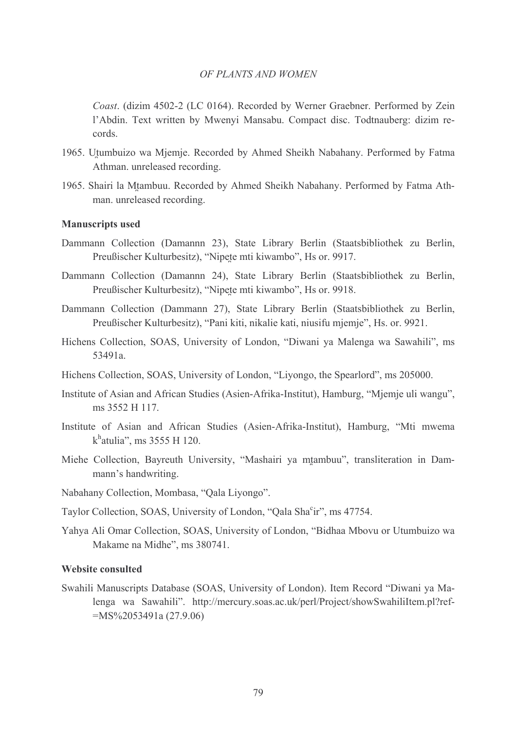Coast. (dizim 4502-2 (LC 0164). Recorded by Werner Graebner. Performed by Zein l'Abdin. Text written by Mwenyi Mansabu. Compact disc. Todtnauberg: dizim records.

- 1965. Utumbuizo wa Mjemje. Recorded by Ahmed Sheikh Nabahany. Performed by Fatma Athman. unreleased recording.
- 1965. Shairi la Mtambuu. Recorded by Ahmed Sheikh Nabahany. Performed by Fatma Athman. unreleased recording.

### **Manuscripts used**

- Dammann Collection (Damannn 23), State Library Berlin (Staatsbibliothek zu Berlin, Preußischer Kulturbesitz), "Nipete mti kiwambo", Hs or. 9917.
- Dammann Collection (Damannn 24), State Library Berlin (Staatsbibliothek zu Berlin, Preußischer Kulturbesitz), "Nipete mti kiwambo", Hs or. 9918.
- Dammann Collection (Dammann 27), State Library Berlin (Staatsbibliothek zu Berlin, Preußischer Kulturbesitz), "Pani kiti, nikalie kati, niusifu mjemje", Hs. or. 9921.
- Hichens Collection, SOAS, University of London, "Diwani ya Malenga wa Sawahili", ms 53491a
- Hichens Collection, SOAS, University of London, "Liyongo, the Spearlord", ms 205000.
- Institute of Asian and African Studies (Asien-Afrika-Institut), Hamburg, "Mjemje uli wangu", ms 3552 H 117
- Institute of Asian and African Studies (Asien-Afrika-Institut), Hamburg, "Mti mwema  $k<sup>h</sup>$ atulia", ms 3555 H 120.
- Miehe Collection, Bayreuth University, "Mashairi ya mtambuu", transliteration in Dammann's handwriting.
- Nabahany Collection, Mombasa, "Qala Liyongo".
- Taylor Collection, SOAS, University of London, "Qala Sha<sup>c</sup>ir", ms 47754.
- Yahya Ali Omar Collection, SOAS, University of London, "Bidhaa Mbovu or Utumbuizo wa Makame na Midhe", ms 380741.

# **Website consulted**

Swahili Manuscripts Database (SOAS, University of London). Item Record "Diwani ya Malenga wa Sawahili". http://mercury.soas.ac.uk/perl/Project/showSwahiliItem.pl?ref- $=MS\%2053491a(27.9.06)$